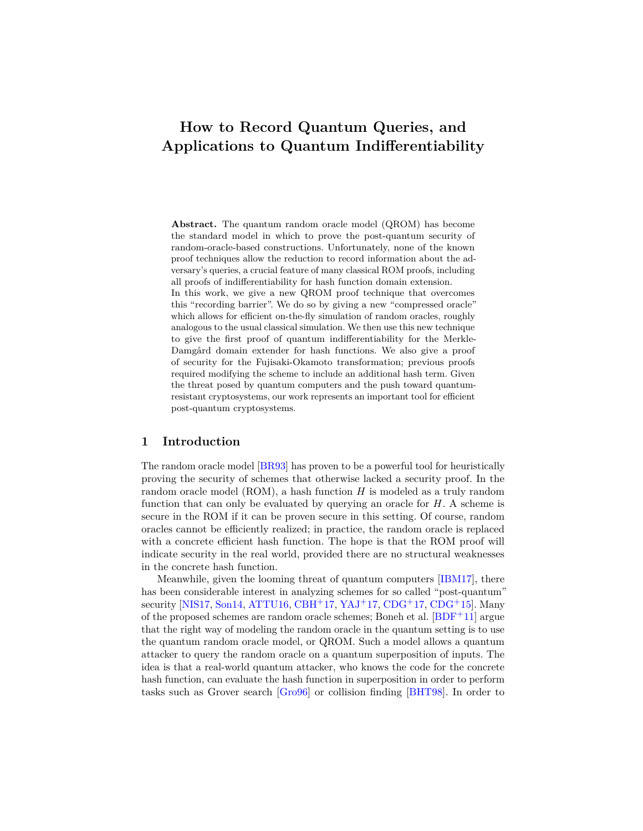# **How to Record Quantum Queries, and Applications to Quantum Indifferentiability**

**Abstract.** The quantum random oracle model (QROM) has become the standard model in which to prove the post-quantum security of random-oracle-based constructions. Unfortunately, none of the known proof techniques allow the reduction to record information about the adversary's queries, a crucial feature of many classical ROM proofs, including all proofs of indifferentiability for hash function domain extension. In this work, we give a new QROM proof technique that overcomes this "recording barrier". We do so by giving a new "compressed oracle" which allows for efficient on-the-fly simulation of random oracles, roughly analogous to the usual classical simulation. We then use this new technique to give the first proof of quantum indifferentiability for the Merkle-Damgård domain extender for hash functions. We also give a proof of security for the Fujisaki-Okamoto transformation; previous proofs required modifying the scheme to include an additional hash term. Given the threat posed by quantum computers and the push toward quantumresistant cryptosystems, our work represents an important tool for efficient post-quantum cryptosystems.

# **1 Introduction**

The random oracle model [\[BR93\]](#page-27-0) has proven to be a powerful tool for heuristically proving the security of schemes that otherwise lacked a security proof. In the random oracle model (ROM), a hash function *H* is modeled as a truly random function that can only be evaluated by querying an oracle for *H*. A scheme is secure in the ROM if it can be proven secure in this setting. Of course, random oracles cannot be efficiently realized; in practice, the random oracle is replaced with a concrete efficient hash function. The hope is that the ROM proof will indicate security in the real world, provided there are no structural weaknesses in the concrete hash function.

Meanwhile, given the looming threat of quantum computers [\[IBM17\]](#page-28-0), there has been considerable interest in analyzing schemes for so called "post-quantum" security [\[NIS17,](#page-28-1) [Son14,](#page-29-0) [ATTU16,](#page-27-1) [CBH](#page-27-2)<sup>+</sup>17, [YAJ](#page-29-1)<sup>+</sup>17, [CDG](#page-28-2)<sup>+</sup>17, [CDG](#page-27-3)<sup>+</sup>15]. Many of the proposed schemes are random oracle schemes; Boneh et al.  $[BDF^+11]$  $[BDF^+11]$  argue that the right way of modeling the random oracle in the quantum setting is to use the quantum random oracle model, or QROM. Such a model allows a quantum attacker to query the random oracle on a quantum superposition of inputs. The idea is that a real-world quantum attacker, who knows the code for the concrete hash function, can evaluate the hash function in superposition in order to perform tasks such as Grover search [\[Gro96\]](#page-28-3) or collision finding [\[BHT98\]](#page-27-5). In order to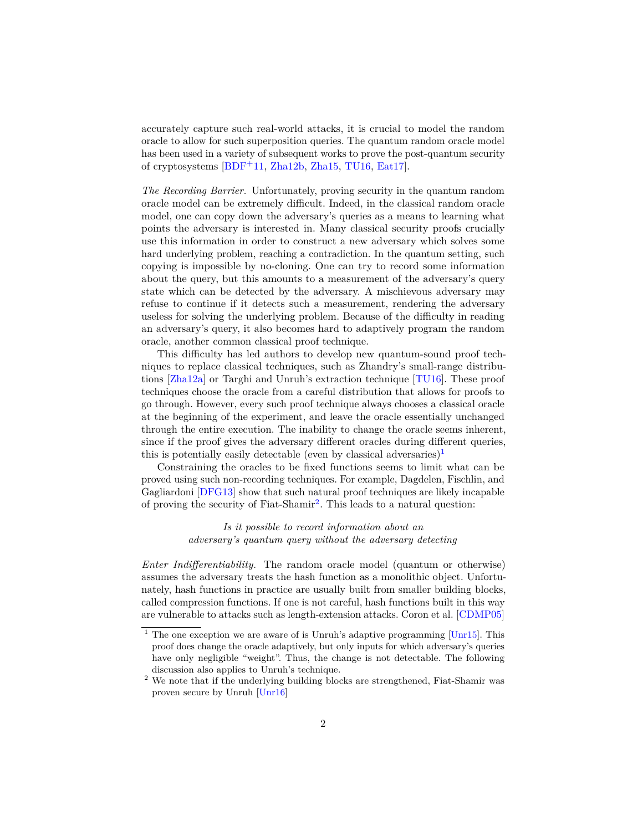accurately capture such real-world attacks, it is crucial to model the random oracle to allow for such superposition queries. The quantum random oracle model has been used in a variety of subsequent works to prove the post-quantum security of cryptosystems [\[BDF](#page-27-4)<sup>+</sup>11, [Zha12b,](#page-29-2) [Zha15,](#page-29-3) [TU16,](#page-29-4) [Eat17\]](#page-28-4).

*The Recording Barrier.* Unfortunately, proving security in the quantum random oracle model can be extremely difficult. Indeed, in the classical random oracle model, one can copy down the adversary's queries as a means to learning what points the adversary is interested in. Many classical security proofs crucially use this information in order to construct a new adversary which solves some hard underlying problem, reaching a contradiction. In the quantum setting, such copying is impossible by no-cloning. One can try to record some information about the query, but this amounts to a measurement of the adversary's query state which can be detected by the adversary. A mischievous adversary may refuse to continue if it detects such a measurement, rendering the adversary useless for solving the underlying problem. Because of the difficulty in reading an adversary's query, it also becomes hard to adaptively program the random oracle, another common classical proof technique.

This difficulty has led authors to develop new quantum-sound proof techniques to replace classical techniques, such as Zhandry's small-range distributions [\[Zha12a\]](#page-29-5) or Targhi and Unruh's extraction technique [\[TU16\]](#page-29-4). These proof techniques choose the oracle from a careful distribution that allows for proofs to go through. However, every such proof technique always chooses a classical oracle at the beginning of the experiment, and leave the oracle essentially unchanged through the entire execution. The inability to change the oracle seems inherent, since if the proof gives the adversary different oracles during different queries, this is potentially easily detectable (even by classical adversaries)<sup>[1](#page-1-0)</sup>

Constraining the oracles to be fixed functions seems to limit what can be proved using such non-recording techniques. For example, Dagdelen, Fischlin, and Gagliardoni [\[DFG13\]](#page-28-5) show that such natural proof techniques are likely incapable of proving the security of Fiat-Shamir<sup>[2](#page-1-1)</sup>. This leads to a natural question:

# *Is it possible to record information about an adversary's quantum query without the adversary detecting*

*Enter Indifferentiability.* The random oracle model (quantum or otherwise) assumes the adversary treats the hash function as a monolithic object. Unfortunately, hash functions in practice are usually built from smaller building blocks, called compression functions. If one is not careful, hash functions built in this way are vulnerable to attacks such as length-extension attacks. Coron et al. [\[CDMP05\]](#page-28-6)

<span id="page-1-0"></span><sup>&</sup>lt;sup>1</sup> The one exception we are aware of is Unruh's adaptive programming [\[Unr15\]](#page-29-6). This proof does change the oracle adaptively, but only inputs for which adversary's queries have only negligible "weight". Thus, the change is not detectable. The following discussion also applies to Unruh's technique.

<span id="page-1-1"></span> $^{\rm 2}$  We note that if the underlying building blocks are strengthened, Fiat-Shamir was proven secure by Unruh [\[Unr16\]](#page-29-7)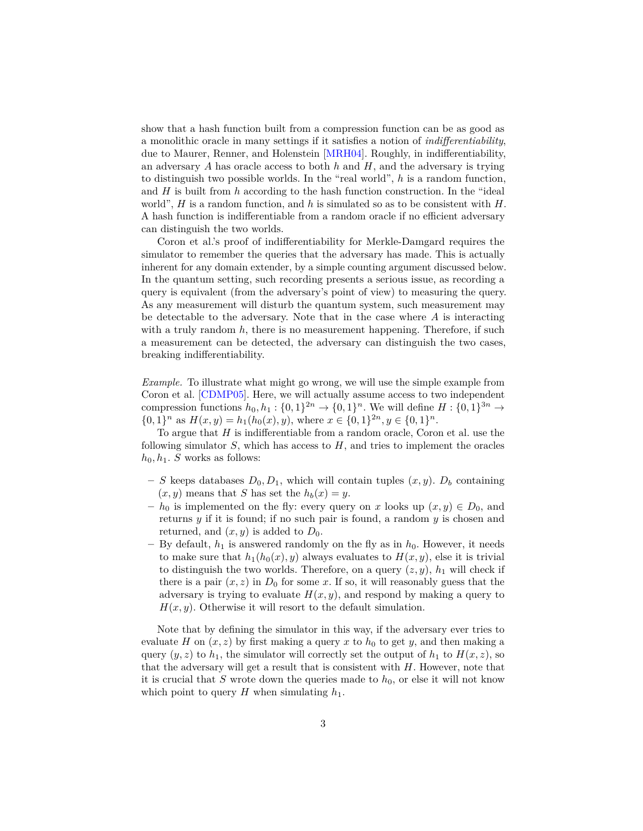show that a hash function built from a compression function can be as good as a monolithic oracle in many settings if it satisfies a notion of *indifferentiability*, due to Maurer, Renner, and Holenstein [\[MRH04\]](#page-28-7). Roughly, in indifferentiability, an adversary *A* has oracle access to both *h* and *H*, and the adversary is trying to distinguish two possible worlds. In the "real world", *h* is a random function, and *H* is built from *h* according to the hash function construction. In the "ideal world", *H* is a random function, and *h* is simulated so as to be consistent with *H*. A hash function is indifferentiable from a random oracle if no efficient adversary can distinguish the two worlds.

Coron et al.'s proof of indifferentiability for Merkle-Damgard requires the simulator to remember the queries that the adversary has made. This is actually inherent for any domain extender, by a simple counting argument discussed below. In the quantum setting, such recording presents a serious issue, as recording a query is equivalent (from the adversary's point of view) to measuring the query. As any measurement will disturb the quantum system, such measurement may be detectable to the adversary. Note that in the case where *A* is interacting with a truly random *h*, there is no measurement happening. Therefore, if such a measurement can be detected, the adversary can distinguish the two cases, breaking indifferentiability.

*Example.* To illustrate what might go wrong, we will use the simple example from Coron et al. [\[CDMP05\]](#page-28-6). Here, we will actually assume access to two independent compression functions  $h_0, h_1 : \{0, 1\}^{2n} \to \{0, 1\}^n$ . We will define  $H : \{0, 1\}^{3n} \to$  $\{0,1\}^n$  as  $H(x,y) = h_1(h_0(x), y)$ , where  $x \in \{0,1\}^{2n}, y \in \{0,1\}^n$ .

To argue that *H* is indifferentiable from a random oracle, Coron et al. use the following simulator *S*, which has access to *H*, and tries to implement the oracles  $h_0, h_1$ . *S* works as follows:

- $-$  *S* keeps databases  $D_0, D_1$ , which will contain tuples  $(x, y)$ .  $D_b$  containing  $(x, y)$  means that *S* has set the  $h_b(x) = y$ .
- $− h<sub>0</sub>$  is implemented on the fly: every query on *x* looks up  $(x, y) ∈ D<sub>0</sub>$ , and returns *y* if it is found; if no such pair is found, a random *y* is chosen and returned, and  $(x, y)$  is added to  $D_0$ .
- **–** By default, *h*<sup>1</sup> is answered randomly on the fly as in *h*0. However, it needs to make sure that  $h_1(h_0(x), y)$  always evaluates to  $H(x, y)$ , else it is trivial to distinguish the two worlds. Therefore, on a query  $(z, y)$ ,  $h_1$  will check if there is a pair  $(x, z)$  in  $D_0$  for some  $x$ . If so, it will reasonably guess that the adversary is trying to evaluate  $H(x, y)$ , and respond by making a query to  $H(x, y)$ . Otherwise it will resort to the default simulation.

Note that by defining the simulator in this way, if the adversary ever tries to evaluate *H* on  $(x, z)$  by first making a query *x* to  $h_0$  to get *y*, and then making a query  $(y, z)$  to  $h_1$ , the simulator will correctly set the output of  $h_1$  to  $H(x, z)$ , so that the adversary will get a result that is consistent with *H*. However, note that it is crucial that  $S$  wrote down the queries made to  $h_0$ , or else it will not know which point to query  $H$  when simulating  $h_1$ .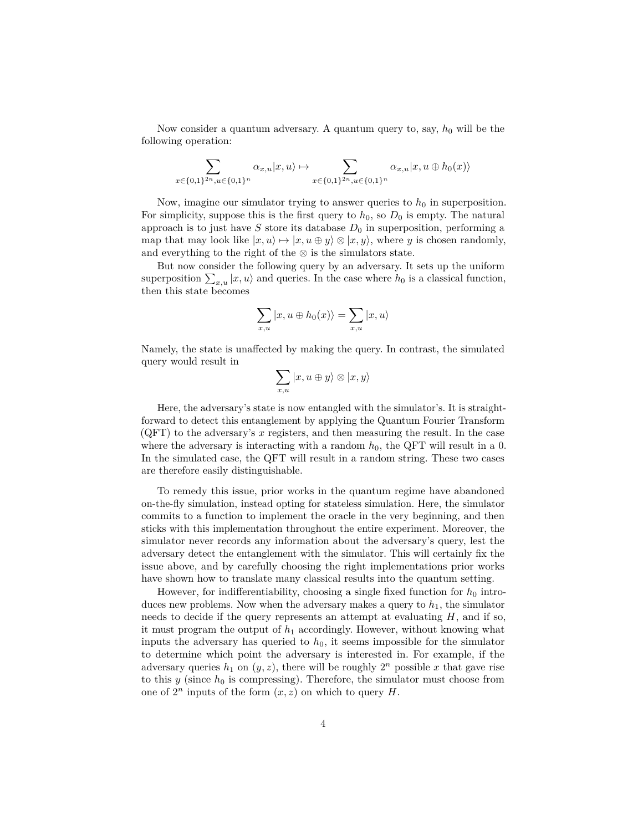Now consider a quantum adversary. A quantum query to, say, *h*<sup>0</sup> will be the following operation:

$$
\sum_{x \in \{0,1\}^{2n}, u \in \{0,1\}^n} \alpha_{x,u} |x, u\rangle \mapsto \sum_{x \in \{0,1\}^{2n}, u \in \{0,1\}^n} \alpha_{x,u} |x, u \oplus h_0(x)\rangle
$$

Now, imagine our simulator trying to answer queries to  $h_0$  in superposition. For simplicity, suppose this is the first query to  $h_0$ , so  $D_0$  is empty. The natural approach is to just have  $S$  store its database  $D_0$  in superposition, performing a map that may look like  $|x, u\rangle \mapsto |x, u \oplus y\rangle \otimes |x, y\rangle$ , where *y* is chosen randomly, and everything to the right of the  $\otimes$  is the simulators state.

But now consider the following query by an adversary. It sets up the uniform superposition  $\sum_{x,u} |x, u\rangle$  and queries. In the case where  $h_0$  is a classical function, then this state becomes

$$
\sum_{x,u}|x,u\oplus h_0(x)\rangle=\sum_{x,u}|x,u\rangle
$$

Namely, the state is unaffected by making the query. In contrast, the simulated query would result in

$$
\sum_{x,u}|x,u\oplus y\rangle\otimes|x,y\rangle
$$

Here, the adversary's state is now entangled with the simulator's. It is straightforward to detect this entanglement by applying the Quantum Fourier Transform (QFT) to the adversary's *x* registers, and then measuring the result. In the case where the adversary is interacting with a random  $h_0$ , the QFT will result in a 0. In the simulated case, the QFT will result in a random string. These two cases are therefore easily distinguishable.

To remedy this issue, prior works in the quantum regime have abandoned on-the-fly simulation, instead opting for stateless simulation. Here, the simulator commits to a function to implement the oracle in the very beginning, and then sticks with this implementation throughout the entire experiment. Moreover, the simulator never records any information about the adversary's query, lest the adversary detect the entanglement with the simulator. This will certainly fix the issue above, and by carefully choosing the right implementations prior works have shown how to translate many classical results into the quantum setting.

However, for indifferentiability, choosing a single fixed function for  $h_0$  introduces new problems. Now when the adversary makes a query to  $h_1$ , the simulator needs to decide if the query represents an attempt at evaluating  $H$ , and if so, it must program the output of  $h_1$  accordingly. However, without knowing what inputs the adversary has queried to  $h_0$ , it seems impossible for the simulator to determine which point the adversary is interested in. For example, if the adversary queries  $h_1$  on  $(y, z)$ , there will be roughly  $2^n$  possible x that gave rise to this  $y$  (since  $h_0$  is compressing). Therefore, the simulator must choose from one of  $2^n$  inputs of the form  $(x, z)$  on which to query *H*.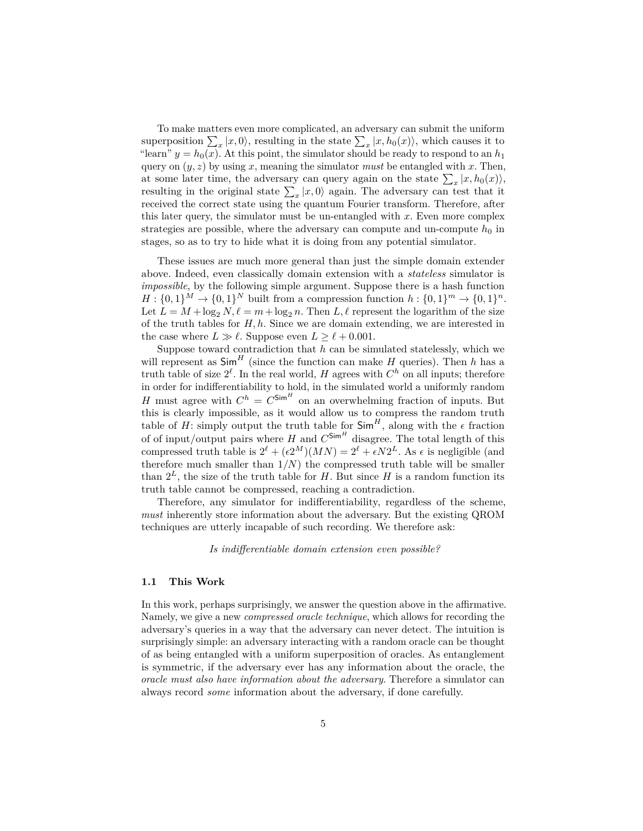To make matters even more complicated, an adversary can submit the uniform superposition  $\sum_{x} |x, 0\rangle$ , resulting in the state  $\sum_{x} |x, h_0(x)\rangle$ , which causes it to "learn"  $y = h_0(x)$ . At this point, the simulator should be ready to respond to an  $h_1$ query on  $(y, z)$  by using *x*, meaning the simulator *must* be entangled with *x*. Then, at some later time, the adversary can query again on the state  $\sum_{x} |x, h_0(x)\rangle$ , resulting in the original state  $\sum_{x} |x,0\rangle$  again. The adversary can test that it received the correct state using the quantum Fourier transform. Therefore, after this later query, the simulator must be un-entangled with *x*. Even more complex strategies are possible, where the adversary can compute and un-compute  $h_0$  in stages, so as to try to hide what it is doing from any potential simulator.

These issues are much more general than just the simple domain extender above. Indeed, even classically domain extension with a *stateless* simulator is *impossible*, by the following simple argument. Suppose there is a hash function  $H: \{0,1\}^M \to \{0,1\}^N$  built from a compression function  $h: \{0,1\}^m \to \{0,1\}^n$ . Let  $L = M + \log_2 N$ ,  $\ell = m + \log_2 n$ . Then  $L, \ell$  represent the logarithm of the size of the truth tables for *H, h*. Since we are domain extending, we are interested in the case where  $L \gg \ell$ . Suppose even  $L \geq \ell + 0.001$ .

Suppose toward contradiction that *h* can be simulated statelessly, which we will represent as  $\mathsf{Sim}^H$  (since the function can make  $H$  queries). Then  $h$  has a truth table of size  $2^{\ell}$ . In the real world, *H* agrees with  $C^h$  on all inputs; therefore in order for indifferentiability to hold, in the simulated world a uniformly random *H* must agree with  $C^h = C^{\text{Sim}^H}$  on an overwhelming fraction of inputs. But this is clearly impossible, as it would allow us to compress the random truth table of *H*: simply output the truth table for  $\mathsf{Sim}^H$ , along with the  $\epsilon$  fraction of of input/output pairs where  $H$  and  $C^{\text{Sim}^H}$  disagree. The total length of this compressed truth table is  $2^{\ell} + (\epsilon 2^M)(MN) = 2^{\ell} + \epsilon N 2^L$ . As  $\epsilon$  is negligible (and therefore much smaller than  $1/N$  the compressed truth table will be smaller than  $2^L$ , the size of the truth table for *H*. But since *H* is a random function its truth table cannot be compressed, reaching a contradiction.

Therefore, any simulator for indifferentiability, regardless of the scheme, *must* inherently store information about the adversary. But the existing QROM techniques are utterly incapable of such recording. We therefore ask:

*Is indifferentiable domain extension even possible?*

### **1.1 This Work**

In this work, perhaps surprisingly, we answer the question above in the affirmative. Namely, we give a new *compressed oracle technique*, which allows for recording the adversary's queries in a way that the adversary can never detect. The intuition is surprisingly simple: an adversary interacting with a random oracle can be thought of as being entangled with a uniform superposition of oracles. As entanglement is symmetric, if the adversary ever has any information about the oracle, the *oracle must also have information about the adversary*. Therefore a simulator can always record *some* information about the adversary, if done carefully.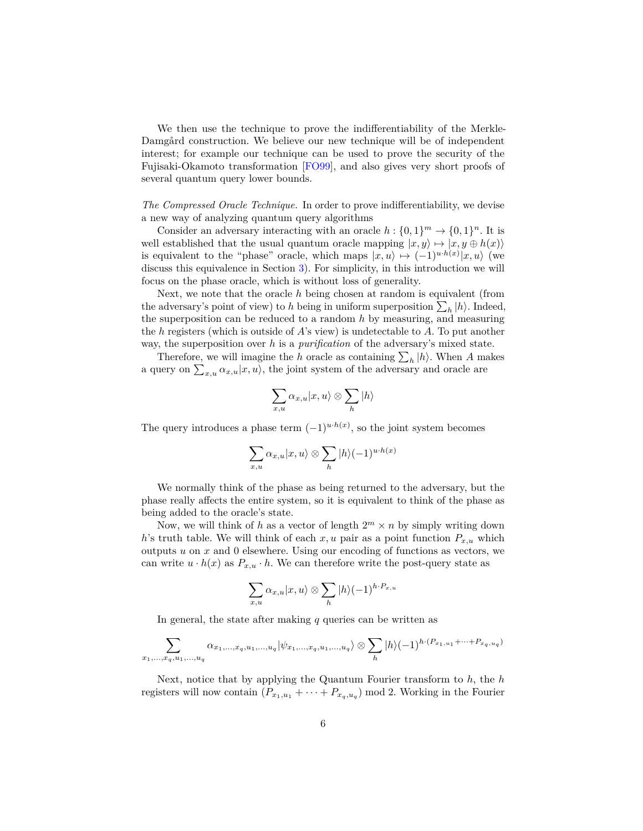We then use the technique to prove the indifferentiability of the Merkle-Damgård construction. We believe our new technique will be of independent interest; for example our technique can be used to prove the security of the Fujisaki-Okamoto transformation [\[FO99\]](#page-28-8), and also gives very short proofs of several quantum query lower bounds.

*The Compressed Oracle Technique.* In order to prove indifferentiability, we devise a new way of analyzing quantum query algorithms

Consider an adversary interacting with an oracle  $h: \{0,1\}^m \to \{0,1\}^n$ . It is well established that the usual quantum oracle mapping  $|x, y\rangle \mapsto |x, y \oplus h(x)\rangle$ is equivalent to the "phase" oracle, which maps  $|x, u\rangle \mapsto (-1)^{u \cdot h(x)} |x, u\rangle$  (we discuss this equivalence in Section [3\)](#page-10-0). For simplicity, in this introduction we will focus on the phase oracle, which is without loss of generality.

Next, we note that the oracle *h* being chosen at random is equivalent (from the adversary's point of view) to *h* being in uniform superposition  $\sum_h |h\rangle$ . Indeed, the superposition can be reduced to a random *h* by measuring, and measuring the *h* registers (which is outside of *A*'s view) is undetectable to *A*. To put another way, the superposition over *h* is a *purification* of the adversary's mixed state.

Therefore, we will imagine the *h* oracle as containing  $\sum_h |h\rangle$ . When *A* makes a query on  $\sum_{x,u} \alpha_{x,u} |x, u\rangle$ , the joint system of the adversary and oracle are

$$
\sum_{x,u}\alpha_{x,u}|x,u\rangle\otimes\sum_{h}|h\rangle
$$

The query introduces a phase term  $(-1)^{u \cdot h(x)}$ , so the joint system becomes

$$
\sum_{x,u} \alpha_{x,u} |x,u\rangle \otimes \sum_{h} |h\rangle (-1)^{u \cdot h(x)}
$$

We normally think of the phase as being returned to the adversary, but the phase really affects the entire system, so it is equivalent to think of the phase as being added to the oracle's state.

Now, we will think of *h* as a vector of length  $2^m \times n$  by simply writing down *h*'s truth table. We will think of each *x*, *u* pair as a point function  $P_{x,u}$  which outputs *u* on *x* and 0 elsewhere. Using our encoding of functions as vectors, we can write  $u \cdot h(x)$  as  $P_{x,u} \cdot h$ . We can therefore write the post-query state as

$$
\sum_{x,u} \alpha_{x,u} |x,u\rangle \otimes \sum_{h} |h\rangle (-1)^{h \cdot P_{x,u}}
$$

In general, the state after making *q* queries can be written as

$$
\sum_{x_1,...,x_q,u_1,...,u_q} \alpha_{x_1,...,x_q,u_1,...,u_q} |\psi_{x_1,...,x_q,u_1,...,u_q} \rangle \otimes \sum_h |h\rangle (-1)^{h \cdot (P_{x_1,u_1} + \dots + P_{x_q,u_q})}
$$

Next, notice that by applying the Quantum Fourier transform to *h*, the *h* registers will now contain  $(P_{x_1, u_1} + \cdots + P_{x_q, u_q})$  mod 2. Working in the Fourier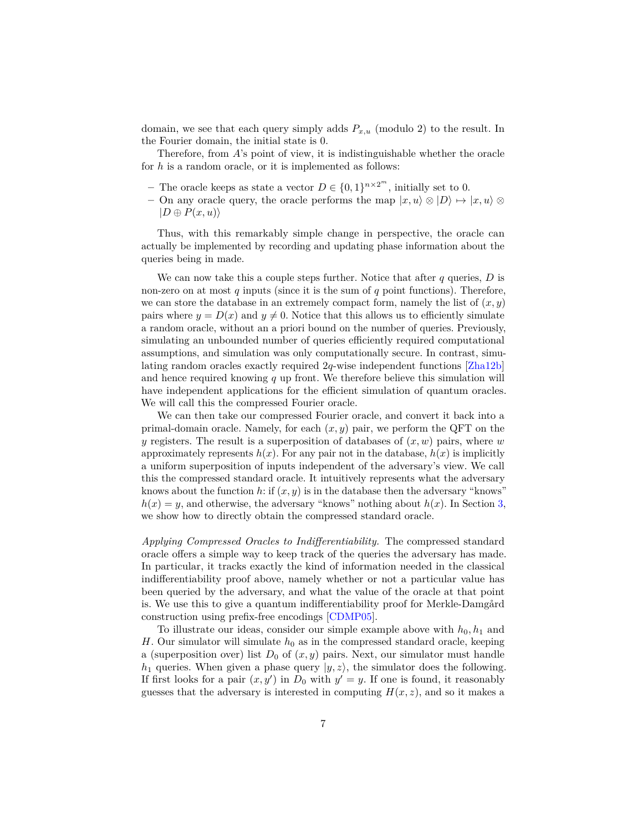domain, we see that each query simply adds  $P_{x,u}$  (modulo 2) to the result. In the Fourier domain, the initial state is 0.

Therefore, from *A*'s point of view, it is indistinguishable whether the oracle for *h* is a random oracle, or it is implemented as follows:

- − The oracle keeps as state a vector  $D \in \{0,1\}^{n \times 2^m}$ , initially set to 0.
- **−** On any oracle query, the oracle performs the map  $|x, u\rangle \otimes |D\rangle \mapsto |x, u\rangle \otimes$  $|D \oplus P(x,u)\rangle$

Thus, with this remarkably simple change in perspective, the oracle can actually be implemented by recording and updating phase information about the queries being in made.

We can now take this a couple steps further. Notice that after *q* queries, *D* is non-zero on at most *q* inputs (since it is the sum of *q* point functions). Therefore, we can store the database in an extremely compact form, namely the list of  $(x, y)$ pairs where  $y = D(x)$  and  $y \neq 0$ . Notice that this allows us to efficiently simulate a random oracle, without an a priori bound on the number of queries. Previously, simulating an unbounded number of queries efficiently required computational assumptions, and simulation was only computationally secure. In contrast, simulating random oracles exactly required 2*q*-wise independent functions [\[Zha12b\]](#page-29-2) and hence required knowing *q* up front. We therefore believe this simulation will have independent applications for the efficient simulation of quantum oracles. We will call this the compressed Fourier oracle.

We can then take our compressed Fourier oracle, and convert it back into a primal-domain oracle. Namely, for each  $(x, y)$  pair, we perform the QFT on the *y* registers. The result is a superposition of databases of (*x, w*) pairs, where *w* approximately represents  $h(x)$ . For any pair not in the database,  $h(x)$  is implicitly a uniform superposition of inputs independent of the adversary's view. We call this the compressed standard oracle. It intuitively represents what the adversary knows about the function  $h:$  if  $(x, y)$  is in the database then the adversary "knows"  $h(x) = y$ , and otherwise, the adversary "knows" nothing about  $h(x)$ . In Section [3,](#page-10-0) we show how to directly obtain the compressed standard oracle.

*Applying Compressed Oracles to Indifferentiability.* The compressed standard oracle offers a simple way to keep track of the queries the adversary has made. In particular, it tracks exactly the kind of information needed in the classical indifferentiability proof above, namely whether or not a particular value has been queried by the adversary, and what the value of the oracle at that point is. We use this to give a quantum indifferentiability proof for Merkle-Damgård construction using prefix-free encodings [\[CDMP05\]](#page-28-6).

To illustrate our ideas, consider our simple example above with  $h_0, h_1$  and *H*. Our simulator will simulate  $h_0$  as in the compressed standard oracle, keeping a (superposition over) list  $D_0$  of  $(x, y)$  pairs. Next, our simulator must handle  $h_1$  queries. When given a phase query  $|y, z\rangle$ , the simulator does the following. If first looks for a pair  $(x, y')$  in  $D_0$  with  $y' = y$ . If one is found, it reasonably guesses that the adversary is interested in computing  $H(x, z)$ , and so it makes a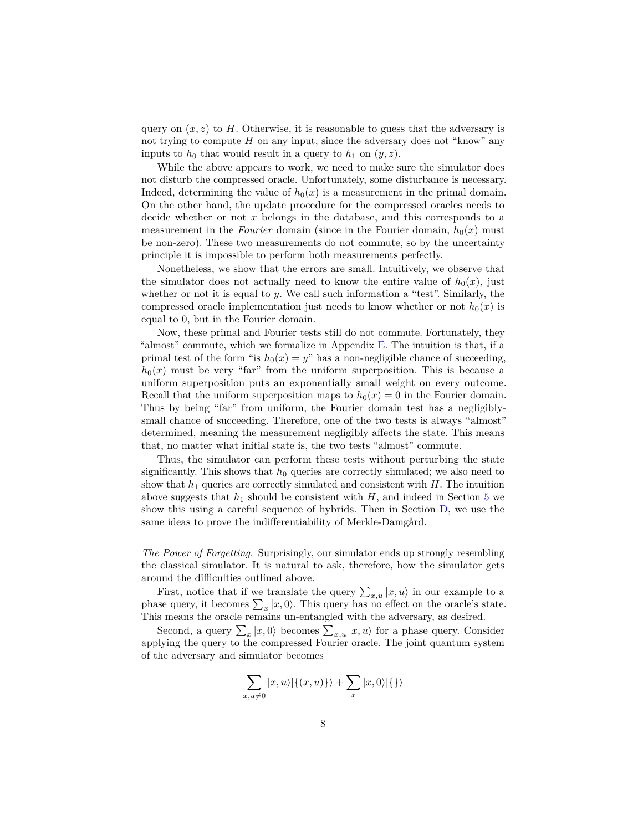query on  $(x, z)$  to *H*. Otherwise, it is reasonable to guess that the adversary is not trying to compute *H* on any input, since the adversary does not "know" any inputs to  $h_0$  that would result in a query to  $h_1$  on  $(y, z)$ .

While the above appears to work, we need to make sure the simulator does not disturb the compressed oracle. Unfortunately, some disturbance is necessary. Indeed, determining the value of  $h_0(x)$  is a measurement in the primal domain. On the other hand, the update procedure for the compressed oracles needs to decide whether or not *x* belongs in the database, and this corresponds to a measurement in the *Fourier* domain (since in the Fourier domain,  $h_0(x)$  must be non-zero). These two measurements do not commute, so by the uncertainty principle it is impossible to perform both measurements perfectly.

Nonetheless, we show that the errors are small. Intuitively, we observe that the simulator does not actually need to know the entire value of  $h_0(x)$ , just whether or not it is equal to *y*. We call such information a "test". Similarly, the compressed oracle implementation just needs to know whether or not  $h_0(x)$  is equal to 0, but in the Fourier domain.

Now, these primal and Fourier tests still do not commute. Fortunately, they "almost" commute, which we formalize in Appendix [E.](#page-48-0) The intuition is that, if a primal test of the form "is  $h_0(x) = y$ " has a non-negligible chance of succeeding,  $h_0(x)$  must be very "far" from the uniform superposition. This is because a uniform superposition puts an exponentially small weight on every outcome. Recall that the uniform superposition maps to  $h_0(x) = 0$  in the Fourier domain. Thus by being "far" from uniform, the Fourier domain test has a negligiblysmall chance of succeeding. Therefore, one of the two tests is always "almost" determined, meaning the measurement negligibly affects the state. This means that, no matter what initial state is, the two tests "almost" commute.

Thus, the simulator can perform these tests without perturbing the state significantly. This shows that  $h_0$  queries are correctly simulated; we also need to show that  $h_1$  queries are correctly simulated and consistent with  $H$ . The intuition above suggests that  $h_1$  should be consistent with  $H$ , and indeed in Section  $5$  we show this using a careful sequence of hybrids. Then in Section [D,](#page-41-0) we use the same ideas to prove the indifferentiability of Merkle-Damgård.

*The Power of Forgetting.* Surprisingly, our simulator ends up strongly resembling the classical simulator. It is natural to ask, therefore, how the simulator gets around the difficulties outlined above.

First, notice that if we translate the query  $\sum_{x,u}|x,u\rangle$  in our example to a phase query, it becomes  $\sum_{x} |x, 0\rangle$ . This query has no effect on the oracle's state. This means the oracle remains un-entangled with the adversary, as desired.

Second, a query  $\sum_{x} |x, 0\rangle$  becomes  $\sum_{x, u} |x, u\rangle$  for a phase query. Consider applying the query to the compressed Fourier oracle. The joint quantum system of the adversary and simulator becomes

$$
\sum_{x,u\neq 0} |x,u\rangle |\{(x,u)\}\rangle + \sum_{x} |x,0\rangle |\{\}\rangle
$$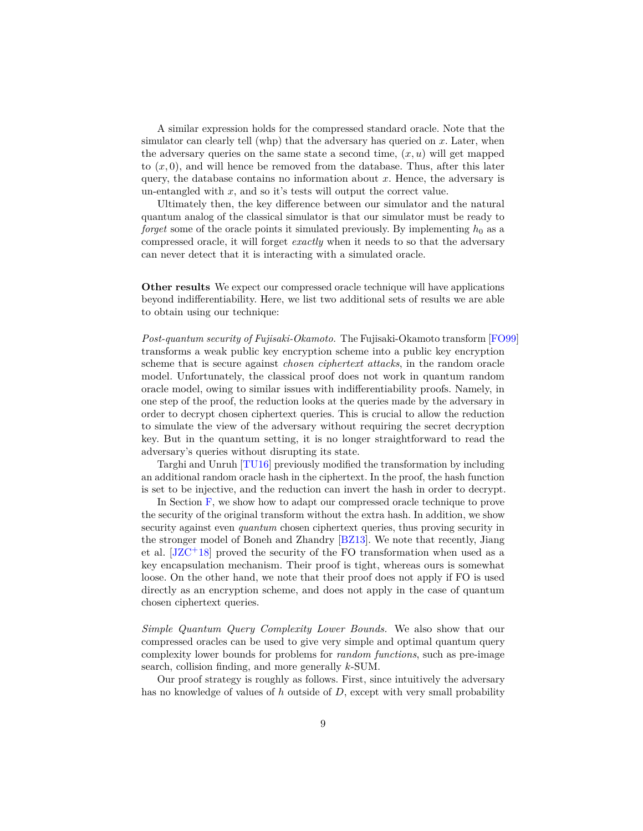A similar expression holds for the compressed standard oracle. Note that the simulator can clearly tell (whp) that the adversary has queried on *x*. Later, when the adversary queries on the same state a second time, (*x, u*) will get mapped to  $(x, 0)$ , and will hence be removed from the database. Thus, after this later query, the database contains no information about *x*. Hence, the adversary is un-entangled with  $x$ , and so it's tests will output the correct value.

Ultimately then, the key difference between our simulator and the natural quantum analog of the classical simulator is that our simulator must be ready to *forget* some of the oracle points it simulated previously. By implementing  $h_0$  as a compressed oracle, it will forget *exactly* when it needs to so that the adversary can never detect that it is interacting with a simulated oracle.

**Other results** We expect our compressed oracle technique will have applications beyond indifferentiability. Here, we list two additional sets of results we are able to obtain using our technique:

*Post-quantum security of Fujisaki-Okamoto.* The Fujisaki-Okamoto transform [\[FO99\]](#page-28-8) transforms a weak public key encryption scheme into a public key encryption scheme that is secure against *chosen ciphertext attacks*, in the random oracle model. Unfortunately, the classical proof does not work in quantum random oracle model, owing to similar issues with indifferentiability proofs. Namely, in one step of the proof, the reduction looks at the queries made by the adversary in order to decrypt chosen ciphertext queries. This is crucial to allow the reduction to simulate the view of the adversary without requiring the secret decryption key. But in the quantum setting, it is no longer straightforward to read the adversary's queries without disrupting its state.

Targhi and Unruh [\[TU16\]](#page-29-4) previously modified the transformation by including an additional random oracle hash in the ciphertext. In the proof, the hash function is set to be injective, and the reduction can invert the hash in order to decrypt.

In Section [F,](#page-50-0) we show how to adapt our compressed oracle technique to prove the security of the original transform without the extra hash. In addition, we show security against even *quantum* chosen ciphertext queries, thus proving security in the stronger model of Boneh and Zhandry [\[BZ13\]](#page-27-6). We note that recently, Jiang et al.  $[JZC+18]$  $[JZC+18]$  proved the security of the FO transformation when used as a key encapsulation mechanism. Their proof is tight, whereas ours is somewhat loose. On the other hand, we note that their proof does not apply if FO is used directly as an encryption scheme, and does not apply in the case of quantum chosen ciphertext queries.

*Simple Quantum Query Complexity Lower Bounds.* We also show that our compressed oracles can be used to give very simple and optimal quantum query complexity lower bounds for problems for *random functions*, such as pre-image search, collision finding, and more generally *k*-SUM.

Our proof strategy is roughly as follows. First, since intuitively the adversary has no knowledge of values of *h* outside of *D*, except with very small probability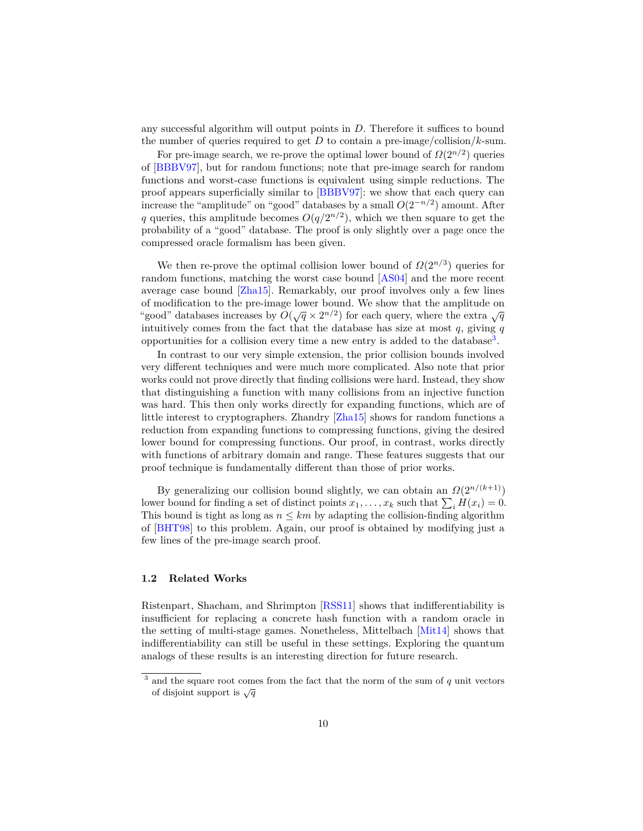any successful algorithm will output points in *D*. Therefore it suffices to bound the number of queries required to get  $D$  to contain a pre-image/collision/ $k$ -sum.

For pre-image search, we re-prove the optimal lower bound of  $\Omega(2^{n/2})$  queries of [\[BBBV97\]](#page-27-7), but for random functions; note that pre-image search for random functions and worst-case functions is equivalent using simple reductions. The proof appears superficially similar to [\[BBBV97\]](#page-27-7): we show that each query can increase the "amplitude" on "good" databases by a small *O*(2−*n/*<sup>2</sup> ) amount. After *q* queries, this amplitude becomes  $O(q/2^{n/2})$ , which we then square to get the probability of a "good" database. The proof is only slightly over a page once the compressed oracle formalism has been given.

We then re-prove the optimal collision lower bound of  $\Omega(2^{n/3})$  queries for random functions, matching the worst case bound [\[AS04\]](#page-27-8) and the more recent average case bound [\[Zha15\]](#page-29-3). Remarkably, our proof involves only a few lines of modification to the pre-image lower bound. We show that the amplitude on "good" databases increases by  $O(\sqrt{q} \times 2^{n/2})$  for each query, where the extra  $\sqrt{q}$ intuitively comes from the fact that the database has size at most  $q$ , giving  $q$ opportunities for a collision every time a new entry is added to the database<sup>[3](#page-9-0)</sup>.

In contrast to our very simple extension, the prior collision bounds involved very different techniques and were much more complicated. Also note that prior works could not prove directly that finding collisions were hard. Instead, they show that distinguishing a function with many collisions from an injective function was hard. This then only works directly for expanding functions, which are of little interest to cryptographers. Zhandry [\[Zha15\]](#page-29-3) shows for random functions a reduction from expanding functions to compressing functions, giving the desired lower bound for compressing functions. Our proof, in contrast, works directly with functions of arbitrary domain and range. These features suggests that our proof technique is fundamentally different than those of prior works.

By generalizing our collision bound slightly, we can obtain an  $\Omega(2^{n/(k+1)})$ lower bound for finding a set of distinct points  $x_1, \ldots, x_k$  such that  $\sum_i H(x_i) = 0$ . This bound is tight as long as  $n \leq km$  by adapting the collision-finding algorithm of [\[BHT98\]](#page-27-5) to this problem. Again, our proof is obtained by modifying just a few lines of the pre-image search proof.

### **1.2 Related Works**

Ristenpart, Shacham, and Shrimpton [\[RSS11\]](#page-28-10) shows that indifferentiability is insufficient for replacing a concrete hash function with a random oracle in the setting of multi-stage games. Nonetheless, Mittelbach [\[Mit14\]](#page-28-11) shows that indifferentiability can still be useful in these settings. Exploring the quantum analogs of these results is an interesting direction for future research.

<span id="page-9-0"></span><sup>3</sup> and the square root comes from the fact that the norm of the sum of *q* unit vectors of disjoint support is <sup>√</sup>*<sup>q</sup>*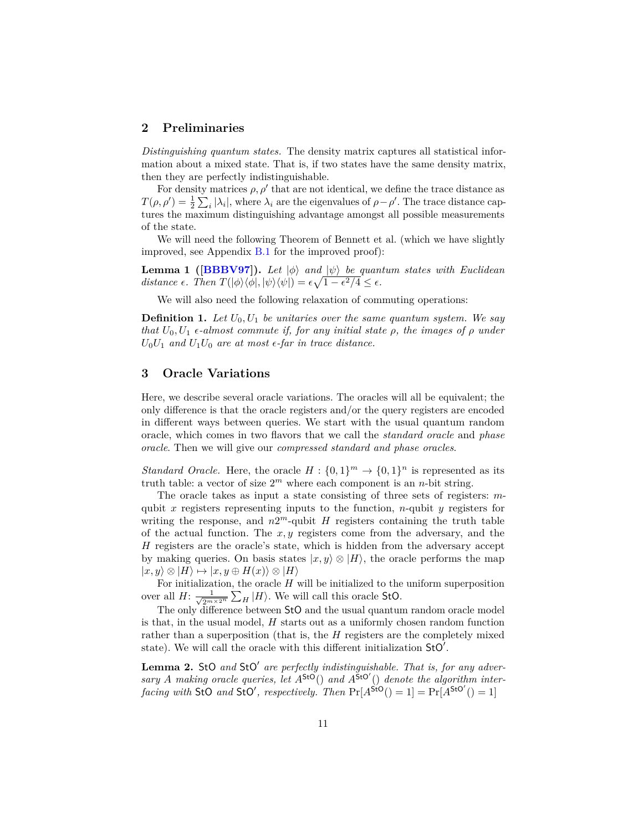# **2 Preliminaries**

*Distinguishing quantum states.* The density matrix captures all statistical information about a mixed state. That is, if two states have the same density matrix, then they are perfectly indistinguishable.

For density matrices  $\rho$ ,  $\rho'$  that are not identical, we define the trace distance as  $T(\rho, \rho') = \frac{1}{2} \sum_{i} |\lambda_i|$ , where  $\lambda_i$  are the eigenvalues of  $\rho - \rho'$ . The trace distance captures the maximum distinguishing advantage amongst all possible measurements of the state.

We will need the following Theorem of Bennett et al. (which we have slightly improved, see Appendix [B.1](#page-31-0) for the improved proof):

**Lemma 1 (** $[\text{BBBV97}]$ ). Let  $|\phi\rangle$  and  $|\psi\rangle$  be quantum states with Euclidean  $distance \epsilon$ . Then  $T(|\phi\rangle\langle\phi|, |\psi\rangle\langle\psi|) = \epsilon \sqrt{1 - \epsilon^2/4} \leq \epsilon$ .

<span id="page-10-1"></span>We will also need the following relaxation of commuting operations:

**Definition 1.** Let  $U_0, U_1$  be unitaries over the same quantum system. We say *that*  $U_0, U_1$   $\epsilon$ *-almost commute if, for any initial state*  $\rho$ *, the images of*  $\rho$  *under*  $U_0U_1$  *and*  $U_1U_0$  *are at most*  $\epsilon$ -far *in trace distance*.

# <span id="page-10-0"></span>**3 Oracle Variations**

Here, we describe several oracle variations. The oracles will all be equivalent; the only difference is that the oracle registers and/or the query registers are encoded in different ways between queries. We start with the usual quantum random oracle, which comes in two flavors that we call the *standard oracle* and *phase oracle*. Then we will give our *compressed standard and phase oracles*.

*Standard Oracle.* Here, the oracle  $H: \{0,1\}^m \to \{0,1\}^n$  is represented as its truth table: a vector of size  $2^m$  where each component is an *n*-bit string.

The oracle takes as input a state consisting of three sets of registers: *m*qubit *x* registers representing inputs to the function, *n*-qubit *y* registers for writing the response, and  $n2^m$ -qubit *H* registers containing the truth table of the actual function. The *x, y* registers come from the adversary, and the *H* registers are the oracle's state, which is hidden from the adversary accept by making queries. On basis states  $|x, y\rangle \otimes |H\rangle$ , the oracle performs the map  $|x, y\rangle \otimes |H\rangle \mapsto |x, y \oplus H(x)\rangle \otimes |H\rangle$ 

For initialization, the oracle *H* will be initialized to the uniform superposition over all  $H: \frac{1}{\sqrt{2^{m \times 2^n}}} \sum_H |H\rangle$ . We will call this oracle StO.

The only difference between StO and the usual quantum random oracle model is that, in the usual model, *H* starts out as a uniformly chosen random function rather than a superposition (that is, the *H* registers are the completely mixed state). We will call the oracle with this different initialization  $StO'$ .

**Lemma 2.** StO and StO' are perfectly indistinguishable. That is, for any adversary *A* making oracle queries, let  $A^{StO}(n)$  and  $A^{StO}(n)$  denote the algorithm inter*facing with* StO and StO', respectively. Then  $Pr[A^{StO}(i) = 1] = Pr[A^{StO}(i) = 1]$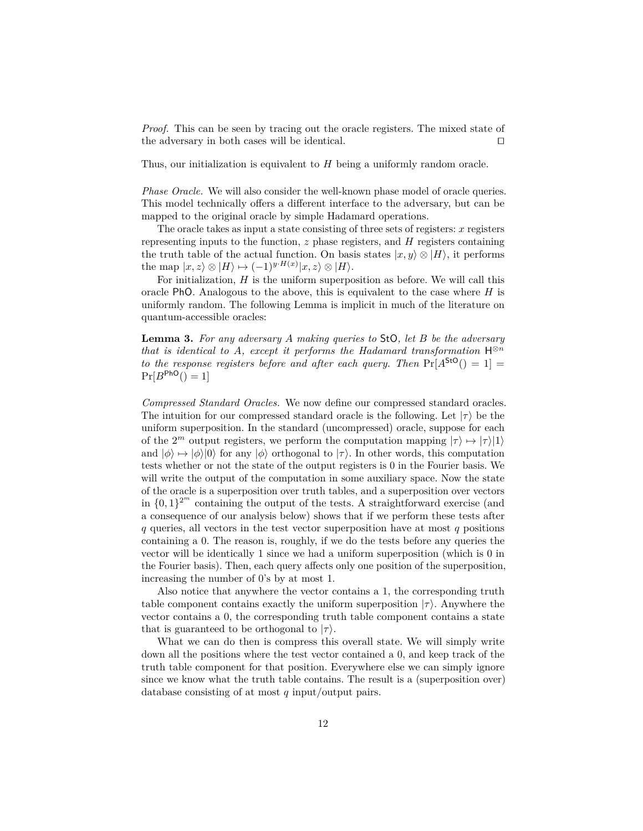*Proof.* This can be seen by tracing out the oracle registers. The mixed state of the adversary in both cases will be identical.  $\Box$ 

Thus, our initialization is equivalent to *H* being a uniformly random oracle.

*Phase Oracle.* We will also consider the well-known phase model of oracle queries. This model technically offers a different interface to the adversary, but can be mapped to the original oracle by simple Hadamard operations.

The oracle takes as input a state consisting of three sets of registers: *x* registers representing inputs to the function, *z* phase registers, and *H* registers containing the truth table of the actual function. On basis states  $|x, y \rangle \otimes |H\rangle$ , it performs the map  $|x, z \rangle \otimes |H\rangle \mapsto (-1)^{y \cdot H(x)} |x, z \rangle \otimes |H\rangle.$ 

For initialization, *H* is the uniform superposition as before. We will call this oracle PhO. Analogous to the above, this is equivalent to the case where *H* is uniformly random. The following Lemma is implicit in much of the literature on quantum-accessible oracles:

**Lemma 3.** *For any adversary A making queries to* StO*, let B be the adversary that is identical to A, except it performs the Hadamard transformation*  $H^{\otimes n}$ *to the response registers before and after each query. Then*  $Pr[A^{StO}() = 1] =$  $Pr[B^{PhO}() = 1]$ 

*Compressed Standard Oracles.* We now define our compressed standard oracles. The intuition for our compressed standard oracle is the following. Let  $|\tau\rangle$  be the uniform superposition. In the standard (uncompressed) oracle, suppose for each of the  $2^m$  output registers, we perform the computation mapping  $|\tau\rangle \mapsto |\tau\rangle |1\rangle$ and  $|\phi\rangle \mapsto |\phi\rangle|0\rangle$  for any  $|\phi\rangle$  orthogonal to  $|\tau\rangle$ . In other words, this computation tests whether or not the state of the output registers is 0 in the Fourier basis. We will write the output of the computation in some auxiliary space. Now the state of the oracle is a superposition over truth tables, and a superposition over vectors in  $\{0,1\}^{2^m}$  containing the output of the tests. A straightforward exercise (and a consequence of our analysis below) shows that if we perform these tests after *q* queries, all vectors in the test vector superposition have at most *q* positions containing a 0. The reason is, roughly, if we do the tests before any queries the vector will be identically 1 since we had a uniform superposition (which is 0 in the Fourier basis). Then, each query affects only one position of the superposition, increasing the number of 0's by at most 1.

Also notice that anywhere the vector contains a 1, the corresponding truth table component contains exactly the uniform superposition  $|\tau\rangle$ . Anywhere the vector contains a 0, the corresponding truth table component contains a state that is guaranteed to be orthogonal to  $|\tau\rangle$ .

What we can do then is compress this overall state. We will simply write down all the positions where the test vector contained a 0, and keep track of the truth table component for that position. Everywhere else we can simply ignore since we know what the truth table contains. The result is a (superposition over) database consisting of at most *q* input/output pairs.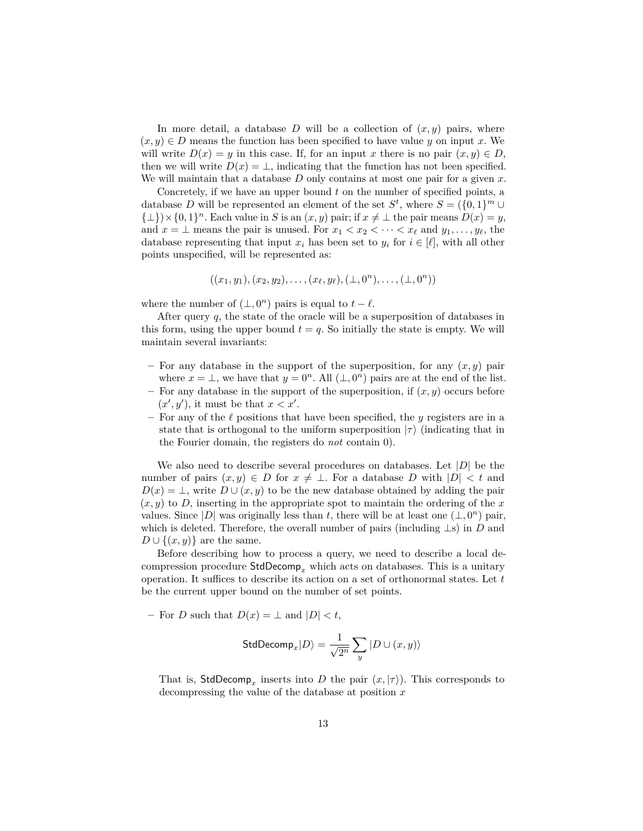In more detail, a database  $D$  will be a collection of  $(x, y)$  pairs, where  $(x, y) \in D$  means the function has been specified to have value *y* on input *x*. We will write  $D(x) = y$  in this case. If, for an input x there is no pair  $(x, y) \in D$ , then we will write  $D(x) = \perp$ , indicating that the function has not been specified. We will maintain that a database *D* only contains at most one pair for a given *x*.

Concretely, if we have an upper bound *t* on the number of specified points, a database *D* will be represented an element of the set  $S^t$ , where  $S = (\{0, 1\}^m \cup$  $\{\perp\}\times\{0,1\}^n$ . Each value in *S* is an  $(x, y)$  pair; if  $x \neq \perp$  the pair means  $D(x) = y$ , and  $x = \perp$  means the pair is unused. For  $x_1 < x_2 < \cdots < x_\ell$  and  $y_1, \ldots, y_\ell$ , the database representing that input  $x_i$  has been set to  $y_i$  for  $i \in [\ell]$ , with all other points unspecified, will be represented as:

$$
((x_1,y_1),(x_2,y_2),\ldots,(x_{\ell},y_{\ell}),(\perp,0^n),\ldots,(\perp,0^n))
$$

where the number of  $(\perp, 0^n)$  pairs is equal to  $t - \ell$ .

After query *q*, the state of the oracle will be a superposition of databases in this form, using the upper bound  $t = q$ . So initially the state is empty. We will maintain several invariants:

- **–** For any database in the support of the superposition, for any (*x, y*) pair where  $x = \perp$ , we have that  $y = 0^n$ . All  $(\perp, 0^n)$  pairs are at the end of the list.
- **–** For any database in the support of the superposition, if (*x, y*) occurs before  $(x', y')$ , it must be that  $x < x'$ .
- For any of the  $\ell$  positions that have been specified, the  $\eta$  registers are in a state that is orthogonal to the uniform superposition  $|\tau\rangle$  (indicating that in the Fourier domain, the registers do *not* contain 0).

We also need to describe several procedures on databases. Let |*D*| be the number of pairs  $(x, y) \in D$  for  $x \neq \bot$ . For a database *D* with  $|D| < t$  and  $D(x) = \perp$ , write  $D \cup (x, y)$  to be the new database obtained by adding the pair  $(x, y)$  to *D*, inserting in the appropriate spot to maintain the ordering of the *x* values. Since  $|D|$  was originally less than *t*, there will be at least one  $(\perp, 0^n)$  pair, which is deleted. Therefore, the overall number of pairs (including ⊥s) in *D* and  $D \cup \{(x, y)\}\$ are the same.

Before describing how to process a query, we need to describe a local decompression procedure StdDecomp<sub>x</sub> which acts on databases. This is a unitary operation. It suffices to describe its action on a set of orthonormal states. Let *t* be the current upper bound on the number of set points.

**–** For *D* such that *D*(*x*) = ⊥ and |*D*| *< t*,

$$
\text{StdDecomp}_x|D\rangle = \frac{1}{\sqrt{2^n}}\sum_y |D\cup (x,y)\rangle
$$

That is,  $\mathsf{StdDecomp}_x$  inserts into  $D$  the pair  $(x,|\tau\rangle)$ . This corresponds to decompressing the value of the database at position *x*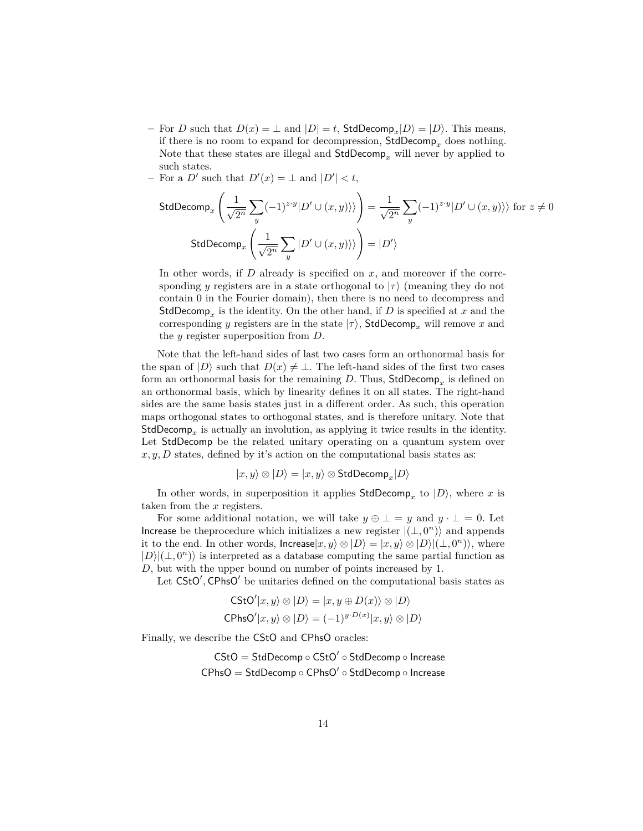- $−$  For *D* such that  $D(x) = \bot$  and  $|D| = t$ , StdDecomp<sub>*x*</sub> $|D⟩ = |D⟩$ . This means, if there is no room to expand for decompression, StdDecomp*<sup>x</sup>* does nothing. Note that these states are illegal and  $\mathsf{StdDecomp}_x$  will never by applied to such states.
- **−** For a *D'* such that  $D'(x) = \bot$  and  $|D'| < t$ ,

$$
\begin{aligned} \text{StdDecomp}_x \left( \frac{1}{\sqrt{2^n}} \sum_y (-1)^{z \cdot y} |D' \cup (x, y) \rangle \right) &= \frac{1}{\sqrt{2^n}} \sum_y (-1)^{z \cdot y} |D' \cup (x, y) \rangle \rangle \text{ for } z \neq 0 \\ \text{StdDecomp}_x \left( \frac{1}{\sqrt{2^n}} \sum_y |D' \cup (x, y) \rangle \rangle \right) &= |D' \rangle \end{aligned}
$$

In other words, if *D* already is specified on *x*, and moreover if the corresponding *y* registers are in a state orthogonal to  $|\tau\rangle$  (meaning they do not contain 0 in the Fourier domain), then there is no need to decompress and StdDecomp*<sup>x</sup>* is the identity. On the other hand, if *D* is specified at *x* and the corresponding *y* registers are in the state  $|\tau\rangle$ , StdDecomp<sub>*x*</sub> will remove *x* and the *y* register superposition from *D*.

Note that the left-hand sides of last two cases form an orthonormal basis for the span of  $|D\rangle$  such that  $D(x) \neq \bot$ . The left-hand sides of the first two cases form an orthonormal basis for the remaining  $D$ . Thus,  $\mathsf{StdDecomp}_x$  is defined on an orthonormal basis, which by linearity defines it on all states. The right-hand sides are the same basis states just in a different order. As such, this operation maps orthogonal states to orthogonal states, and is therefore unitary. Note that  $StdDecomp_x$  is actually an involution, as applying it twice results in the identity. Let StdDecomp be the related unitary operating on a quantum system over  $x, y, D$  states, defined by it's action on the computational basis states as:

$$
|x,y\rangle\otimes|D\rangle=|x,y\rangle\otimes\text{StdDecomp}_x|D\rangle
$$

In other words, in superposition it applies  $\mathsf{StdDecomp}_x$  to  $|D\rangle$ , where  $x$  is taken from the *x* registers.

For some additional notation, we will take  $y \oplus \bot = y$  and  $y \cdot \bot = 0$ . Let Increase be the procedure which initializes a new register  $|(\perp, 0^n)\rangle$  and appends it to the end. In other words,  $\text{increase}|x, y\rangle \otimes |D\rangle = |x, y\rangle \otimes |D\rangle |(\perp, 0^n)\rangle$ , where  $|D\rangle|(\perp, 0^n)$  is interpreted as a database computing the same partial function as *D*, but with the upper bound on number of points increased by 1.

Let CStO', CPhsO' be unitaries defined on the computational basis states as

$$
\begin{aligned} \mathsf{CStO}'|x,y\rangle \otimes |D\rangle &= |x,y \oplus D(x)\rangle \otimes |D\rangle \\ \mathsf{CPhsO}'|x,y\rangle \otimes |D\rangle &= (-1)^{y \cdot D(x)}|x,y\rangle \otimes |D\rangle \end{aligned}
$$

Finally, we describe the CStO and CPhsO oracles:

 $CStO = StdDecomp \circ CStO' \circ StdDecomp \circ Increase$  $\mathsf{CPhsO} = \mathsf{StdDecomp} \circ \mathsf{CPhsO}' \circ \mathsf{StdDecomp} \circ \mathsf{Increase}$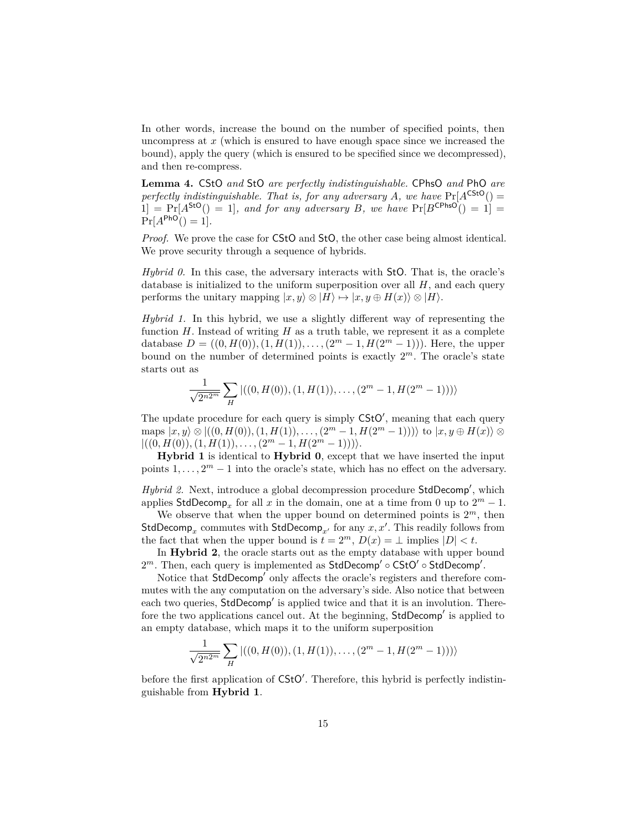In other words, increase the bound on the number of specified points, then uncompress at *x* (which is ensured to have enough space since we increased the bound), apply the query (which is ensured to be specified since we decompressed), and then re-compress.

<span id="page-14-0"></span>**Lemma 4.** CStO *and* StO *are perfectly indistinguishable.* CPhsO *and* PhO *are perfectly indistinguishable. That is, for any adversary A, we have*  $Pr[A^{CStO}( ) =$  $1$  = Pr[ $A^{StO}(i) = 1$ ]*, and for any adversary B, we have* Pr[ $B^{CPhsO}(i) = 1$ ] =  $Pr[A^{PhO}() = 1].$ 

*Proof.* We prove the case for CStO and StO, the other case being almost identical. We prove security through a sequence of hybrids.

*Hybrid 0.* In this case, the adversary interacts with StO. That is, the oracle's database is initialized to the uniform superposition over all *H*, and each query performs the unitary mapping  $|x, y\rangle \otimes |H\rangle \mapsto |x, y \oplus H(x)\rangle \otimes |H\rangle$ .

*Hybrid 1.* In this hybrid, we use a slightly different way of representing the function  $H$ . Instead of writing  $H$  as a truth table, we represent it as a complete database  $D = ((0, H(0)), (1, H(1)), \ldots, (2<sup>m</sup> - 1, H(2<sup>m</sup> - 1)))$ . Here, the upper bound on the number of determined points is exactly 2 *<sup>m</sup>*. The oracle's state starts out as

$$
\frac{1}{\sqrt{2^{n2^m}}}\sum_{H} |((0, H(0)), (1, H(1)), \dots, (2^m - 1, H(2^m - 1)))\rangle
$$

The update procedure for each query is simply  $CStO'$ , meaning that each query maps  $|x, y⟩ \otimes |((0, H(0)), (1, H(1)), \ldots, (2<sup>m</sup> − 1, H(2<sup>m</sup> − 1))))$  to  $|x, y ⊕ H(x)) ⊗$  $|((0, H(0)), (1, H(1)), \ldots, (2<sup>m</sup> - 1, H(2<sup>m</sup> - 1))))$ .

**Hybrid 1** is identical to **Hybrid 0**, except that we have inserted the input points  $1, \ldots, 2^m - 1$  into the oracle's state, which has no effect on the adversary.

Hybrid 2. Next, introduce a global decompression procedure StdDecomp', which applies  $\textsf{StdDecomp}_x$  for all *x* in the domain, one at a time from 0 up to  $2^m - 1$ .

We observe that when the upper bound on determined points is  $2^m$ , then  $\mathsf{StdDecomp}_x$  commutes with  $\mathsf{StdDecomp}_{x'}$  for any  $x, x'.$  This readily follows from the fact that when the upper bound is  $t = 2^m$ ,  $D(x) = \perp$  implies  $|D| < t$ .

In **Hybrid 2**, the oracle starts out as the empty database with upper bound  $2^m$ . Then, each query is implemented as  $StdDecomp' \circ CStO' \circ StdDecomp'$ .

Notice that StdDecomp' only affects the oracle's registers and therefore commutes with the any computation on the adversary's side. Also notice that between each two queries, StdDecomp' is applied twice and that it is an involution. Therefore the two applications cancel out. At the beginning, StdDecomp' is applied to an empty database, which maps it to the uniform superposition

$$
\frac{1}{\sqrt{2^{n2^m}}} \sum_{H} |((0, H(0)), (1, H(1)), \dots, (2^m - 1, H(2^m - 1)))\rangle
$$

before the first application of  $CStO'$ . Therefore, this hybrid is perfectly indistinguishable from **Hybrid 1**.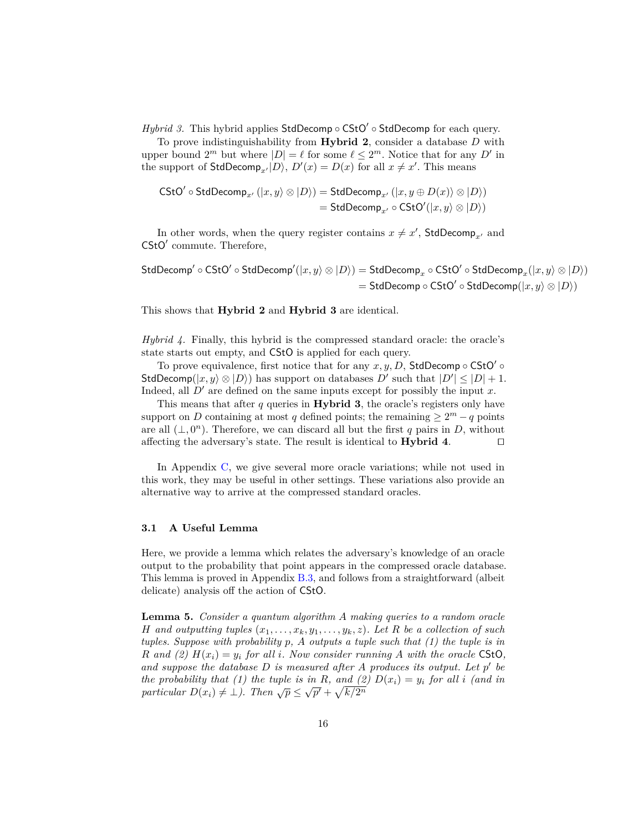*Hybrid 3*. This hybrid applies StdDecomp ∘ CStO' ∘ StdDecomp for each query.

To prove indistinguishability from **Hybrid 2**, consider a database *D* with upper bound  $2^m$  but where  $|D| = \ell$  for some  $\ell \leq 2^m$ . Notice that for any  $D'$  in the support of  $\textsf{StdDecomp}_{x'}|D\rangle$ ,  $D'(x) = D(x)$  for all  $x \neq x'$ . This means

```
\mathsf{CStO}' \circ \mathsf{StdDecomp}_{x'}\left(|x,y\rangle \otimes |D\rangle\right) = \mathsf{StdDecomp}_{x'}\left(|x,y \oplus D(x)\rangle \otimes |D\rangle\right)= StdDecomp_{x'} \circ CStO'(\ket{x,y} \otimes \ket{D})
```
In other words, when the query register contains  $x \neq x'$ , StdDecomp<sub>x</sub><sup>*l*</sup> and CStO' commute. Therefore,

 $\mathsf{StdDecomp}' \circ \mathsf{CStO}' \circ \mathsf{StdDecomp}'(\ket{x,y} \otimes \ket{D}) = \mathsf{StdDecomp}_x \circ \mathsf{CStO}' \circ \mathsf{StdDecomp}_x(\ket{x,y} \otimes \ket{D})$  $=$  StdDecomp  $\circ$  CStO $'$   $\circ$  StdDecomp $(\ket{x,y} \otimes \ket{D})$ 

This shows that **Hybrid 2** and **Hybrid 3** are identical.

*Hybrid 4.* Finally, this hybrid is the compressed standard oracle: the oracle's state starts out empty, and CStO is applied for each query.

To prove equivalence, first notice that for any  $x, y, D$ , StdDecomp  $\circ$  CStO'  $\circ$ StdDecomp( $|x, y \rangle \otimes |D\rangle$ ) has support on databases *D'* such that  $|D'| \leq |D| + 1$ . Indeed, all  $D'$  are defined on the same inputs except for possibly the input  $x$ .

This means that after *q* queries in **Hybrid 3**, the oracle's registers only have support on *D* containing at most *q* defined points; the remaining  $\geq 2^m - q$  points are all  $(\perp, 0^n)$ . Therefore, we can discard all but the first *q* pairs in *D*, without affecting the adversary's state. The result is identical to **Hybrid 4**.  $\Box$ 

In Appendix [C,](#page-38-0) we give several more oracle variations; while not used in this work, they may be useful in other settings. These variations also provide an alternative way to arrive at the compressed standard oracles.

### **3.1 A Useful Lemma**

Here, we provide a lemma which relates the adversary's knowledge of an oracle output to the probability that point appears in the compressed oracle database. This lemma is proved in Appendix [B.3,](#page-32-0) and follows from a straightforward (albeit delicate) analysis off the action of CStO.

<span id="page-15-0"></span>**Lemma 5.** *Consider a quantum algorithm A making queries to a random oracle H* and outputting tuples  $(x_1, \ldots, x_k, y_1, \ldots, y_k, z)$ . Let R be a collection of such *tuples. Suppose with probability p, A outputs a tuple such that (1) the tuple is in R* and (2)  $H(x_i) = y_i$  for all *i*. Now consider running *A* with the oracle CStO, and suppose the database  $D$  is measured after  $A$  produces its output. Let  $p'$  be *the probability that (1) the tuple is in R, and (2)*  $D(x_i) = y_i$  *for all i (and in*) *particular*  $D(x_i) \neq \bot$ . Then  $\sqrt{p} \leq \sqrt{p'} + \sqrt{k/2^n}$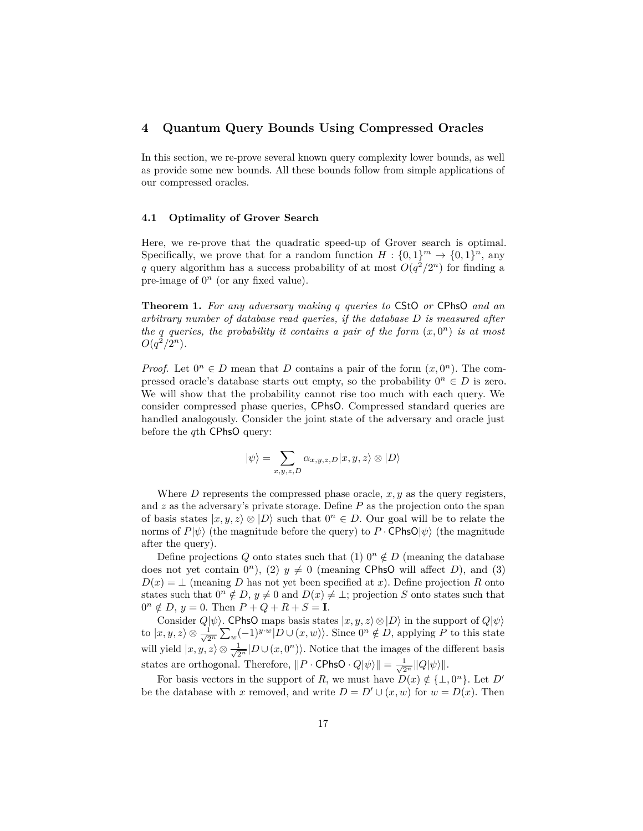# **4 Quantum Query Bounds Using Compressed Oracles**

In this section, we re-prove several known query complexity lower bounds, as well as provide some new bounds. All these bounds follow from simple applications of our compressed oracles.

### **4.1 Optimality of Grover Search**

Here, we re-prove that the quadratic speed-up of Grover search is optimal. Specifically, we prove that for a random function  $H: \{0,1\}^m \to \{0,1\}^n$ , any *q* query algorithm has a success probability of at most  $O(q^2/2^n)$  for finding a pre-image of  $0<sup>n</sup>$  (or any fixed value).

<span id="page-16-0"></span>**Theorem 1.** *For any adversary making q queries to* CStO *or* CPhsO *and an arbitrary number of database read queries, if the database D is measured after the q queries, the probability it contains a pair of the form*  $(x, 0^n)$  *is at most*  $O(q^2/2^n)$ .

*Proof.* Let  $0^n \in D$  mean that *D* contains a pair of the form  $(x, 0^n)$ . The compressed oracle's database starts out empty, so the probability  $0^n \in D$  is zero. We will show that the probability cannot rise too much with each query. We consider compressed phase queries, CPhsO. Compressed standard queries are handled analogously. Consider the joint state of the adversary and oracle just before the *q*th CPhsO query:

$$
|\psi\rangle = \sum_{x,y,z,D} \alpha_{x,y,z,D} |x,y,z\rangle \otimes |D\rangle
$$

Where *D* represents the compressed phase oracle, *x, y* as the query registers, and *z* as the adversary's private storage. Define *P* as the projection onto the span of basis states  $|x, y, z \rangle \otimes |D\rangle$  such that  $0^n \in D$ . Our goal will be to relate the norms of  $P|\psi\rangle$  (the magnitude before the query) to  $P \cdot \mathsf{CPhso}|\psi\rangle$  (the magnitude after the query).

Define projections  $Q$  onto states such that (1)  $0^n \notin D$  (meaning the database does not yet contain  $0^n$ ), (2)  $y \neq 0$  (meaning CPhsO will affect *D*), and (3)  $D(x) = \perp$  (meaning *D* has not yet been specified at *x*). Define projection *R* onto states such that  $0^n \notin D$ ,  $y \neq 0$  and  $D(x) \neq \bot$ ; projection *S* onto states such that  $0^{n} \notin D, y = 0.$  Then  $P + Q + R + S = I$ .

Consider  $Q|\psi\rangle$ . CPhsO maps basis states  $|x, y, z\rangle \otimes |D\rangle$  in the support of  $Q|\psi\rangle$ to  $|x,y,z\rangle\otimes\frac{-1}{\sqrt{2}}$  $\frac{1}{2^n}$  ∑<sub>*w*</sub>(-1)<sup>*y*</sup>·<sup>*w*</sup>|*D* ∪ (*x, w*)). Since 0<sup>*n*</sup> ∉ *D*, applying *P* to this state will yield  $|x,y,z\rangle \otimes \frac{1}{\sqrt{2}}$  $\frac{1}{2^n}|D\cup(x,0^n)\rangle$ . Notice that the images of the different basis states are orthogonal. Therefore,  $||P \cdot \mathsf{CPhsO} \cdot Q|\psi\rangle|| = \frac{1}{\sqrt{2}}$  $\frac{1}{2^n}$  $||Q|\psi\rangle||.$ 

For basis vectors in the support of *R*, we must have  $D(x) \notin \{\perp, 0^n\}$ . Let *D'* be the database with *x* removed, and write  $D = D' \cup (x, w)$  for  $w = D(x)$ . Then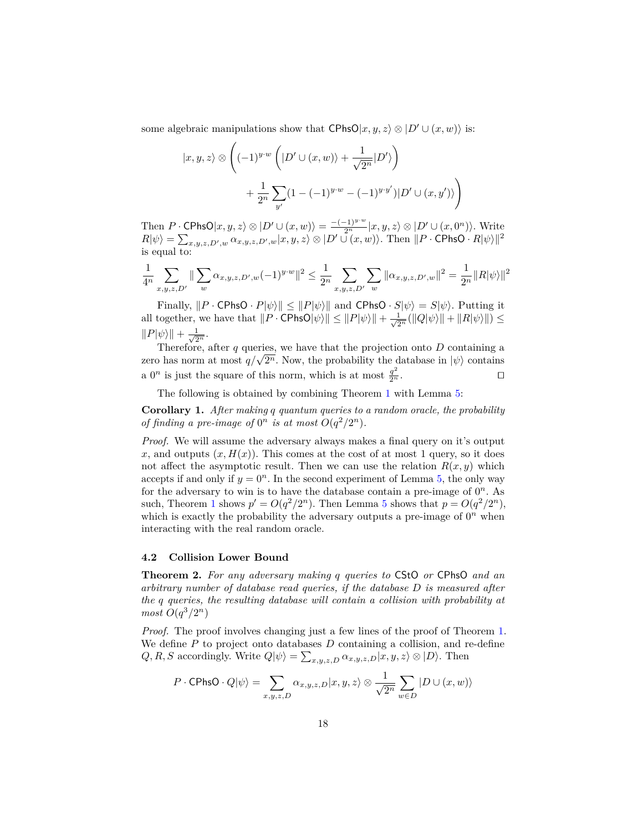some algebraic manipulations show that  $\mathsf{CPhsO}|x, y, z\rangle \otimes |D' \cup (x, w)\rangle$  is:

$$
|x, y, z\rangle \otimes \left( (-1)^{y \cdot w} \left( |D' \cup (x, w) \rangle + \frac{1}{\sqrt{2^n}} |D' \rangle \right) + \frac{1}{2^n} \sum_{y'} (1 - (-1)^{y \cdot w} - (-1)^{y \cdot y'}) |D' \cup (x, y') \rangle \right)
$$

Then  $P \cdot \text{CPhs}Q | x, y, z \rangle \otimes | D' \cup (x, w) \rangle = \frac{-(-1)^{y \cdot w}}{2^n} | x, y, z \rangle \otimes | D' \cup (x, 0^n) \rangle.$  Write  $R|\psi\rangle = \sum_{x,y,z,D',w} \alpha_{x,y,z,D',w} |x,y,z\rangle \otimes |D' \cup (x,w)\rangle$ . Then  $||P \cdot \mathsf{CPhso} \cdot R|\psi\rangle||^2$ is equal to:

$$
\frac{1}{4^n} \sum_{x,y,z,D'} \|\sum_{w} \alpha_{x,y,z,D',w}(-1)^{y \cdot w}\|^2 \le \frac{1}{2^n} \sum_{x,y,z,D'} \sum_{w} \|\alpha_{x,y,z,D',w}\|^2 = \frac{1}{2^n} \|R|\psi\rangle\|^2
$$

Finally,  $||P \cdot \text{CPhsO} \cdot P|\psi\rangle|| \le ||P|\psi\rangle||$  and  $\text{CPhsO} \cdot S|\psi\rangle = S|\psi\rangle$ . Putting it all together, we have that  $||P \cdot \text{CPhsO}(\psi)|| \leq ||P|\psi\rangle|| + \frac{1}{\sqrt{2}}$  $\frac{1}{2^n}$ ( $||Q|\psi\rangle|| + ||R|\psi\rangle||$ )  $\leq$  $||P|\psi\rangle|| + \frac{1}{\sqrt{2}}$  $rac{1}{2^n}$ .

Therefore, after *q* queries, we have that the projection onto *D* containing a Therefore, after q queries, we have that the projection onto  $D$  containing a zero has norm at most  $q/\sqrt{2^n}$ . Now, the probability the database in  $|\psi\rangle$  contains a  $0^n$  is just the square of this norm, which is at most  $\frac{q^2}{2^n}$  $\frac{q^2}{2^n}$ .

The following is obtained by combining Theorem [1](#page-16-0) with Lemma [5:](#page-15-0)

**Corollary 1.** *After making q quantum queries to a random oracle, the probability of finding a pre-image of*  $0^n$  *is at most*  $O(q^2/2^n)$ *.* 

*Proof.* We will assume the adversary always makes a final query on it's output x, and outputs  $(x, H(x))$ . This comes at the cost of at most 1 query, so it does not affect the asymptotic result. Then we can use the relation  $R(x, y)$  which accepts if and only if  $y = 0<sup>n</sup>$ . In the second experiment of Lemma [5,](#page-15-0) the only way for the adversary to win is to have the database contain a pre-image of  $0<sup>n</sup>$ . As such, Theorem [1](#page-16-0) shows  $p' = O(q^2/2^n)$ . Then Lemma [5](#page-15-0) shows that  $p = O(q^2/2^n)$ , which is exactly the probability the adversary outputs a pre-image of  $0<sup>n</sup>$  when interacting with the real random oracle.

### **4.2 Collision Lower Bound**

<span id="page-17-0"></span>**Theorem 2.** *For any adversary making q queries to* CStO *or* CPhsO *and an arbitrary number of database read queries, if the database D is measured after the q queries, the resulting database will contain a collision with probability at most*  $O(q^3/2^n)$ 

*Proof.* The proof involves changing just a few lines of the proof of Theorem [1.](#page-16-0) We define *P* to project onto databases *D* containing a collision, and re-define  $Q, R, S$  accordingly. Write  $Q|\psi\rangle = \sum_{x,y,z,D} \alpha_{x,y,z,D}|x,y,z\rangle \otimes |D\rangle$ . Then

$$
P \cdot \mathsf{CPhsO} \cdot Q |\psi\rangle = \sum_{x,y,z,D} \alpha_{x,y,z,D} |x,y,z\rangle \otimes \frac{1}{\sqrt{2^n}} \sum_{w \in D} |D \cup (x,w)\rangle
$$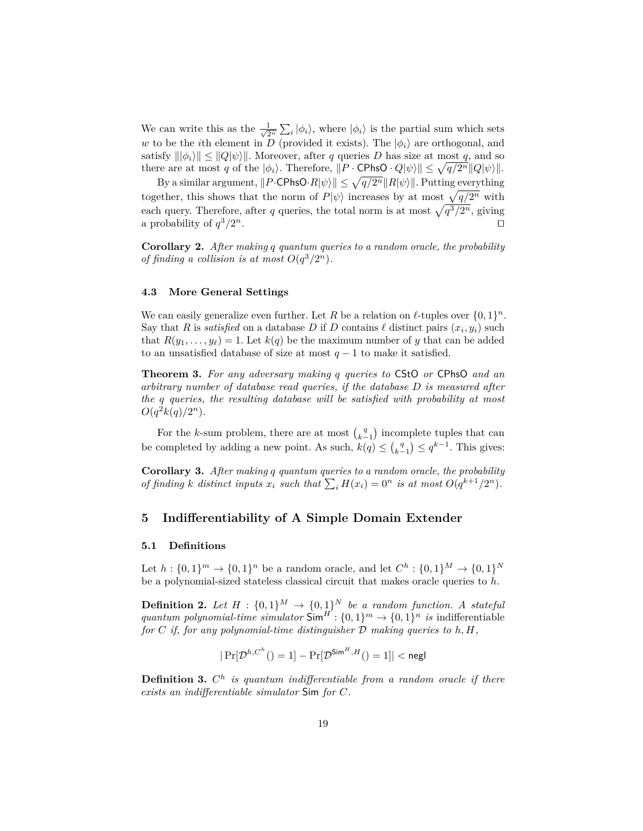We can write this as the  $\frac{1}{\sqrt{2}}$  $\frac{1}{2^n} \sum_i |\phi_i\rangle$ , where  $|\phi_i\rangle$  is the partial sum which sets *w* to be the *i*th element in *D* (provided it exists). The  $|\phi_i\rangle$  are orthogonal, and satisfy  $\|\phi_i\| \leq \|Q|\psi\|$ . Moreover, after *q* queries *D* has size at most *q*, and so there are at most *q* of the  $|\phi_i\rangle$ . Therefore,  $||P \cdot \text{CPhsO} \cdot Q|\psi\rangle|| \leq \sqrt{q/2^n} ||Q|\psi\rangle||$ .

By a similar argument,  $||P \cdot \mathsf{CPhsO} \cdot R|\psi\rangle|| \leq \sqrt{q/2^n} ||R|\psi\rangle||$ . Putting everything together, this shows that the norm of  $P|\psi\rangle$  increases by at most  $\sqrt{q/2^n}$  with each query. Therefore, after *q* queries, the total norm is at most  $\sqrt{q^3/2^n}$ , giving a probability of *q* <sup>3</sup>*/*2  $n$ .

**Corollary 2.** *After making q quantum queries to a random oracle, the probability of finding a collision is at most*  $O(q^3/2^n)$ *.* 

### **4.3 More General Settings**

We can easily generalize even further. Let R be a relation on  $\ell$ -tuples over  $\{0,1\}^n$ . Say that *R* is *satisfied* on a database *D* if *D* contains  $\ell$  distinct pairs  $(x_i, y_i)$  such that  $R(y_1, \ldots, y_\ell) = 1$ . Let  $k(q)$  be the maximum number of *y* that can be added to an unsatisfied database of size at most  $q-1$  to make it satisfied.

**Theorem 3.** *For any adversary making q queries to* CStO *or* CPhsO *and an arbitrary number of database read queries, if the database D is measured after the q queries, the resulting database will be satisfied with probability at most*  $O(q^2k(q)/2^n)$ .

For the *k*-sum problem, there are at most  $\binom{q}{k-1}$  incomplete tuples that can be completed by adding a new point. As such,  $k(q) \leq {q \choose k-1} \leq q^{k-1}$ . This gives:

**Corollary 3.** *After making q quantum queries to a random oracle, the probability of finding k distinct inputs*  $x_i$  *such that*  $\sum_i H(x_i) = 0^n$  *is at most*  $O(q^{k+1}/2^n)$ *.* 

# <span id="page-18-0"></span>**5 Indifferentiability of A Simple Domain Extender**

#### **5.1 Definitions**

Let  $h: \{0,1\}^m \to \{0,1\}^n$  be a random oracle, and let  $C^h: \{0,1\}^M \to \{0,1\}^N$ be a polynomial-sized stateless classical circuit that makes oracle queries to *h*.

**Definition 2.** Let  $H : \{0,1\}^M \to \{0,1\}^N$  be a random function. A stateful *quantum polynomial-time simulator*  $\text{Sim}^H: \{0, 1\}^m \to \{0, 1\}^n$  *is* indifferentiable *for C if, for any polynomial-time distinguisher* D *making queries to h, H,*

$$
|\Pr[\mathcal{D}^{h,C^h}() = 1] - \Pr[\mathcal{D}^{\mathsf{Sim}^H,H}() = 1]| < \mathsf{negl}
$$

**Definition 3.** *C h is quantum indifferentiable from a random oracle if there exists an indifferentiable simulator* Sim *for C.*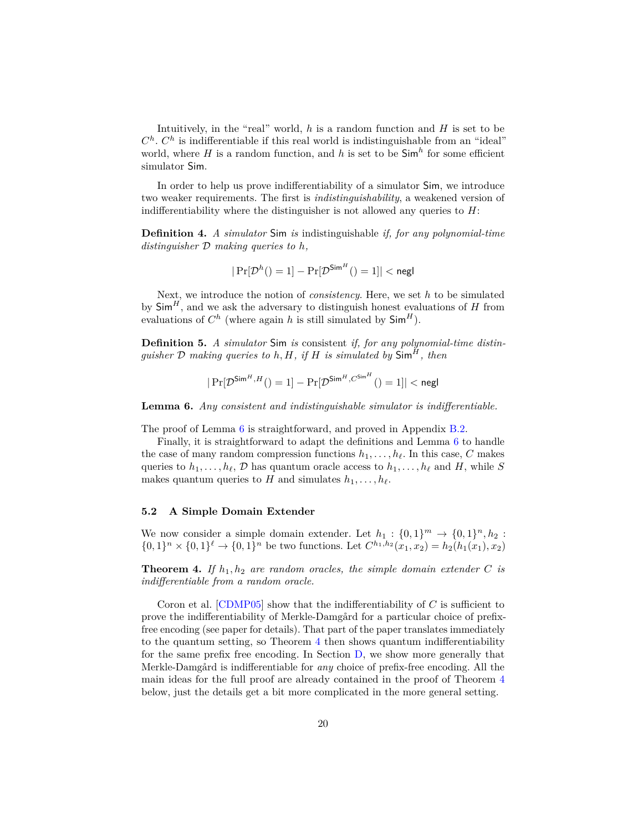Intuitively, in the "real" world, *h* is a random function and *H* is set to be  $C<sup>h</sup>$ .  $C<sup>h</sup>$  is indifferentiable if this real world is indistinguishable from an "ideal" world, where  $H$  is a random function, and  $h$  is set to be  $\mathsf{Sim}^h$  for some efficient simulator Sim.

In order to help us prove indifferentiability of a simulator Sim, we introduce two weaker requirements. The first is *indistinguishability*, a weakened version of indifferentiability where the distinguisher is not allowed any queries to *H*:

**Definition 4.** *A simulator* Sim *is* indistinguishable *if, for any polynomial-time distinguisher* D *making queries to h,*

$$
|\Pr[\mathcal{D}^h() = 1] - \Pr[\mathcal{D}^{\mathsf{Sim}^H}( ) = 1]| < \mathsf{negl}
$$

Next, we introduce the notion of *consistency*. Here, we set *h* to be simulated by  $\textsf{Sim}^H$ , and we ask the adversary to distinguish honest evaluations of *H* from evaluations of  $C^h$  (where again *h* is still simulated by  $\mathsf{Sim}^H$ ).

**Definition 5.** *A simulator* Sim *is* consistent *if, for any polynomial-time distinguisher*  $D$  *making queries to*  $h$ ,  $H$ *, if*  $H$  *is simulated by*  $\text{Sim}^H$ *, then* 

$$
|\Pr[\boldsymbol{\mathcal{D}}^{\mathsf{Sim}^H, H}() = 1] - \Pr[\boldsymbol{\mathcal{D}}^{\mathsf{Sim}^H, \boldsymbol{\mathcal{C}}^{\mathsf{Sim}^H}}() = 1]| < \mathsf{negl}
$$

<span id="page-19-0"></span>**Lemma 6.** *Any consistent and indistinguishable simulator is indifferentiable.*

The proof of Lemma [6](#page-19-0) is straightforward, and proved in Appendix [B.2.](#page-32-1)

Finally, it is straightforward to adapt the definitions and Lemma [6](#page-19-0) to handle the case of many random compression functions  $h_1, \ldots, h_\ell$ . In this case, *C* makes queries to  $h_1, \ldots, h_\ell, \mathcal{D}$  has quantum oracle access to  $h_1, \ldots, h_\ell$  and *H*, while *S* makes quantum queries to *H* and simulates  $h_1, \ldots, h_\ell$ .

#### **5.2 A Simple Domain Extender**

We now consider a simple domain extender. Let  $h_1: \{0,1\}^m \to \{0,1\}^n, h_2$ :  $\{0,1\}^n \times \{0,1\}^{\ell} \to \{0,1\}^n$  be two functions. Let  $C^{h_1,h_2}(x_1,x_2) = h_2(h_1(x_1),x_2)$ 

<span id="page-19-1"></span>**Theorem 4.** If  $h_1, h_2$  are random oracles, the simple domain extender  $C$  is *indifferentiable from a random oracle.*

Coron et al. [\[CDMP05\]](#page-28-6) show that the indifferentiability of *C* is sufficient to prove the indifferentiability of Merkle-Damgård for a particular choice of prefixfree encoding (see paper for details). That part of the paper translates immediately to the quantum setting, so Theorem [4](#page-19-1) then shows quantum indifferentiability for the same prefix free encoding. In Section [D,](#page-41-0) we show more generally that Merkle-Damgård is indifferentiable for *any* choice of prefix-free encoding. All the main ideas for the full proof are already contained in the proof of Theorem [4](#page-19-1) below, just the details get a bit more complicated in the more general setting.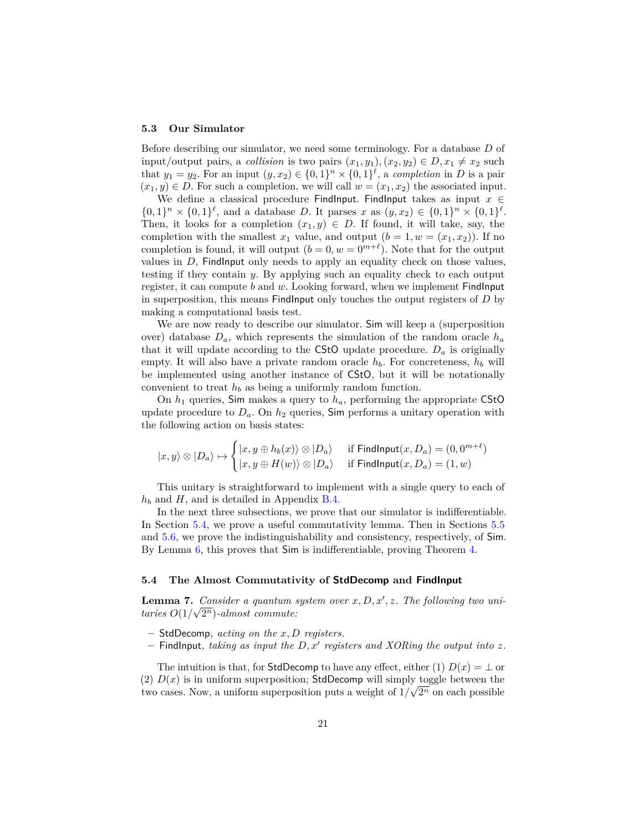#### **5.3 Our Simulator**

Before describing our simulator, we need some terminology. For a database *D* of input/output pairs, a *collision* is two pairs  $(x_1, y_1), (x_2, y_2) \in D, x_1 \neq x_2$  such that  $y_1 = y_2$ . For an input  $(y, x_2) \in \{0, 1\}^n \times \{0, 1\}^{\ell}$ , a *completion* in *D* is a pair  $(x_1, y) \in D$ . For such a completion, we will call  $w = (x_1, x_2)$  the associated input.

We define a classical procedure FindInput. FindInput takes as input  $x \in$  $\{0,1\}^n \times \{0,1\}^{\ell}$ , and a database *D*. It parses *x* as  $(y,x_2) \in \{0,1\}^n \times \{0,1\}^{\ell}$ . Then, it looks for a completion  $(x_1, y) \in D$ . If found, it will take, say, the completion with the smallest  $x_1$  value, and output  $(b = 1, w = (x_1, x_2))$ . If no completion is found, it will output  $(b = 0, w = 0^{m+\ell})$ . Note that for the output values in  $D$ , Findlnput only needs to apply an equality check on those values, testing if they contain *y*. By applying such an equality check to each output register, it can compute *b* and *w*. Looking forward, when we implement FindInput in superposition, this means FindInput only touches the output registers of *D* by making a computational basis test.

We are now ready to describe our simulator. Sim will keep a (superposition over) database  $D_a$ , which represents the simulation of the random oracle  $h_a$ that it will update according to the CStO update procedure.  $D_a$  is originally empty. It will also have a private random oracle  $h_b$ . For concreteness,  $h_b$  will be implemented using another instance of CStO, but it will be notationally convenient to treat *h<sup>b</sup>* as being a uniformly random function.

On  $h_1$  queries, Sim makes a query to  $h_a$ , performing the appropriate CStO update procedure to  $D_a$ . On  $h_2$  queries, Sim performs a unitary operation with the following action on basis states:

$$
|x, y\rangle \otimes |D_a\rangle \mapsto \begin{cases} |x, y \oplus h_b(x)\rangle \otimes |D_a\rangle & \text{ if FindInput}(x, D_a) = (0, 0^{m+\ell})\\ |x, y \oplus H(w)\rangle \otimes |D_a\rangle & \text{ if FindInput}(x, D_a) = (1, w) \end{cases}
$$

This unitary is straightforward to implement with a single query to each of *h<sup>b</sup>* and *H*, and is detailed in Appendix [B.4.](#page-34-0)

In the next three subsections, we prove that our simulator is indifferentiable. In Section [5.4,](#page-20-0) we prove a useful commutativity lemma. Then in Sections [5.5](#page-21-0) and [5.6,](#page-24-0) we prove the indistinguishability and consistency, respectively, of Sim. By Lemma [6,](#page-19-0) this proves that Sim is indifferentiable, proving Theorem [4.](#page-19-1)

#### <span id="page-20-0"></span>**5.4 The Almost Commutativity of StdDecomp and FindInput**

<span id="page-20-1"></span>**Lemma 7.** *Consider a quantum system over*  $x, D, x', z$ . The following two uni- $\tan 10^{1/\sqrt{2^n}}$ -almost commute:

- **–** StdDecomp*, acting on the x, D registers.*
- $-$  FindInput, taking as input the  $D, x'$  registers and XORing the output into  $z$ .

The intuition is that, for **StdDecomp** to have any effect, either (1)  $D(x) = \perp$  or (2)  $D(x)$  is in uniform superposition; StdDecomp will simply toggle between the two cases. Now, a uniform superposition puts a weight of  $1/\sqrt{2^n}$  on each possible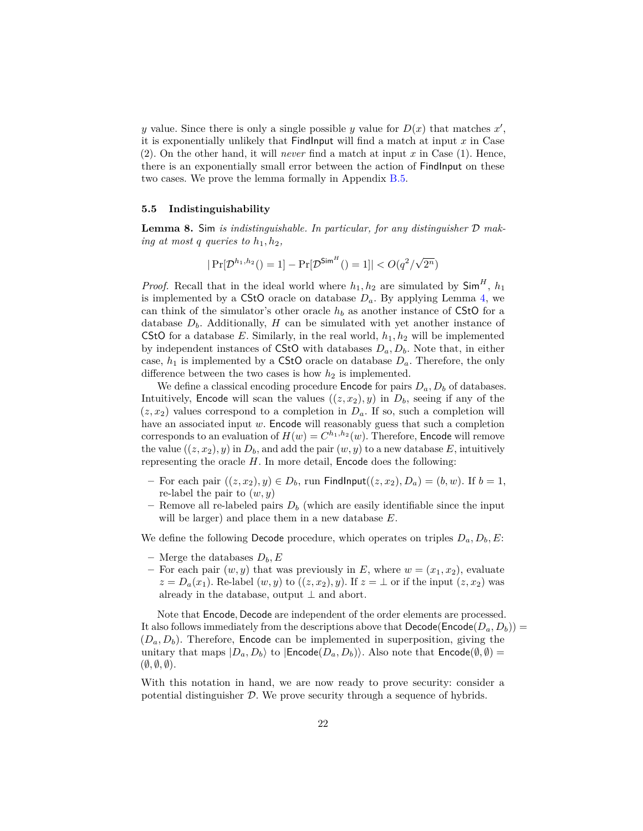*y* value. Since there is only a single possible *y* value for  $D(x)$  that matches  $x'$ , it is exponentially unlikely that FindInput will find a match at input *x* in Case (2). On the other hand, it will *never* find a match at input *x* in Case (1). Hence, there is an exponentially small error between the action of FindInput on these two cases. We prove the lemma formally in Appendix [B.5.](#page-35-0)

### <span id="page-21-0"></span>**5.5 Indistinguishability**

<span id="page-21-1"></span>**Lemma 8.** Sim *is indistinguishable. In particular, for any distinguisher* D *making at most q queries to*  $h_1, h_2$ *,* 

$$
|\Pr[\mathcal{D}^{h_1,h_2}()=1]-\Pr[\mathcal{D}^{\mathsf{Sim}^H}()=1]|
$$

*Proof.* Recall that in the ideal world where  $h_1, h_2$  are simulated by  $\text{Sim}^H$ ,  $h_1$ is implemented by a CStO oracle on database  $D_a$ . By applying Lemma [4,](#page-14-0) we can think of the simulator's other oracle  $h_b$  as another instance of CStO for a database  $D_b$ . Additionally,  $H$  can be simulated with yet another instance of CStO for a database  $E$ . Similarly, in the real world,  $h_1, h_2$  will be implemented by independent instances of CStO with databases *Da, Db*. Note that, in either case,  $h_1$  is implemented by a CStO oracle on database  $D_a$ . Therefore, the only difference between the two cases is how  $h_2$  is implemented.

We define a classical encoding procedure **Encode** for pairs  $D_a$ ,  $D_b$  of databases. Intuitively, Encode will scan the values  $((z, x_2), y)$  in  $D_b$ , seeing if any of the  $(z, x_2)$  values correspond to a completion in  $D_a$ . If so, such a completion will have an associated input *w*. Encode will reasonably guess that such a completion corresponds to an evaluation of  $H(w) = C^{h_1, h_2}(w)$ . Therefore, **Encode** will remove the value  $((z, x_2), y)$  in  $D_b$ , and add the pair  $(w, y)$  to a new database  $E$ , intuitively representing the oracle *H*. In more detail, Encode does the following:

- **–** For each pair ((*z, x*2)*, y*) ∈ *Db*, run FindInput((*z, x*2)*, Da*) = (*b, w*). If *b* = 1, re-label the pair to  $(w, y)$
- **–** Remove all re-labeled pairs *D<sup>b</sup>* (which are easily identifiable since the input will be larger) and place them in a new database *E*.

We define the following **Decode** procedure, which operates on triples  $D_a, D_b, E$ :

- **–** Merge the databases *Db, E*
- For each pair  $(w, y)$  that was previously in *E*, where  $w = (x_1, x_2)$ , evaluate  $z = D_a(x_1)$ . Re-label  $(w, y)$  to  $((z, x_2), y)$ . If  $z = \perp$  or if the input  $(z, x_2)$  was already in the database, output  $\perp$  and abort.

Note that Encode*,* Decode are independent of the order elements are processed. It also follows immediately from the descriptions above that  $\text{Decode}(\text{Encode}(D_a, D_b))$  =  $(D_a, D_b)$ . Therefore, **Encode** can be implemented in superposition, giving the unitary that maps  $|D_a, D_b\rangle$  to  $|\text{Encode}(D_a, D_b)\rangle$ . Also note that  $\text{Encode}(\emptyset, \emptyset)$  =  $(\emptyset, \emptyset, \emptyset)$ .

With this notation in hand, we are now ready to prove security: consider a potential distinguisher D. We prove security through a sequence of hybrids.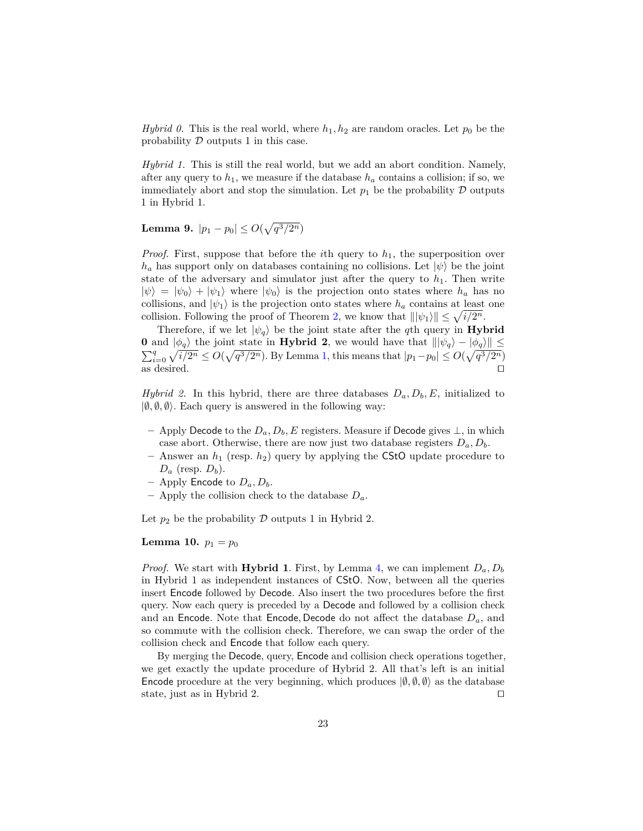*Hybrid 0.* This is the real world, where  $h_1, h_2$  are random oracles. Let  $p_0$  be the probability  $D$  outputs 1 in this case.

*Hybrid 1.* This is still the real world, but we add an abort condition. Namely, after any query to  $h_1$ , we measure if the database  $h_a$  contains a collision; if so, we immediately abort and stop the simulation. Let  $p_1$  be the probability  $\mathcal D$  outputs 1 in Hybrid 1.

<span id="page-22-0"></span> ${\bf Lemma~9.}~~|p_1-p_0| \leq O(\sqrt{q^3/2^n})$ 

*Proof.* First, suppose that before the *i*th query to *h*1, the superposition over  $h_a$  has support only on databases containing no collisions. Let  $|\psi\rangle$  be the joint state of the adversary and simulator just after the query to  $h_1$ . Then write  $|\psi\rangle = |\psi_0\rangle + |\psi_1\rangle$  where  $|\psi_0\rangle$  is the projection onto states where  $h_a$  has no collisions, and  $|\psi_1\rangle$  is the projection onto states where  $h_a$  contains at least one collision. Following the proof of Theorem [2,](#page-17-0) we know that  $\|\psi_1\rangle\| \leq \sqrt{i/2^n}$ .

Therefore, if we let  $|\psi_q\rangle$  be the joint state after the *q*th query in **Hybrid 0** and  $|\phi_q\rangle$  the joint state in **Hybrid 2**, we would have that  $\|\psi_q\rangle - \|\phi_q\rangle\| \le$  $\sum_{i=0}^{q} \sqrt{i/2^n} \leq O(\sqrt{q^3/2^n})$ . By Lemma [1,](#page-10-1) this means that  $|p_1-p_0| \leq O(\sqrt{q^3/2^n})$ as desired.

*Hybrid 2.* In this hybrid, there are three databases  $D_a, D_b, E$ , initialized to  $|\emptyset, \emptyset, \emptyset\rangle$ . Each query is answered in the following way:

- **–** Apply Decode to the *Da, Db, E* registers. Measure if Decode gives ⊥, in which case abort. Otherwise, there are now just two database registers  $D_a, D_b$ .
- **–** Answer an *h*<sup>1</sup> (resp. *h*2) query by applying the CStO update procedure to  $D_a$  (resp.  $D_b$ ).
- $-$  Apply Encode to  $D_a, D_b$ .
- <span id="page-22-1"></span>**–** Apply the collision check to the database *Da*.

Let  $p_2$  be the probability  $D$  outputs 1 in Hybrid 2.

### **Lemma 10.**  $p_1 = p_0$

*Proof.* We start with **Hybrid 1**. First, by Lemma [4,](#page-14-0) we can implement  $D_a, D_b$ in Hybrid 1 as independent instances of CStO. Now, between all the queries insert Encode followed by Decode. Also insert the two procedures before the first query. Now each query is preceded by a Decode and followed by a collision check and an Encode. Note that Encode*,* Decode do not affect the database *Da*, and so commute with the collision check. Therefore, we can swap the order of the collision check and Encode that follow each query.

By merging the Decode, query, Encode and collision check operations together, we get exactly the update procedure of Hybrid 2. All that's left is an initial Encode procedure at the very beginning, which produces  $|\emptyset, \emptyset, \emptyset \rangle$  as the database state, just as in Hybrid 2.  $\Box$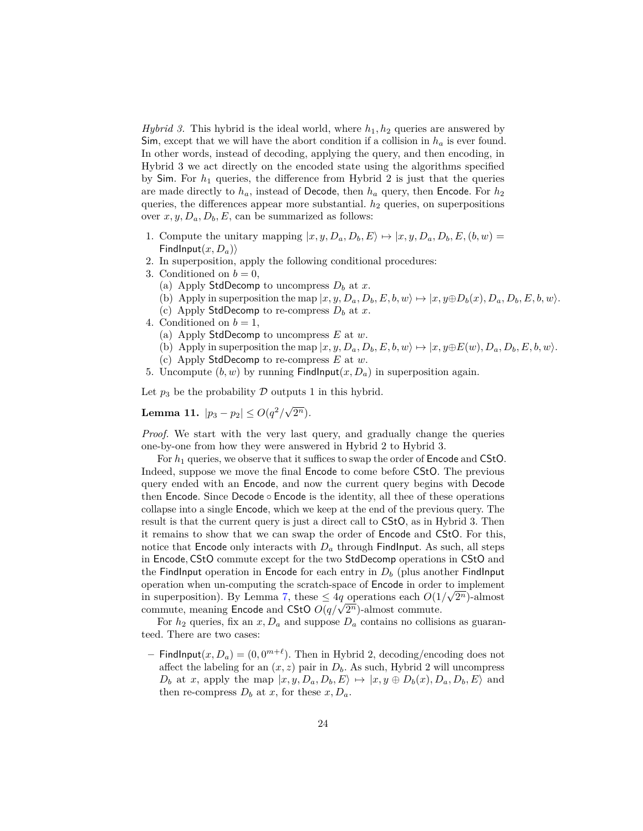*Hybrid 3.* This hybrid is the ideal world, where  $h_1, h_2$  queries are answered by Sim, except that we will have the abort condition if a collision in *h<sup>a</sup>* is ever found. In other words, instead of decoding, applying the query, and then encoding, in Hybrid 3 we act directly on the encoded state using the algorithms specified by Sim. For  $h_1$  queries, the difference from Hybrid 2 is just that the queries are made directly to *ha*, instead of Decode, then *h<sup>a</sup>* query, then Encode. For *h*<sup>2</sup> queries, the differences appear more substantial.  $h_2$  queries, on superpositions over  $x, y, D_a, D_b, E$ , can be summarized as follows:

- 1. Compute the unitary mapping  $|x, y, D_a, D_b, E\rangle \mapsto |x, y, D_a, D_b, E, (b, w) =$ FindInput $(x, D_a)$
- 2. In superposition, apply the following conditional procedures:
- 3. Conditioned on  $b = 0$ ,
	- (a) Apply StdDecomp to uncompress  $D_b$  at  $x$ .
	- (b) Apply in superposition the map  $|x, y, D_a, D_b, E, b, w \rangle \mapsto |x, y \oplus D_b(x), D_a, D_b, E, b, w \rangle$ .
	- (c) Apply StdDecomp to re-compress  $D_b$  at  $x$ .
- 4. Conditioned on  $b = 1$ ,
	- (a) Apply StdDecomp to uncompress *E* at *w*.
	- (b) Apply in superposition the map  $|x, y, D_a, D_b, E, b, w \rangle \mapsto |x, y \oplus E(w), D_a, D_b, E, b, w \rangle$ .
	- (c) Apply StdDecomp to re-compress *E* at *w*.
- 5. Uncompute  $(b, w)$  by running FindInput $(x, D_a)$  in superposition again.

Let  $p_3$  be the probability  $\mathcal D$  outputs 1 in this hybrid.

**Lemma 11.**  $|p_3 - p_2| \le O(q^2/\sqrt{3})$  $\overline{2^n}).$ 

*Proof.* We start with the very last query, and gradually change the queries one-by-one from how they were answered in Hybrid 2 to Hybrid 3.

For *h*<sup>1</sup> queries, we observe that it suffices to swap the order of Encode and CStO. Indeed, suppose we move the final Encode to come before CStO. The previous query ended with an Encode, and now the current query begins with Decode then Encode. Since Decode ◦ Encode is the identity, all thee of these operations collapse into a single Encode, which we keep at the end of the previous query. The result is that the current query is just a direct call to CStO, as in Hybrid 3. Then it remains to show that we can swap the order of Encode and CStO. For this, notice that Encode only interacts with  $D_a$  through FindInput. As such, all steps in Encode*,* CStO commute except for the two StdDecomp operations in CStO and the FindInput operation in Encode for each entry in  $D_b$  (plus another FindInput operation when un-computing the scratch-space of Encode in order to implement √ in superposition). By Lemma [7,](#page-20-1) these  $\leq 4q$  operations each  $O(1/\sqrt{2^n})$ -almost in superposition). By Lemma *i*, these  $\leq 4q$  operations each  $O(1)$ <br>commute, meaning Encode and CStO  $O(q/\sqrt{2^n})$ -almost commute.

For  $h_2$  queries, fix an  $x, D_a$  and suppose  $D_a$  contains no collisions as guaranteed. There are two cases:

 $-$  FindInput $(x, D_a) = (0, 0^{m+\ell})$ . Then in Hybrid 2, decoding/encoding does not affect the labeling for an  $(x, z)$  pair in  $D<sub>b</sub>$ . As such, Hybrid 2 will uncompress *D*<sup>*b*</sup> at *x*, apply the map  $|x, y, D_a, D_b, E\rangle \mapsto |x, y \oplus D_b(x), D_a, D_b, E\rangle$  and then re-compress  $D_b$  at *x*, for these  $x, D_a$ .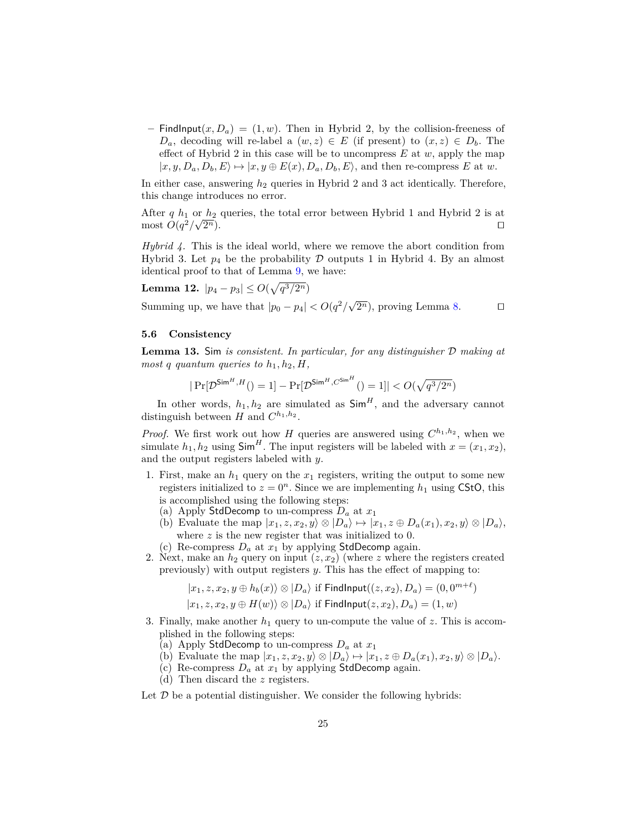$-$  FindInput $(x, D_a) = (1, w)$ . Then in Hybrid 2, by the collision-freeness of *D<sub>a</sub>*, decoding will re-label a  $(w, z) \in E$  (if present) to  $(x, z) \in D_b$ . The effect of Hybrid 2 in this case will be to uncompress *E* at *w*, apply the map  $|x, y, D_a, D_b, E\rangle \mapsto |x, y \oplus E(x), D_a, D_b, E\rangle$ , and then re-compress *E* at *w*.

In either case, answering  $h_2$  queries in Hybrid 2 and 3 act identically. Therefore, this change introduces no error.

After *q h*<sub>1</sub> or  $h_2$  queries, the total error between Hybrid 1 and Hybrid 2 is at most  $O(q^2/\sqrt{2})$  $\overline{n}$ ).

*Hybrid 4.* This is the ideal world, where we remove the abort condition from Hybrid 3. Let  $p_4$  be the probability  $\mathcal D$  outputs 1 in Hybrid 4. By an almost identical proof to that of Lemma [9,](#page-22-0) we have:

Lemma 12.  $|p_4 - p_3| \le O(\sqrt{q^3/2^n})$ 

Summing up, we have that  $|p_0 - p_4| < O(q^2/\sqrt{2})$  $\overline{2^n}$ , proving Lemma [8.](#page-21-1) utilization

#### <span id="page-24-0"></span>**5.6 Consistency**

<span id="page-24-6"></span>**Lemma 13.** Sim *is consistent. In particular, for any distinguisher* D *making at most q quantum queries to*  $h_1, h_2, H$ *,* 

$$
|\Pr[\mathcal{D}^{\mathsf{Sim}^H, H}() = 1] - \Pr[\mathcal{D}^{\mathsf{Sim}^H, C^{\mathsf{Sim}^H}}() = 1]| < O(\sqrt{q^3/2^n})
$$

In other words,  $h_1, h_2$  are simulated as  $\mathsf{Sim}^H$ , and the adversary cannot distinguish between *H* and  $C^{h_1,h_2}$ .

*Proof.* We first work out how *H* queries are answered using  $C^{h_1,h_2}$ , when we simulate  $h_1, h_2$  using  $\textsf{Sim}^H$ . The input registers will be labeled with  $x = (x_1, x_2)$ , and the output registers labeled with *y*.

- <span id="page-24-4"></span>1. First, make an  $h_1$  query on the  $x_1$  registers, writing the output to some new registers initialized to  $z = 0<sup>n</sup>$ . Since we are implementing  $h<sub>1</sub>$  using CStO, this is accomplished using the following steps:
	- (a) Apply StdDecomp to un-compress *D<sup>a</sup>* at *x*<sup>1</sup>
	- (b) Evaluate the map  $|x_1, z, x_2, y \rangle \otimes |D_a\rangle \mapsto |x_1, z \oplus D_a(x_1), x_2, y \rangle \otimes |D_a\rangle$ , where  $z$  is the new register that was initialized to 0.
	- (c) Re-compress  $D_a$  at  $x_1$  by applying StdDecomp again.
- <span id="page-24-3"></span><span id="page-24-1"></span>2. Next, make an  $h_2$  query on input  $(z, x_2)$  (where  $z$  where the registers created previously) with output registers *y*. This has the effect of mapping to:

$$
|x_1, z, x_2, y \oplus h_b(x) \rangle \otimes |D_a\rangle \text{ if FindInput}((z, x_2), D_a) = (0, 0^{m+\ell})
$$

- $|x_1, z, x_2, y ⊕ H(w)⟩ ⊗ |D<sub>a</sub>⟩$  if FindInput(*z*, *x*<sub>2</sub>)*, D<sub>a</sub>*) = (1*, w*)
- <span id="page-24-5"></span><span id="page-24-2"></span>3. Finally, make another *h*<sup>1</sup> query to un-compute the value of *z*. This is accomplished in the following steps:
	- (a) Apply StdDecomp to un-compress *D<sup>a</sup>* at *x*<sup>1</sup>
	- (b) Evaluate the map  $|x_1, z, x_2, y\rangle \otimes |D_a\rangle \mapsto |x_1, z \oplus D_a(x_1), x_2, y\rangle \otimes |D_a\rangle.$
	- (c) Re-compress  $D_a$  at  $x_1$  by applying StdDecomp again.
	- (d) Then discard the *z* registers.

### Let  $\mathcal D$  be a potential distinguisher. We consider the following hybrids: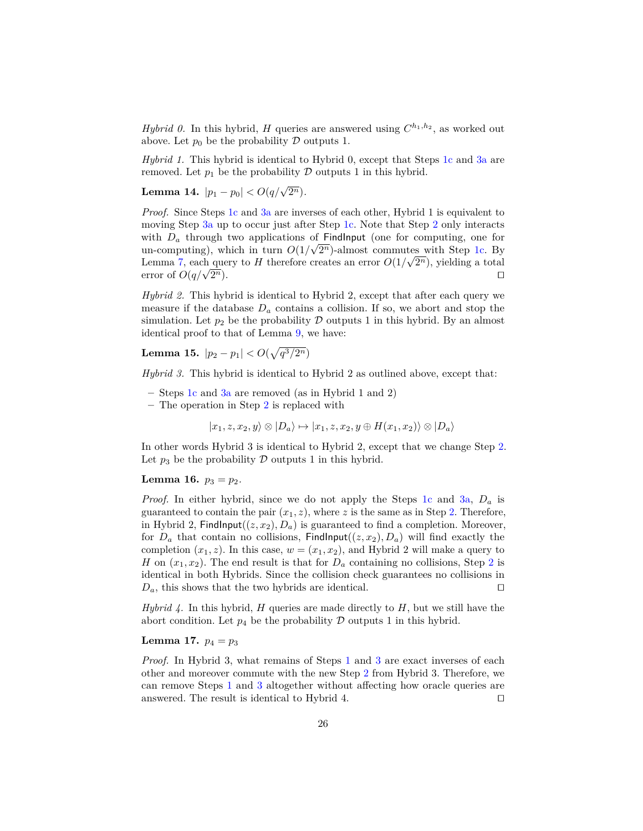*Hybrid 0.* In this hybrid, *H* queries are answered using  $C^{h_1,h_2}$ , as worked out above. Let  $p_0$  be the probability  $\mathcal D$  outputs 1.

*Hybrid 1.* This hybrid is identical to Hybrid 0, except that Steps [1c](#page-24-1) and [3a](#page-24-2) are removed. Let  $p_1$  be the probability  $\mathcal D$  outputs 1 in this hybrid.

**Lemma 14.**  $|p_1 - p_0| < O(q/\sqrt{2^n})$ *.* 

*Proof.* Since Steps [1c](#page-24-1) and  $3a$  are inverses of each other, Hybrid 1 is equivalent to moving Step [3a](#page-24-2) up to occur just after Step [1c.](#page-24-1) Note that Step [2](#page-24-3) only interacts with  $D_a$  through two applications of **Findle put** (one for computing, one for un-computing), which in turn  $O(1/\sqrt{2^n})$ -almost commutes with Step [1c.](#page-24-1) By Lemma [7,](#page-20-1) each query to *H* therefore creates an error  $O(1/\sqrt{2^n})$ , yielding a total error of *<sup>O</sup>*(*q/*<sup>√</sup> 2  $\overline{n}$ ).

*Hybrid 2.* This hybrid is identical to Hybrid 2, except that after each query we measure if the database  $D_a$  contains a collision. If so, we abort and stop the simulation. Let  $p_2$  be the probability  $\mathcal D$  outputs 1 in this hybrid. By an almost identical proof to that of Lemma [9,](#page-22-0) we have:

 ${\bf Lemma~15.}~~|p_2-p_1|< O(\sqrt{q^3/2^n})$ 

*Hybrid 3.* This hybrid is identical to Hybrid 2 as outlined above, except that:

- **–** Steps [1c](#page-24-1) and [3a](#page-24-2) are removed (as in Hybrid 1 and 2)
- **–** The operation in Step [2](#page-24-3) is replaced with

 $|x_1, z, x_2, y\rangle \otimes |D_a\rangle \mapsto |x_1, z, x_2, y \oplus H(x_1, x_2)\rangle \otimes |D_a\rangle$ 

In other words Hybrid 3 is identical to Hybrid 2, except that we change Step [2.](#page-24-3) Let  $p_3$  be the probability  $\mathcal D$  outputs 1 in this hybrid.

# **Lemma 16.**  $p_3 = p_2$ .

*Proof.* In either hybrid, since we do not apply the Steps [1c](#page-24-1) and [3a,](#page-24-2)  $D_a$  is guaranteed to contain the pair  $(x_1, z)$ , where *z* is the same as in Step [2.](#page-24-3) Therefore, in Hybrid 2, FindInput $((z, x_2), D_a)$  is guaranteed to find a completion. Moreover, for  $D_a$  that contain no collisions, FindInput $((z, x_2), D_a)$  will find exactly the completion  $(x_1, z)$ . In this case,  $w = (x_1, x_2)$ , and Hybrid 2 will make a query to *H* on  $(x_1, x_2)$  $(x_1, x_2)$  $(x_1, x_2)$ . The end result is that for  $D<sub>a</sub>$  containing no collisions, Step 2 is identical in both Hybrids. Since the collision check guarantees no collisions in  $D_a$ , this shows that the two hybrids are identical.  $\square$ 

*Hybrid 4.* In this hybrid, *H* queries are made directly to *H*, but we still have the abort condition. Let  $p_4$  be the probability  $\mathcal D$  outputs 1 in this hybrid.

### **Lemma 17.**  $p_4 = p_3$

*Proof.* In Hybrid 3, what remains of Steps [1](#page-24-4) and [3](#page-24-5) are exact inverses of each other and moreover commute with the new Step [2](#page-24-3) from Hybrid 3. Therefore, we can remove Steps [1](#page-24-4) and [3](#page-24-5) altogether without affecting how oracle queries are answered. The result is identical to Hybrid 4.  $\Box$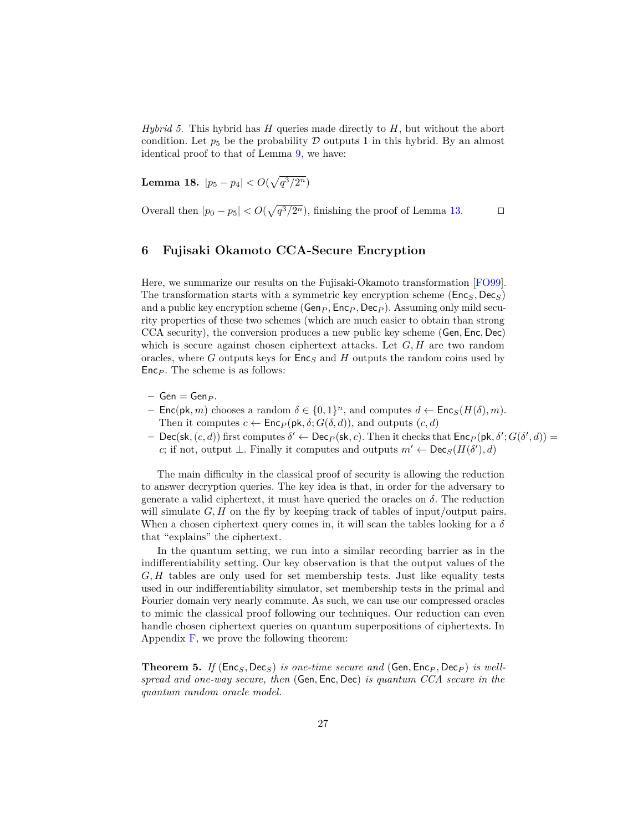*Hybrid 5.* This hybrid has *H* queries made directly to *H*, but without the abort condition. Let  $p_5$  be the probability D outputs 1 in this hybrid. By an almost identical proof to that of Lemma [9,](#page-22-0) we have:

 ${\bf Lemma \ 18.} \ \ |p_5-p_4| < O(\sqrt{q^3/2^n})$ 

Overall then  $|p_0 - p_5| < O(\sqrt{q^3/2^n})$ , finishing the proof of Lemma [13.](#page-24-6) □

# **6 Fujisaki Okamoto CCA-Secure Encryption**

Here, we summarize our results on the Fujisaki-Okamoto transformation [\[FO99\]](#page-28-8). The transformation starts with a symmetric key encryption scheme ( $Enc<sub>S</sub>$ ,  $Dec<sub>S</sub>$ ) and a public key encryption scheme (Gen*<sup>P</sup> ,* Enc*<sup>P</sup> ,* Dec*<sup>P</sup>* ). Assuming only mild security properties of these two schemes (which are much easier to obtain than strong CCA security), the conversion produces a new public key scheme (Gen*,* Enc*,* Dec) which is secure against chosen ciphertext attacks. Let *G, H* are two random oracles, where  $G$  outputs keys for  $\mathsf{Enc}_S$  and  $H$  outputs the random coins used by Enc<sub>*P*</sub>. The scheme is as follows:

- $-$  Gen  $=$  Gen<sub>*P*</sub>.
- **–** Enc(pk, m) chooses a random  $\delta \in \{0,1\}^n$ , and computes  $d \leftarrow \text{Enc}_S(H(\delta), m)$ . Then it computes  $c \leftarrow \mathsf{Enc}_P(\mathsf{pk}, \delta; G(\delta, d))$ , and outputs  $(c, d)$
- $-$  Dec(sk,  $(c, d)$ ) first computes  $\delta' \leftarrow \text{Dec}_P(\textsf{sk}, c)$ . Then it checks that  $\textsf{Enc}_P(\textsf{pk}, \delta'; G(\delta', d)) =$ *c*; if not, output ⊥. Finally it computes and outputs  $m' \leftarrow \text{Dec}_S(H(\delta'), d)$

The main difficulty in the classical proof of security is allowing the reduction to answer decryption queries. The key idea is that, in order for the adversary to generate a valid ciphertext, it must have queried the oracles on  $\delta$ . The reduction will simulate  $G, H$  on the fly by keeping track of tables of input/output pairs. When a chosen ciphertext query comes in, it will scan the tables looking for a *δ* that "explains" the ciphertext.

In the quantum setting, we run into a similar recording barrier as in the indifferentiability setting. Our key observation is that the output values of the *G, H* tables are only used for set membership tests. Just like equality tests used in our indifferentiability simulator, set membership tests in the primal and Fourier domain very nearly commute. As such, we can use our compressed oracles to mimic the classical proof following our techniques. Our reduction can even handle chosen ciphertext queries on quantum superpositions of ciphertexts. In Appendix [F,](#page-50-0) we prove the following theorem:

**Theorem 5.** If ( $Enc_S, Dec_S$ ) *is one-time secure and* ( $Gen, Enc_P, Dec_P$ ) *is wellspread and one-way secure, then* (Gen*,* Enc*,* Dec) *is quantum CCA secure in the quantum random oracle model.*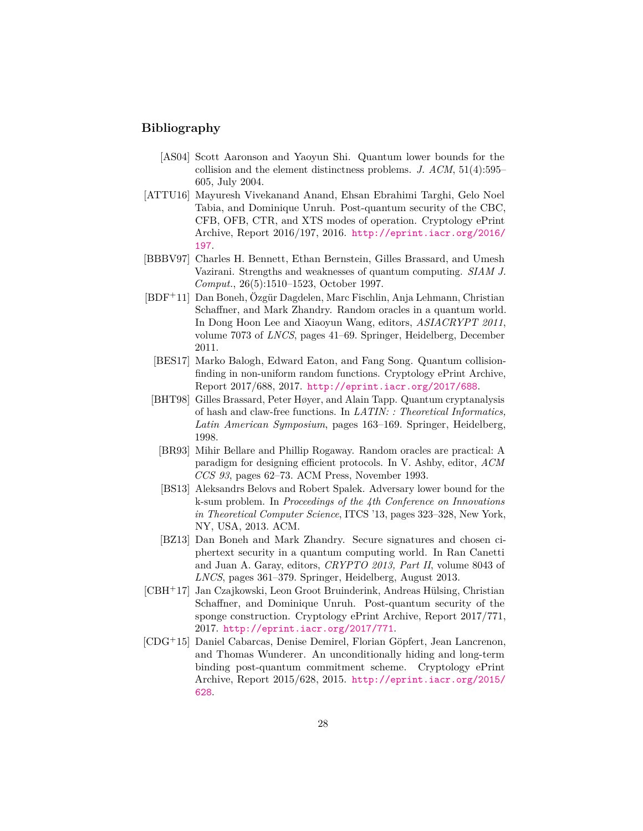# **Bibliography**

- <span id="page-27-8"></span>[AS04] Scott Aaronson and Yaoyun Shi. Quantum lower bounds for the collision and the element distinctness problems. *J. ACM*, 51(4):595– 605, July 2004.
- <span id="page-27-1"></span>[ATTU16] Mayuresh Vivekanand Anand, Ehsan Ebrahimi Targhi, Gelo Noel Tabia, and Dominique Unruh. Post-quantum security of the CBC, CFB, OFB, CTR, and XTS modes of operation. Cryptology ePrint Archive, Report 2016/197, 2016. [http://eprint.iacr.org/2016/](http://eprint.iacr.org/2016/197) [197](http://eprint.iacr.org/2016/197).
- <span id="page-27-7"></span>[BBBV97] Charles H. Bennett, Ethan Bernstein, Gilles Brassard, and Umesh Vazirani. Strengths and weaknesses of quantum computing. *SIAM J. Comput.*, 26(5):1510–1523, October 1997.
- <span id="page-27-9"></span><span id="page-27-5"></span><span id="page-27-4"></span>[BDF+11] Dan Boneh, Özgür Dagdelen, Marc Fischlin, Anja Lehmann, Christian Schaffner, and Mark Zhandry. Random oracles in a quantum world. In Dong Hoon Lee and Xiaoyun Wang, editors, *ASIACRYPT 2011*, volume 7073 of *LNCS*, pages 41–69. Springer, Heidelberg, December 2011.
	- [BES17] Marko Balogh, Edward Eaton, and Fang Song. Quantum collisionfinding in non-uniform random functions. Cryptology ePrint Archive, Report 2017/688, 2017. <http://eprint.iacr.org/2017/688>.
	- [BHT98] Gilles Brassard, Peter Høyer, and Alain Tapp. Quantum cryptanalysis of hash and claw-free functions. In *LATIN: : Theoretical Informatics, Latin American Symposium*, pages 163–169. Springer, Heidelberg, 1998.
		- [BR93] Mihir Bellare and Phillip Rogaway. Random oracles are practical: A paradigm for designing efficient protocols. In V. Ashby, editor, *ACM CCS 93*, pages 62–73. ACM Press, November 1993.
		- [BS13] Aleksandrs Belovs and Robert Spalek. Adversary lower bound for the k-sum problem. In *Proceedings of the 4th Conference on Innovations in Theoretical Computer Science*, ITCS '13, pages 323–328, New York, NY, USA, 2013. ACM.
		- [BZ13] Dan Boneh and Mark Zhandry. Secure signatures and chosen ciphertext security in a quantum computing world. In Ran Canetti and Juan A. Garay, editors, *CRYPTO 2013, Part II*, volume 8043 of *LNCS*, pages 361–379. Springer, Heidelberg, August 2013.
- <span id="page-27-6"></span><span id="page-27-2"></span><span id="page-27-0"></span>[CBH<sup>+</sup>17] Jan Czajkowski, Leon Groot Bruinderink, Andreas Hülsing, Christian Schaffner, and Dominique Unruh. Post-quantum security of the sponge construction. Cryptology ePrint Archive, Report 2017/771, 2017. <http://eprint.iacr.org/2017/771>.
- <span id="page-27-3"></span>[CDG<sup>+</sup>15] Daniel Cabarcas, Denise Demirel, Florian Göpfert, Jean Lancrenon, and Thomas Wunderer. An unconditionally hiding and long-term binding post-quantum commitment scheme. Cryptology ePrint Archive, Report 2015/628, 2015. [http://eprint.iacr.org/2015/](http://eprint.iacr.org/2015/628) [628](http://eprint.iacr.org/2015/628).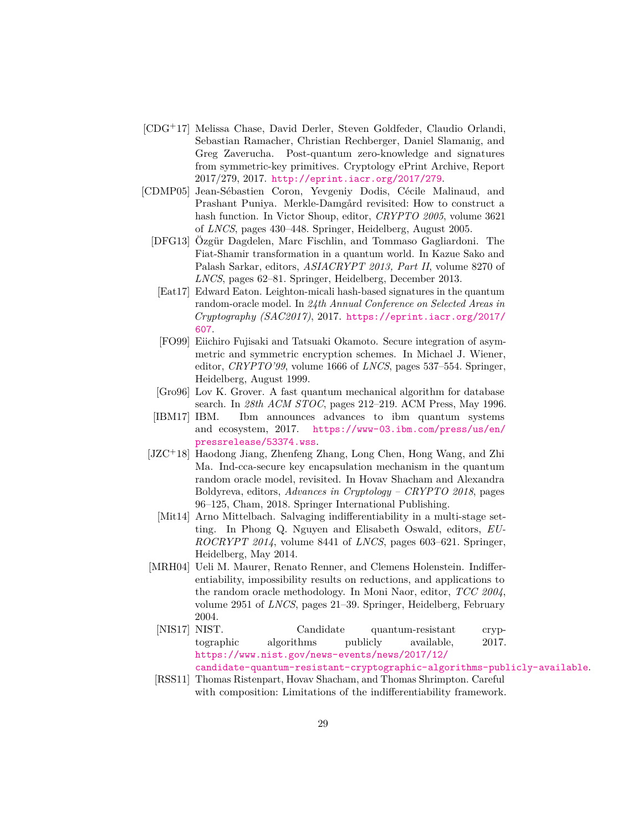- <span id="page-28-2"></span>[CDG<sup>+</sup>17] Melissa Chase, David Derler, Steven Goldfeder, Claudio Orlandi, Sebastian Ramacher, Christian Rechberger, Daniel Slamanig, and Greg Zaverucha. Post-quantum zero-knowledge and signatures from symmetric-key primitives. Cryptology ePrint Archive, Report 2017/279, 2017. <http://eprint.iacr.org/2017/279>.
- <span id="page-28-6"></span><span id="page-28-5"></span><span id="page-28-4"></span>[CDMP05] Jean-Sébastien Coron, Yevgeniy Dodis, Cécile Malinaud, and Prashant Puniya. Merkle-Damgård revisited: How to construct a hash function. In Victor Shoup, editor, *CRYPTO 2005*, volume 3621 of *LNCS*, pages 430–448. Springer, Heidelberg, August 2005.
	- [DFG13] Özgür Dagdelen, Marc Fischlin, and Tommaso Gagliardoni. The Fiat-Shamir transformation in a quantum world. In Kazue Sako and Palash Sarkar, editors, *ASIACRYPT 2013, Part II*, volume 8270 of *LNCS*, pages 62–81. Springer, Heidelberg, December 2013.
		- [Eat17] Edward Eaton. Leighton-micali hash-based signatures in the quantum random-oracle model. In *24th Annual Conference on Selected Areas in Cryptography (SAC2017)*, 2017. [https://eprint.iacr.org/2017/](https://eprint.iacr.org/2017/607) [607](https://eprint.iacr.org/2017/607).
		- [FO99] Eiichiro Fujisaki and Tatsuaki Okamoto. Secure integration of asymmetric and symmetric encryption schemes. In Michael J. Wiener, editor, *CRYPTO'99*, volume 1666 of *LNCS*, pages 537–554. Springer, Heidelberg, August 1999.
	- [Gro96] Lov K. Grover. A fast quantum mechanical algorithm for database search. In *28th ACM STOC*, pages 212–219. ACM Press, May 1996.
	- [IBM17] IBM. Ibm announces advances to ibm quantum systems and ecosystem, 2017. [https://www-03.ibm.com/press/us/en/](https://www-03.ibm.com/press/us/en/pressrelease/53374.wss) [pressrelease/53374.wss](https://www-03.ibm.com/press/us/en/pressrelease/53374.wss).
- <span id="page-28-9"></span><span id="page-28-8"></span><span id="page-28-3"></span><span id="page-28-0"></span>[JZC<sup>+</sup>18] Haodong Jiang, Zhenfeng Zhang, Long Chen, Hong Wang, and Zhi Ma. Ind-cca-secure key encapsulation mechanism in the quantum random oracle model, revisited. In Hovav Shacham and Alexandra Boldyreva, editors, *Advances in Cryptology – CRYPTO 2018*, pages 96–125, Cham, 2018. Springer International Publishing.
	- [Mit14] Arno Mittelbach. Salvaging indifferentiability in a multi-stage setting. In Phong Q. Nguyen and Elisabeth Oswald, editors, *EU-ROCRYPT 2014*, volume 8441 of *LNCS*, pages 603–621. Springer, Heidelberg, May 2014.
- <span id="page-28-11"></span><span id="page-28-7"></span>[MRH04] Ueli M. Maurer, Renato Renner, and Clemens Holenstein. Indifferentiability, impossibility results on reductions, and applications to the random oracle methodology. In Moni Naor, editor, *TCC 2004*, volume 2951 of *LNCS*, pages 21–39. Springer, Heidelberg, February 2004.
- <span id="page-28-1"></span>[NIS17] NIST. Candidate quantum-resistant cryptographic algorithms publicly available, 2017. [https://www.nist.gov/news-events/news/2017/12/](https://www.nist.gov/news-events/news/2017/12/candidate-quantum-resistant-cryptographic-algorithms-publicly-available) [candidate-quantum-resistant-cryptographic-algorithms-publicly-available](https://www.nist.gov/news-events/news/2017/12/candidate-quantum-resistant-cryptographic-algorithms-publicly-available).
- <span id="page-28-10"></span>[RSS11] Thomas Ristenpart, Hovav Shacham, and Thomas Shrimpton. Careful with composition: Limitations of the indifferentiability framework.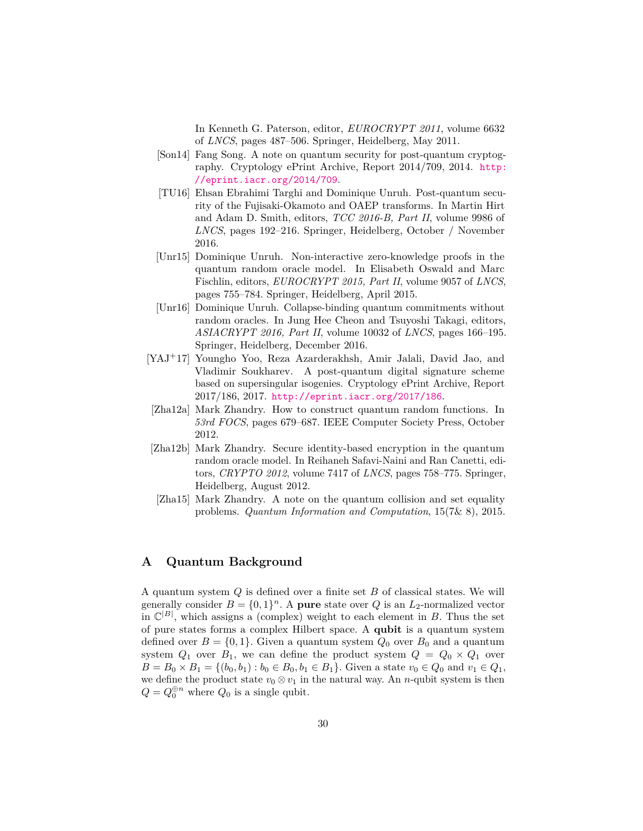In Kenneth G. Paterson, editor, *EUROCRYPT 2011*, volume 6632 of *LNCS*, pages 487–506. Springer, Heidelberg, May 2011.

- <span id="page-29-0"></span>[Son14] Fang Song. A note on quantum security for post-quantum cryptography. Cryptology ePrint Archive, Report 2014/709, 2014. [http:](http://eprint.iacr.org/2014/709) [//eprint.iacr.org/2014/709](http://eprint.iacr.org/2014/709).
- <span id="page-29-4"></span>[TU16] Ehsan Ebrahimi Targhi and Dominique Unruh. Post-quantum security of the Fujisaki-Okamoto and OAEP transforms. In Martin Hirt and Adam D. Smith, editors, *TCC 2016-B, Part II*, volume 9986 of *LNCS*, pages 192–216. Springer, Heidelberg, October / November 2016.
- <span id="page-29-6"></span>[Unr15] Dominique Unruh. Non-interactive zero-knowledge proofs in the quantum random oracle model. In Elisabeth Oswald and Marc Fischlin, editors, *EUROCRYPT 2015, Part II*, volume 9057 of *LNCS*, pages 755–784. Springer, Heidelberg, April 2015.
- <span id="page-29-7"></span>[Unr16] Dominique Unruh. Collapse-binding quantum commitments without random oracles. In Jung Hee Cheon and Tsuyoshi Takagi, editors, *ASIACRYPT 2016, Part II*, volume 10032 of *LNCS*, pages 166–195. Springer, Heidelberg, December 2016.
- <span id="page-29-1"></span>[YAJ<sup>+</sup>17] Youngho Yoo, Reza Azarderakhsh, Amir Jalali, David Jao, and Vladimir Soukharev. A post-quantum digital signature scheme based on supersingular isogenies. Cryptology ePrint Archive, Report 2017/186, 2017. <http://eprint.iacr.org/2017/186>.
- <span id="page-29-5"></span>[Zha12a] Mark Zhandry. How to construct quantum random functions. In *53rd FOCS*, pages 679–687. IEEE Computer Society Press, October 2012.
- <span id="page-29-2"></span>[Zha12b] Mark Zhandry. Secure identity-based encryption in the quantum random oracle model. In Reihaneh Safavi-Naini and Ran Canetti, editors, *CRYPTO 2012*, volume 7417 of *LNCS*, pages 758–775. Springer, Heidelberg, August 2012.
- <span id="page-29-3"></span>[Zha15] Mark Zhandry. A note on the quantum collision and set equality problems. *Quantum Information and Computation*, 15(7& 8), 2015.

# **A Quantum Background**

A quantum system *Q* is defined over a finite set *B* of classical states. We will generally consider  $B = \{0, 1\}^n$ . A pure state over *Q* is an  $L_2$ -normalized vector in  $\mathbb{C}^{|B|}$ , which assigns a (complex) weight to each element in *B*. Thus the set of pure states forms a complex Hilbert space. A **qubit** is a quantum system defined over  $B = \{0, 1\}$ . Given a quantum system  $Q_0$  over  $B_0$  and a quantum system  $Q_1$  over  $B_1$ , we can define the product system  $Q = Q_0 \times Q_1$  over  $B = B_0 \times B_1 = \{(b_0, b_1) : b_0 \in B_0, b_1 \in B_1\}$ . Given a state  $v_0 \in Q_0$  and  $v_1 \in Q_1$ , we define the product state  $v_0 \otimes v_1$  in the natural way. An *n*-qubit system is then  $Q = Q_0^{\oplus n}$  where  $Q_0$  is a single qubit.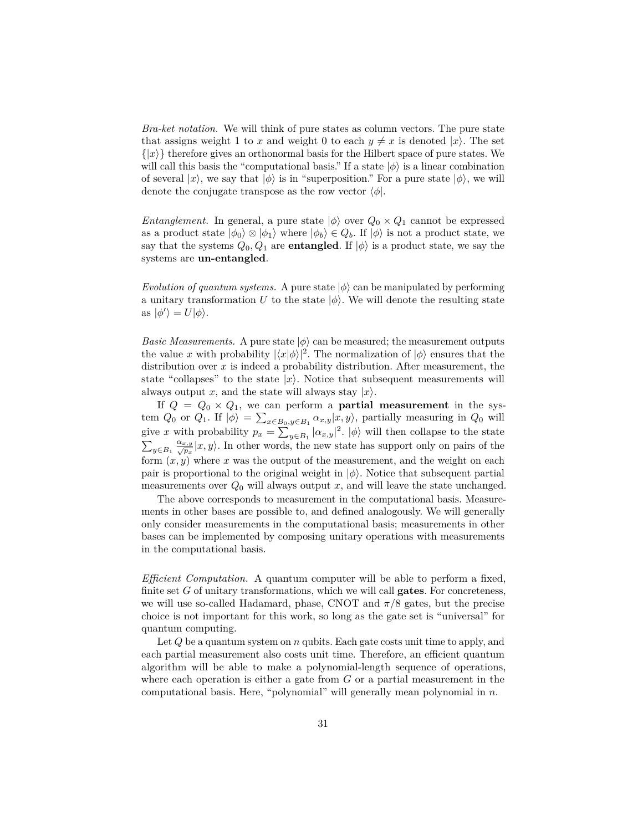*Bra-ket notation.* We will think of pure states as column vectors. The pure state that assigns weight 1 to *x* and weight 0 to each  $y \neq x$  is denoted  $|x\rangle$ . The set  $\{|x\rangle\}$  therefore gives an orthonormal basis for the Hilbert space of pure states. We will call this basis the "computational basis." If a state  $|\phi\rangle$  is a linear combination of several  $|x\rangle$ , we say that  $|\phi\rangle$  is in "superposition." For a pure state  $|\phi\rangle$ , we will denote the conjugate transpose as the row vector  $\langle \phi |$ .

*Entanglement.* In general, a pure state  $|\phi\rangle$  over  $Q_0 \times Q_1$  cannot be expressed as a product state  $|\phi_0\rangle \otimes |\phi_1\rangle$  where  $|\phi_b\rangle \in Q_b$ . If  $|\phi\rangle$  is not a product state, we say that the systems  $Q_0, Q_1$  are **entangled**. If  $|\phi\rangle$  is a product state, we say the systems are **un-entangled**.

*Evolution of quantum systems.* A pure state  $|\phi\rangle$  can be manipulated by performing a unitary transformation *U* to the state  $|\phi\rangle$ . We will denote the resulting state as  $|\phi'\rangle = U|\phi\rangle$ .

*Basic Measurements.* A pure state  $|\phi\rangle$  can be measured; the measurement outputs the value *x* with probability  $|\langle x|\phi\rangle|^2$ . The normalization of  $|\phi\rangle$  ensures that the distribution over *x* is indeed a probability distribution. After measurement, the state "collapses" to the state  $|x\rangle$ . Notice that subsequent measurements will always output *x*, and the state will always stay  $|x\rangle$ .

If  $Q = Q_0 \times Q_1$ , we can perform a **partial measurement** in the system  $Q_0$  or  $Q_1$ . If  $|\phi\rangle = \sum_{x \in B_0, y \in B_1} \alpha_{x,y} |x, y\rangle$ , partially measuring in  $Q_0$  will give *x* with probability  $p_x = \sum_{y \in B_1} |\alpha_{x,y}|^2$ .  $|\phi\rangle$  will then collapse to the state  $\sum_{y\in B_1} \frac{\alpha_{x,y}}{\sqrt{p_x}} |x, y\rangle$ . In other words, the new state has support only on pairs of the form  $(x, y)$  where x was the output of the measurement, and the weight on each pair is proportional to the original weight in  $|\phi\rangle$ . Notice that subsequent partial measurements over *Q*<sup>0</sup> will always output *x*, and will leave the state unchanged.

The above corresponds to measurement in the computational basis. Measurements in other bases are possible to, and defined analogously. We will generally only consider measurements in the computational basis; measurements in other bases can be implemented by composing unitary operations with measurements in the computational basis.

*Efficient Computation.* A quantum computer will be able to perform a fixed, finite set *G* of unitary transformations, which we will call **gates**. For concreteness, we will use so-called Hadamard, phase, CNOT and *π/*8 gates, but the precise choice is not important for this work, so long as the gate set is "universal" for quantum computing.

Let *Q* be a quantum system on *n* qubits. Each gate costs unit time to apply, and each partial measurement also costs unit time. Therefore, an efficient quantum algorithm will be able to make a polynomial-length sequence of operations, where each operation is either a gate from *G* or a partial measurement in the computational basis. Here, "polynomial" will generally mean polynomial in *n*.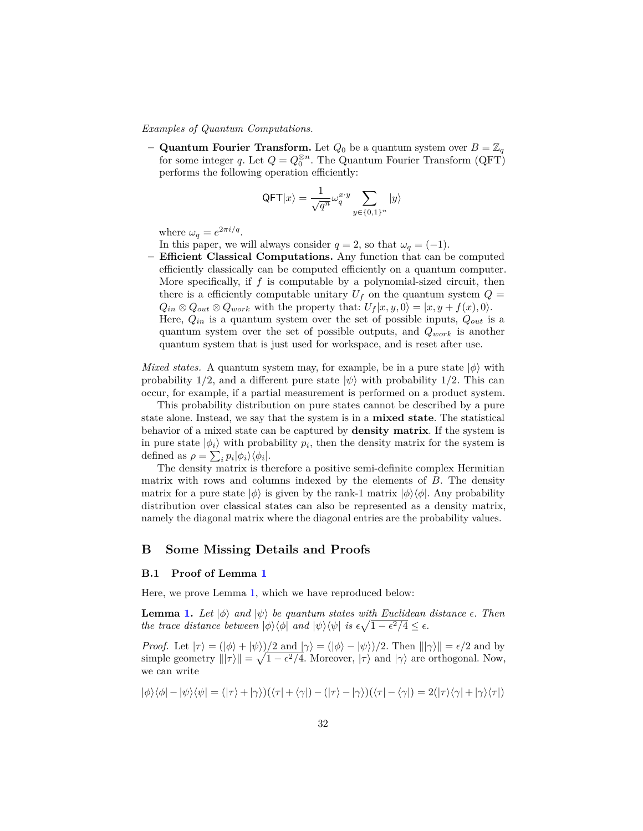#### *Examples of Quantum Computations.*

**– Quantum Fourier Transform.** Let  $Q_0$  be a quantum system over  $B = \mathbb{Z}_q$ for some integer *q*. Let  $Q = Q_0^{\otimes n}$ . The Quantum Fourier Transform (QFT) performs the following operation efficiently:

$$
\mathsf{QFT}|x\rangle=\frac{1}{\sqrt{q^n}}\omega_q^{x\cdot y}\sum_{y\in\{0,1\}^n}|y\rangle
$$

where  $\omega_q = e^{2\pi i/q}$ .

In this paper, we will always consider  $q = 2$ , so that  $\omega_q = (-1)$ .

**– Efficient Classical Computations.** Any function that can be computed efficiently classically can be computed efficiently on a quantum computer. More specifically, if *f* is computable by a polynomial-sized circuit, then there is a efficiently computable unitary  $U_f$  on the quantum system  $Q =$  $Q_{in} \otimes Q_{out} \otimes Q_{work}$  with the property that:  $U_f | x, y, 0 \rangle = | x, y + f(x), 0 \rangle$ . Here,  $Q_{in}$  is a quantum system over the set of possible inputs,  $Q_{out}$  is a quantum system over the set of possible outputs, and *Qwork* is another quantum system that is just used for workspace, and is reset after use.

*Mixed states.* A quantum system may, for example, be in a pure state  $|\phi\rangle$  with probability  $1/2$ , and a different pure state  $|\psi\rangle$  with probability  $1/2$ . This can occur, for example, if a partial measurement is performed on a product system.

This probability distribution on pure states cannot be described by a pure state alone. Instead, we say that the system is in a **mixed state**. The statistical behavior of a mixed state can be captured by **density matrix**. If the system is in pure state  $|\phi_i\rangle$  with probability  $p_i$ , then the density matrix for the system is defined as  $\rho = \sum_i p_i |\phi_i\rangle \langle \phi_i|$ .

The density matrix is therefore a positive semi-definite complex Hermitian matrix with rows and columns indexed by the elements of *B*. The density matrix for a pure state  $|\phi\rangle$  is given by the rank-1 matrix  $|\phi\rangle\langle\phi|$ . Any probability distribution over classical states can also be represented as a density matrix, namely the diagonal matrix where the diagonal entries are the probability values.

# **B Some Missing Details and Proofs**

### <span id="page-31-0"></span>**B.1 Proof of Lemma [1](#page-10-1)**

Here, we prove Lemma [1,](#page-10-1) which we have reproduced below:

**Lemma [1.](#page-10-1)** *Let*  $|\phi\rangle$  *and*  $|\psi\rangle$  *be quantum states with Euclidean distance*  $\epsilon$ *. Then the trace distance between*  $|\phi\rangle\langle\phi|$  *and*  $|\psi\rangle\langle\psi|$  *is*  $\epsilon\sqrt{1-\epsilon^2/4} \leq \epsilon$ .

*Proof.* Let  $|\tau\rangle = (|\phi\rangle + |\psi\rangle)/2$  and  $|\gamma\rangle = (|\phi\rangle - |\psi\rangle)/2$ . Then  $\|\gamma\rangle\| = \epsilon/2$  and by simple geometry  $\|\ket{\tau}\| = \sqrt{1 - \epsilon^2/4}$ . Moreover,  $|\tau\rangle$  and  $|\gamma\rangle$  are orthogonal. Now, we can write

$$
|\phi\rangle\langle\phi| - |\psi\rangle\langle\psi| = (|\tau\rangle + |\gamma\rangle)(\langle\tau| + \langle\gamma|) - (|\tau\rangle - |\gamma\rangle)(\langle\tau| - \langle\gamma|) = 2(|\tau\rangle\langle\gamma| + |\gamma\rangle\langle\tau|)
$$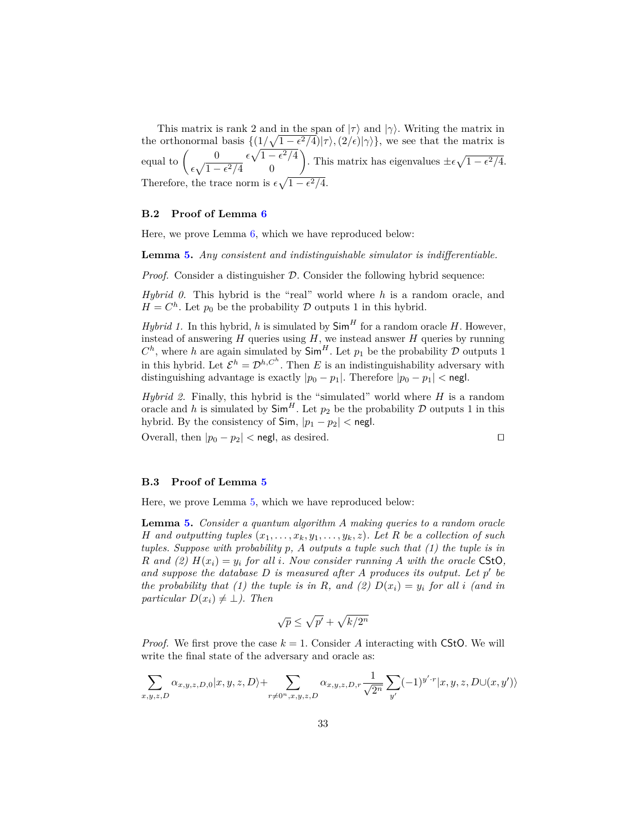This matrix is rank 2 and in the span of  $|\tau\rangle$  and  $|\gamma\rangle$ . Writing the matrix in the orthonormal basis  $\{(1/\sqrt{1-\epsilon^2/4})|\tau\rangle, (2/\epsilon)|\gamma\rangle\}$ , we see that the matrix is equal to  $\left(\begin{array}{cc} 0 & \epsilon \sqrt{1-\epsilon^2/4} \\ \sqrt{1-\frac{2}{\epsilon^2/4}} & 0 \end{array}\right)$  $\frac{0}{\epsilon\sqrt{1-\epsilon^2/4}}$   $\epsilon\sqrt{1-\epsilon^2/4}$ . This matrix has eigenvalues  $\pm\epsilon\sqrt{1-\epsilon^2/4}$ . Therefore, the trace norm is  $\epsilon \sqrt{1 - \epsilon^2/4}$ .

# <span id="page-32-1"></span>**B.2 Proof of Lemma [6](#page-19-0)**

Here, we prove Lemma  $6$ , which we have reproduced below:

**Lemma [5.](#page-15-0)** *Any consistent and indistinguishable simulator is indifferentiable.*

*Proof.* Consider a distinguisher D. Consider the following hybrid sequence:

*Hybrid 0.* This hybrid is the "real" world where *h* is a random oracle, and  $H = C<sup>h</sup>$ . Let  $p_0$  be the probability  $D$  outputs 1 in this hybrid.

*Hybrid 1.* In this hybrid, *h* is simulated by  $\textsf{Sim}^H$  for a random oracle *H*. However, instead of answering  $H$  queries using  $H$ , we instead answer  $H$  queries by running  $C^h$ , where *h* are again simulated by  $\textsf{Sim}^H$ . Let  $p_1$  be the probability  $D$  outputs 1 in this hybrid. Let  $\mathcal{E}^h = \mathcal{D}^{h,C^h}$ . Then *E* is an indistinguishability adversary with distinguishing advantage is exactly  $|p_0 - p_1|$ . Therefore  $|p_0 - p_1|$  < negl.

*Hybrid 2.* Finally, this hybrid is the "simulated" world where *H* is a random oracle and *h* is simulated by  $\textsf{Sim}^H$ . Let  $p_2$  be the probability  $D$  outputs 1 in this hybrid. By the consistency of  $\textsf{Sim}, |p_1 - p_2| < \textsf{negl}.$ 

Overall, then  $|p_0 - p_2|$  < negl, as desired.

$$
\qquad \qquad \Box
$$

# <span id="page-32-0"></span>**B.3 Proof of Lemma [5](#page-15-0)**

Here, we prove Lemma [5,](#page-15-0) which we have reproduced below:

**Lemma [5.](#page-15-0)** *Consider a quantum algorithm A making queries to a random oracle H* and outputting tuples  $(x_1, \ldots, x_k, y_1, \ldots, y_k, z)$ . Let R be a collection of such *tuples. Suppose with probability p, A outputs a tuple such that (1) the tuple is in R* and (2)  $H(x_i) = y_i$  for all *i*. Now consider running *A* with the oracle CStO, and suppose the database  $D$  is measured after  $A$  produces its output. Let  $p'$  be *the probability that (1) the tuple is in R, and (2)*  $D(x_i) = y_i$  *for all i (and in*) *particular*  $D(x_i) \neq \bot$ *). Then* 

$$
\sqrt{p} \le \sqrt{p'} + \sqrt{k/2^n}
$$

*Proof.* We first prove the case  $k = 1$ . Consider *A* interacting with CStO. We will write the final state of the adversary and oracle as:

$$
\sum_{x,y,z,D} \alpha_{x,y,z,D,0} |x,y,z,D\rangle + \sum_{r \neq 0^n, x,y,z,D} \alpha_{x,y,z,D,r} \frac{1}{\sqrt{2^n}} \sum_{y'} (-1)^{y' \cdot r} |x,y,z,D \cup (x,y')\rangle
$$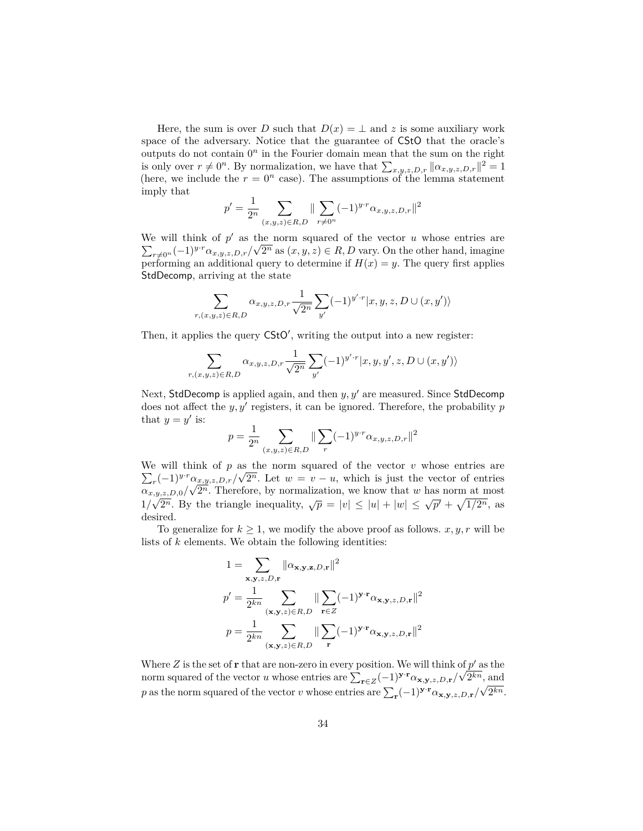Here, the sum is over *D* such that  $D(x) = \perp$  and *z* is some auxiliary work space of the adversary. Notice that the guarantee of CStO that the oracle's outputs do not contain  $0<sup>n</sup>$  in the Fourier domain mean that the sum on the right is only over  $r \neq 0^n$ . By normalization, we have that  $\sum_{x,y,z,D,r} ||\alpha_{x,y,z,D,r}||^2 = 1$ (here, we include the  $r = 0^n$  case). The assumptions of the lemma statement imply that

$$
p' = \frac{1}{2^n} \sum_{(x,y,z) \in R,D} || \sum_{r \neq 0^n} (-1)^{y \cdot r} \alpha_{x,y,z,D,r} ||^2
$$

We will think of  $p'$  as the norm squared of the vector  $u$  whose entries are  $\sum_{r\neq 0^n} (-1)^{y \cdot r} a_{x,y,z,D,r}/\sqrt{2^n}$  as  $(x, y, z) \in R$ , *D* vary. On the other hand, imagine performing an additional query to determine if  $H(x) = y$ . The query first applies StdDecomp, arriving at the state

$$
\sum_{r,(x,y,z)\in R,D} \alpha_{x,y,z,D,r} \frac{1}{\sqrt{2^n}} \sum_{y'} (-1)^{y'\cdot r} |x,y,z,D\cup (x,y')\rangle
$$

Then, it applies the query  $CStO'$ , writing the output into a new register:

$$
\sum_{r,(x,y,z)\in R,D} \alpha_{x,y,z,D,r} \frac{1}{\sqrt{2^n}} \sum_{y'} (-1)^{y'\cdot r} |x,y,y',z,D\cup (x,y')\rangle
$$

Next, StdDecomp is applied again, and then  $y, y'$  are measured. Since StdDecomp does not affect the  $y, y'$  registers, it can be ignored. Therefore, the probability  $p$ that  $y = y'$  is:

$$
p = \frac{1}{2^n} \sum_{(x,y,z) \in R,D} || \sum_{r} (-1)^{y \cdot r} \alpha_{x,y,z,D,r} ||^2
$$

We will think of  $p$  as the norm squared of the vector  $v$  whose entries are  $\sum_{r}$ (-1)<sup>*y*</sup>·*r* $\alpha_{x,y,z,D,r}/\sqrt{2^n}$ . Let  $w = v - u$ , which is just the vector of entries  $\alpha_{x,y,z,D,0}/\sqrt{2^n}$ . Therefore, by normalization, we know that *w* has norm at most  $1/\sqrt{2^n}$ . By the triangle inequality,  $\sqrt{p} = |v| \le |u| + |w| \le \sqrt{p'} + \sqrt{1/2^n}$ , as desired.

To generalize for  $k \geq 1$ , we modify the above proof as follows. *x*, *y*, *r* will be lists of *k* elements. We obtain the following identities:

$$
1 = \sum_{\mathbf{x}, \mathbf{y}, z, D, \mathbf{r}} ||\alpha_{\mathbf{x}, \mathbf{y}, \mathbf{z}, D, \mathbf{r}}||^2
$$
  

$$
p' = \frac{1}{2^{kn}} \sum_{(\mathbf{x}, \mathbf{y}, z) \in R, D} ||\sum_{\mathbf{r} \in Z} (-1)^{\mathbf{y} \cdot \mathbf{r}} \alpha_{\mathbf{x}, \mathbf{y}, z, D, \mathbf{r}}||^2
$$
  

$$
p = \frac{1}{2^{kn}} \sum_{(\mathbf{x}, \mathbf{y}, z) \in R, D} ||\sum_{\mathbf{r}} (-1)^{\mathbf{y} \cdot \mathbf{r}} \alpha_{\mathbf{x}, \mathbf{y}, z, D, \mathbf{r}}||^2
$$

Where  $Z$  is the set of **r** that are non-zero in every position. We will think of  $p'$  as the norm squared of the vector *u* whose entries are  $\sum_{\mathbf{r}\in Z}(-1)^{\mathbf{y}\cdot\mathbf{r}}\alpha_{\mathbf{x},\mathbf{y},z,D,\mathbf{r}}/\sqrt{2^{kn}}$ , and *p* as the norm squared of the vector *v* whose entries are  $\sum_{\mathbf{r}} (-1)^{\mathbf{y} \cdot \mathbf{r}} \alpha_{\mathbf{x},\mathbf{y},z,D,\mathbf{r}} / \sqrt{2^{kn}}$ .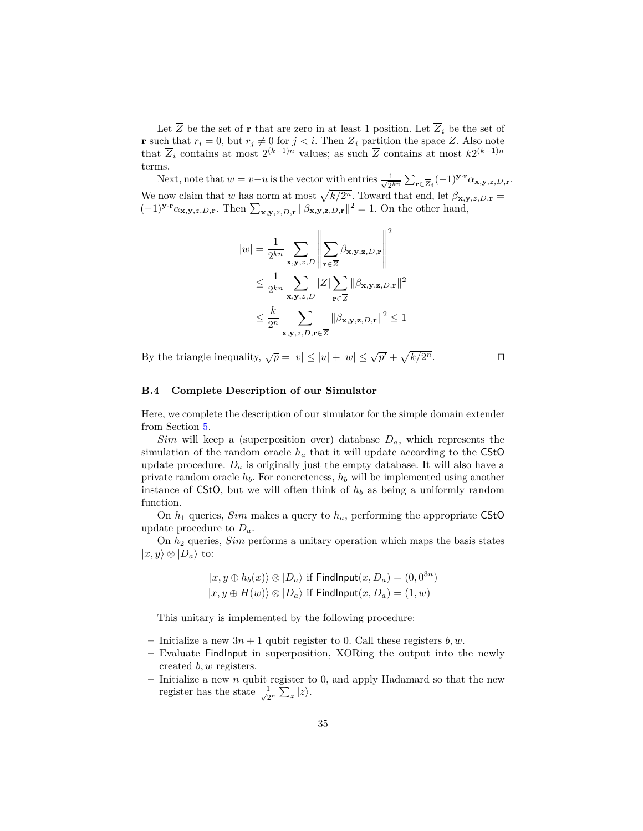Let  $\overline{Z}$  be the set of **r** that are zero in at least 1 position. Let  $\overline{Z}_i$  be the set of **r** such that  $r_i = 0$ , but  $r_j \neq 0$  for  $j < i$ . Then  $Z_i$  partition the space Z. Also note that  $\overline{Z}_i$  contains at most  $2^{(k-1)n}$  values; as such  $\overline{Z}$  contains at most  $k2^{(k-1)n}$ terms.

Next, note that  $w = v - u$  is the vector with entries  $\frac{1}{\sqrt{2}}$  $\frac{1}{2^{kn}}\sum_{\mathbf{r}\in\overline{Z}_i}(-1)^{\mathbf{y}\cdot\mathbf{r}}\alpha_{\mathbf{x},\mathbf{y},z,D,\mathbf{r}}.$ We now claim that *w* has norm at most  $\sqrt{k/2^n}$ . Toward that end, let  $\beta_{\mathbf{x},\mathbf{y},z,D,\mathbf{r}} =$  $(-1)^{\mathbf{y} \cdot \mathbf{r}} \alpha_{\mathbf{x},\mathbf{y},z,D,\mathbf{r}}$ . Then  $\sum_{\mathbf{x},\mathbf{y},z,D,\mathbf{r}} ||\beta_{\mathbf{x},\mathbf{y},\mathbf{z},D,\mathbf{r}}||^2 = 1$ . On the other hand,

$$
|w| = \frac{1}{2^{kn}} \sum_{\mathbf{x}, \mathbf{y}, z, D} \left\| \sum_{\mathbf{r} \in \overline{Z}} \beta_{\mathbf{x}, \mathbf{y}, \mathbf{z}, D, \mathbf{r}} \right\|^2
$$
  

$$
\leq \frac{1}{2^{kn}} \sum_{\mathbf{x}, \mathbf{y}, z, D} |\overline{Z}| \sum_{\mathbf{r} \in \overline{Z}} ||\beta_{\mathbf{x}, \mathbf{y}, \mathbf{z}, D, \mathbf{r}}||^2
$$
  

$$
\leq \frac{k}{2^n} \sum_{\mathbf{x}, \mathbf{y}, z, D, \mathbf{r} \in \overline{Z}} ||\beta_{\mathbf{x}, \mathbf{y}, \mathbf{z}, D, \mathbf{r}}||^2 \leq 1
$$

By the triangle inequality,  $\sqrt{p} = |v| \le |u| + |w| \le \sqrt{p'} + \sqrt{k/2^n}$ .

## <span id="page-34-0"></span>**B.4 Complete Description of our Simulator**

Here, we complete the description of our simulator for the simple domain extender from Section [5.](#page-18-0)

*Sim* will keep a (superposition over) database  $D_a$ , which represents the simulation of the random oracle  $h_a$  that it will update according to the  $CStO$ update procedure.  $D_a$  is originally just the empty database. It will also have a private random oracle *hb*. For concreteness, *h<sup>b</sup>* will be implemented using another instance of  $CStO$ , but we will often think of  $h<sub>b</sub>$  as being a uniformly random function.

On  $h_1$  queries, *Sim* makes a query to  $h_a$ , performing the appropriate CStO update procedure to *Da*.

On *h*<sup>2</sup> queries, *Sim* performs a unitary operation which maps the basis states  $|x, y\rangle \otimes |D_a\rangle$  to:

$$
|x, y \oplus h_b(x) \rangle \otimes |D_a\rangle
$$
 if FindInput $(x, D_a) = (0, 0^{3n})$   
 $|x, y \oplus H(w) \rangle \otimes |D_a\rangle$  if FindInput $(x, D_a) = (1, w)$ 

This unitary is implemented by the following procedure:

- **–** Initialize a new 3*n* + 1 qubit register to 0. Call these registers *b, w*.
- **–** Evaluate FindInput in superposition, XORing the output into the newly created *b, w* registers.
- **–** Initialize a new *n* qubit register to 0, and apply Hadamard so that the new register has the state  $\frac{1}{\sqrt{2}}$  $rac{1}{2^n}\sum_z|z\rangle.$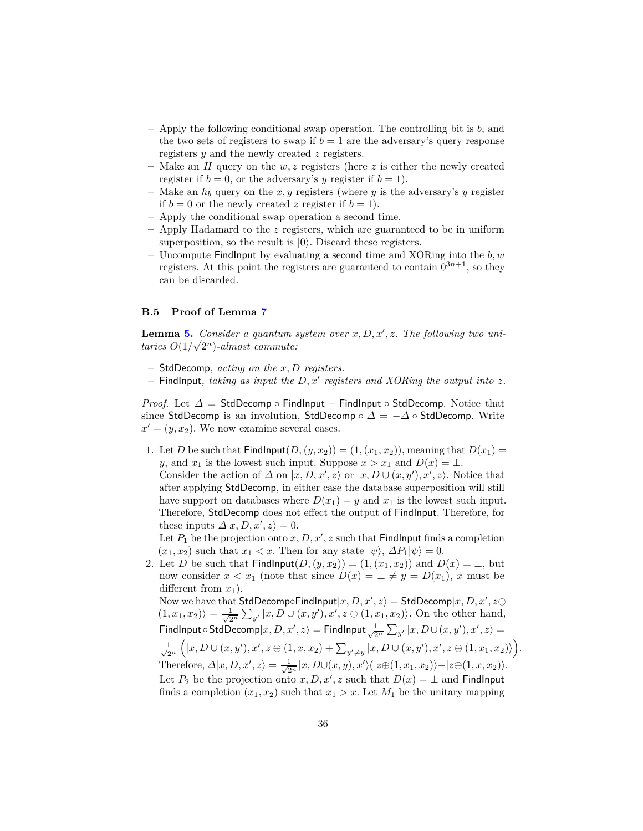- **–** Apply the following conditional swap operation. The controlling bit is *b*, and the two sets of registers to swap if  $b = 1$  are the adversary's query response registers *y* and the newly created *z* registers.
- **–** Make an *H* query on the *w, z* registers (here *z* is either the newly created register if  $b = 0$ , or the adversary's *y* register if  $b = 1$ .
- **–** Make an *h<sup>b</sup>* query on the *x, y* registers (where *y* is the adversary's *y* register if  $b = 0$  or the newly created *z* register if  $b = 1$ .
- **–** Apply the conditional swap operation a second time.
- **–** Apply Hadamard to the *z* registers, which are guaranteed to be in uniform superposition, so the result is  $|0\rangle$ . Discard these registers.
- **–** Uncompute FindInput by evaluating a second time and XORing into the *b, w* registers. At this point the registers are guaranteed to contain  $0^{3n+1}$ , so they can be discarded.

### <span id="page-35-0"></span>**B.5 Proof of Lemma [7](#page-20-1)**

**Lemma [5.](#page-15-0)** *Consider a quantum system over*  $x, D, x', z$ . The following two uni- $\tan 100(1/\sqrt{2^n})$ -almost commute:

- **–** StdDecomp*, acting on the x, D registers.*
- $-$  FindInput, taking as input the  $D, x'$  registers and XORing the output into  $z$ .

*Proof.* Let  $\Delta$  = StdDecomp ∘ FindInput – FindInput ∘ StdDecomp. Notice that since StdDecomp is an involution, StdDecomp  $\circ \Delta = -\Delta \circ$  StdDecomp. Write  $x' = (y, x_2)$ . We now examine several cases.

1. Let *D* be such that  $\textsf{FindInput}(D, (y, x_2)) = (1, (x_1, x_2))$ , meaning that  $D(x_1) =$ *y*, and  $x_1$  is the lowest such input. Suppose  $x > x_1$  and  $D(x) = \perp$ .

Consider the action of  $\Delta$  on  $|x, D, x', z \rangle$  or  $|x, D \cup (x, y'), x', z \rangle$ . Notice that after applying StdDecomp, in either case the database superposition will still have support on databases where  $D(x_1) = y$  and  $x_1$  is the lowest such input. Therefore, StdDecomp does not effect the output of FindInput. Therefore, for these inputs  $\Delta |x, D, x', z\rangle = 0.$ 

Let  $P_1$  be the projection onto  $x, D, x', z$  such that FindInput finds a completion  $(x_1, x_2)$  such that  $x_1 < x$ . Then for any state  $|\psi\rangle$ ,  $\Delta P_1|\psi\rangle = 0$ .

<span id="page-35-1"></span>2. Let *D* be such that FindInput $(D,(y,x_2)) = (1,(x_1,x_2))$  and  $D(x) = \perp$ , but now consider  $x < x_1$  (note that since  $D(x) = \bot \neq y = D(x_1)$ , *x* must be different from  $x_1$ ).

Now we have that  $\mathsf{StdDecomp} \circ \mathsf{FindInput}|x, D, x', z\rangle = \mathsf{StdDecomp}|x, D, x', z \oplus z\rangle$  $(1, x_1, x_2) = \frac{1}{\sqrt{2}}$  $\frac{1}{2^n} \sum_{y'} |x, D \cup (x, y'), x', z \oplus (1, x_1, x_2) \rangle$ . On the other hand, FindInput  $\circ$  StdDecomp $|x, D, x', z\rangle =$  FindInput  $\frac{1}{\sqrt{2}}$  $\frac{1}{2^n} \sum_{y'} |x, D \cup (x, y'), x', z\rangle =$ 

 $\frac{1}{\sqrt{2}}$  $\frac{1}{2^n}\Big(|x, D\cup (x,y'), x', z\oplus (1,x,x_2) + \sum_{y'\neq y}|x, D\cup (x,y'), x', z\oplus (1,x_1,x_2)\rangle\Big).$ Therefore,  $\Delta |x, D, x', z\rangle = \frac{1}{\sqrt{2}}$  $\frac{1}{2^n}|x, D \cup (x, y), x'\rangle(|z \oplus (1, x_1, x_2)\rangle - |z \oplus (1, x, x_2)\rangle.$ Let  $P_2$  be the projection onto  $x, D, x', z$  such that  $D(x) = \perp$  and FindInput

finds a completion  $(x_1, x_2)$  such that  $x_1 > x$ . Let  $M_1$  be the unitary mapping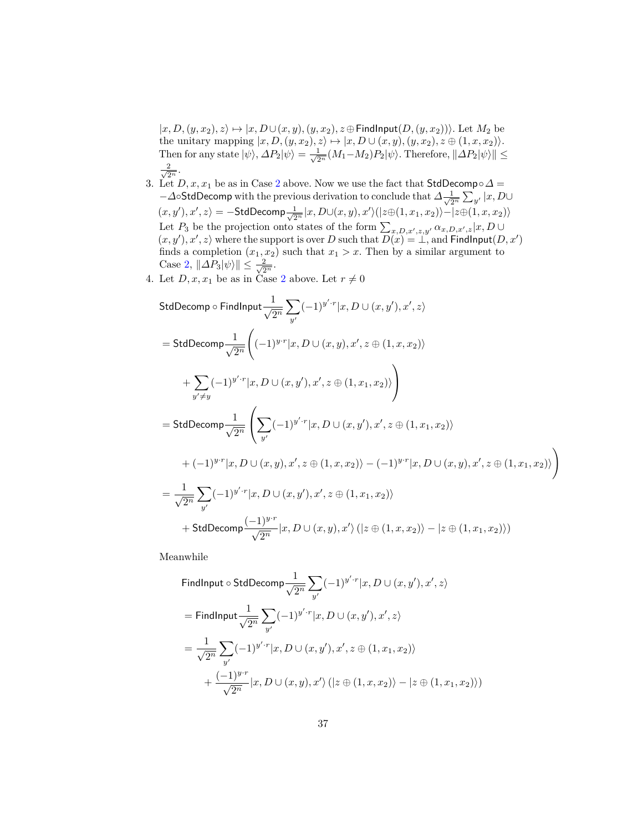$|x, D, (y, x_2), z\rangle \mapsto |x, D \cup (x, y), (y, x_2), z \oplus \textsf{FindInput}(D, (y, x_2))\rangle.$  Let  $M_2$  be the unitary mapping  $|x, D, (y, x_2), z\rangle \mapsto |x, D \cup (x, y), (y, x_2), z \oplus (1, x, x_2)\rangle.$ Then for any state  $|\psi\rangle$ ,  $\Delta P_2|\psi\rangle = \frac{1}{\sqrt{2}}$  $\frac{1}{2^n}(M_1-M_2)P_2|\psi\rangle$ . Therefore,  $\|\Delta P_2|\psi\rangle\|$  ≤  $\frac{2}{\sqrt{2}}$  $rac{2}{2^n}$ .

- 3. Let  $D, x, x_1$  be as in Case [2](#page-35-1) above. Now we use the fact that StdDecomp∘ $\Delta =$ −*∆*◦StdDecomp with the previous derivation to conclude that *∆* <sup>√</sup> 1  $\frac{1}{2^n}$ ∑<sub>y'</sub> |*x*, *D*∪  $(x, y'), x', z$  =  $-\text{StdDecomp}\frac{1}{\sqrt{2}}$  $\frac{1}{2^n}|x, D \cup (x, y), x'\rangle(|z \oplus (1, x_1, x_2)\rangle - |z \oplus (1, x, x_2)\rangle$ Let  $P_3$  be the projection onto states of the form  $\sum_{x,D,x',z,y'} \alpha_{x,D,x',z} | x, D \cup$  $(x, y'), x', z$  where the support is over *D* such that  $D(x) = \perp$ , and FindInput $(D, x')$ finds a completion  $(x_1, x_2)$  such that  $x_1 > x$ . Then by a similar argument to Case [2,](#page-35-1)  $\|\Delta P_3|\psi\rangle\| \leq \frac{2}{\sqrt{3}}$  $rac{2}{2^n}$ .
- <span id="page-36-0"></span>4. Let  $D, x, x_1$  be as in Case [2](#page-35-1) above. Let  $r \neq 0$

$$
\begin{aligned} &\text{StdDecomp}\circ\text{FindInput}\frac{1}{\sqrt{2^n}}\sum_{y'}(-1)^{y'\cdot r}|x,D\cup(x,y'),x',z\rangle\\ &=\text{StdDecomp}\frac{1}{\sqrt{2^n}}\left((-1)^{y\cdot r}|x,D\cup(x,y),x',z\oplus(1,x,x_2)\rangle\right)\\ &+\sum_{y'\neq y}(-1)^{y'\cdot r}|x,D\cup(x,y'),x',z\oplus(1,x_1,x_2)\rangle\right)\\ &=\text{StdDecomp}\frac{1}{\sqrt{2^n}}\left(\sum_{y'}(-1)^{y'\cdot r}|x,D\cup(x,y'),x',z\oplus(1,x_1,x_2)\rangle\\ &+(-1)^{y\cdot r}|x,D\cup(x,y),x',z\oplus(1,x,x_2)\rangle-(-1)^{y\cdot r}|x,D\cup(x,y),x',z\oplus(1,x_1,x_2)\rangle\right)\\ &=\frac{1}{\sqrt{2^n}}\sum_{y'}(-1)^{y'\cdot r}|x,D\cup(x,y'),x',z\oplus(1,x_1,x_2)\rangle\\ &+\text{StdDecomp}\frac{(-1)^{y\cdot r}}{\sqrt{2^n}}|x,D\cup(x,y),x'\rangle\left(|z\oplus(1,x,x_2)\rangle-|z\oplus(1,x_1,x_2)\rangle\right) \end{aligned}
$$

Meanwhile

FindInput 
$$
\circ
$$
 StdDecomp  $\frac{1}{\sqrt{2^n}} \sum_{y'} (-1)^{y' \cdot r} |x, D \cup (x, y'), x', z\rangle$   
\n
$$
= FindInput \frac{1}{\sqrt{2^n}} \sum_{y'} (-1)^{y' \cdot r} |x, D \cup (x, y'), x', z\rangle
$$
\n
$$
= \frac{1}{\sqrt{2^n}} \sum_{y'} (-1)^{y' \cdot r} |x, D \cup (x, y'), x', z \oplus (1, x_1, x_2) \rangle
$$
\n
$$
+ \frac{(-1)^{y \cdot r}}{\sqrt{2^n}} |x, D \cup (x, y), x'\rangle (|z \oplus (1, x, x_2) \rangle - |z \oplus (1, x_1, x_2) \rangle)
$$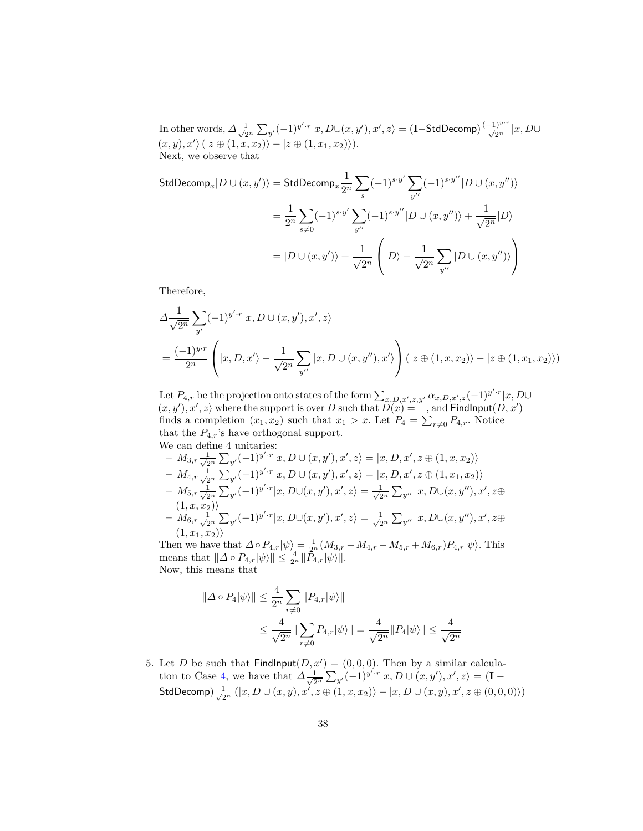In other words,  $\Delta \frac{1}{\sqrt{2}}$  $\frac{1}{2^n}\sum_{y'}(-1)^{y'\cdot r}|x,D\cup (x,y'),x',z\rangle = (\textbf{I}-\text{StdDecomp})\frac{(-1)^{y\cdot r}}{\sqrt{2^n}}|x,D\cup (x',y')|$  $(x, y), x' \rangle (|z \oplus (1, x, x_2) \rangle - |z \oplus (1, x_1, x_2) \rangle).$ Next, we observe that

$$
\begin{aligned} \text{StdDecomp}_x | D \cup (x, y') \rangle &= \text{StdDecomp}_x \frac{1}{2^n} \sum_s (-1)^{s \cdot y'} \sum_{y''} (-1)^{s \cdot y''} |D \cup (x, y'') \rangle \\ &= \frac{1}{2^n} \sum_{s \neq 0} (-1)^{s \cdot y'} \sum_{y''} (-1)^{s \cdot y''} |D \cup (x, y'') \rangle + \frac{1}{\sqrt{2^n}} |D \rangle \\ &= |D \cup (x, y') \rangle + \frac{1}{\sqrt{2^n}} \left( |D \rangle - \frac{1}{\sqrt{2^n}} \sum_{y''} |D \cup (x, y'') \rangle \right) \end{aligned}
$$

Therefore,

$$
\Delta \frac{1}{\sqrt{2^n}} \sum_{y'} (-1)^{y'\cdot r} |x, D \cup (x, y'), x', z\rangle
$$
  
= 
$$
\frac{(-1)^{y\cdot r}}{2^n} \left( |x, D, x'\rangle - \frac{1}{\sqrt{2^n}} \sum_{y''} |x, D \cup (x, y''), x'\rangle \right) (|z \oplus (1, x, x_2)\rangle - |z \oplus (1, x_1, x_2)\rangle)
$$

Let  $P_{4,r}$  be the projection onto states of the form  $\sum_{x,D,x',z,y'} \alpha_{x,D,x',z}(-1)^{y'\cdot r} | x, D\cup$  $(x, y'), x', z$  where the support is over *D* such that  $\overline{D(x)} = \perp$ , and FindInput $(D, x')$ finds a completion  $(x_1, x_2)$  such that  $x_1 > x$ . Let  $P_4 = \sum_{r \neq 0} P_{4,r}$ . Notice that the *P*4*,r*'s have orthogonal support. We can define 4 unitaries:

$$
\begin{aligned}\n&\text{if } &\sum_{i=1}^{n} \sum_{j} (-1)^{y'-r} |x, D \cup (x, y'), x', z\rangle = |x, D, x', z \oplus (1, x, x_2)\rangle \\
&\quad - M_{4,r} \frac{1}{\sqrt{2^n}} \sum_{y'} (-1)^{y'-r} |x, D \cup (x, y'), x', z\rangle = |x, D, x', z \oplus (1, x_1, x_2)\rangle \\
&\quad - M_{5,r} \frac{1}{\sqrt{2^n}} \sum_{y'} (-1)^{y'-r} |x, D \cup (x, y'), x', z\rangle = \frac{1}{\sqrt{2^n}} \sum_{y''} |x, D \cup (x, y''), x', z \oplus (1, x, x_2)\rangle \\
&\quad - M_{6,r} \frac{1}{\sqrt{2^n}} \sum_{y'} (-1)^{y'-r} |x, D \cup (x, y'), x', z\rangle = \frac{1}{\sqrt{2^n}} \sum_{y''} |x, D \cup (x, y''), x', z \oplus (1, x_1, x_2)\rangle\n\end{aligned}
$$

Then we have that  $\Delta \circ P_{4,r}|\psi\rangle = \frac{1}{2^n}(M_{3,r} - M_{4,r} - M_{5,r} + M_{6,r})P_{4,r}|\psi\rangle$ . This means that  $\|\Delta \circ P_{4,r}|\psi\rangle\| \leq \frac{4}{2^n} \|\tilde{P}_{4,r}|\psi\rangle\|.$ Now, this means that

$$
\begin{aligned} \|\Delta \circ P_4 |\psi\rangle & \|\leq \frac{4}{2^n} \sum_{r \neq 0} \|P_{4,r} |\psi\rangle\| \\ &\leq \frac{4}{\sqrt{2^n}} \|\sum_{r \neq 0} P_{4,r} |\psi\rangle\| = \frac{4}{\sqrt{2^n}} \|P_4 |\psi\rangle\| \leq \frac{4}{\sqrt{2^n}} \end{aligned}
$$

5. Let *D* be such that  $\text{FindInput}(D, x') = (0, 0, 0)$ . Then by a similar calcula-tion to Case [4,](#page-36-0) we have that  $\Delta \frac{1}{\sqrt{2}}$  $\frac{1}{2^n}\sum_{y'}(-1)^{y'\cdot r}|x, D\cup (x, y'), x', z\rangle = (\mathbf{I} -$ StdDecomp) $\frac{1}{\sqrt{2}}$  $\frac{1}{2^n} (|x, D \cup (x, y), x', z \oplus (1, x, x_2)) - |x, D \cup (x, y), x', z \oplus (0, 0, 0))$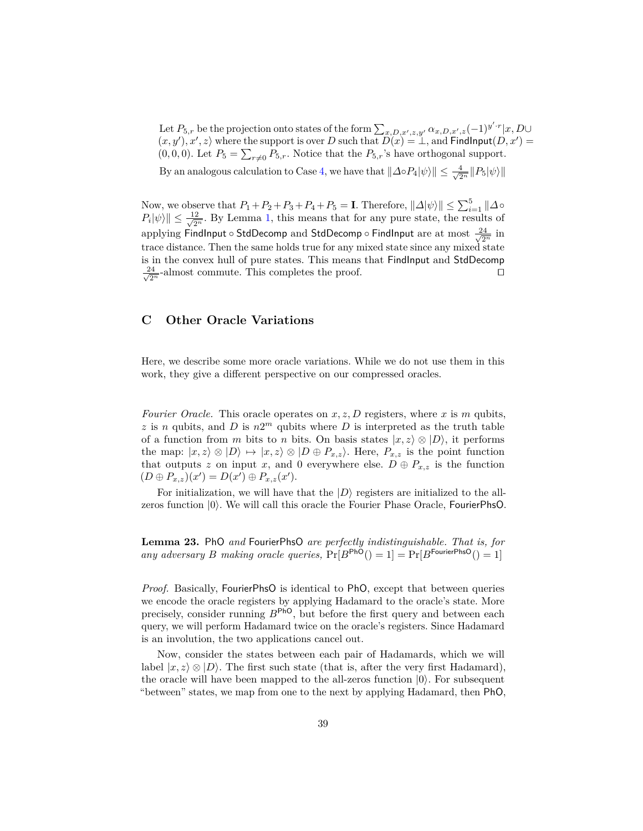Let  $P_{5,r}$  be the projection onto states of the form  $\sum_{x,D,x',z,y'} \alpha_{x,D,x',z}(-1)^{y'\cdot r} | x, D\cup$  $(x, y'), x', z$  where the support is over *D* such that  $D(x) = \perp$ , and FindInput $(D, x') =$  $(0,0,0)$ . Let  $P_5 = \sum_{r\neq 0} P_{5,r}$ . Notice that the  $P_{5,r}$ 's have orthogonal support.

By an analogous calculation to Case [4,](#page-36-0) we have that  $\|\Delta \circ P_4|\psi\rangle\| \leq \frac{4}{\sqrt{2}}$  $\frac{4}{2^n}$  $||P_5|\psi\rangle||$ 

Now, we observe that  $P_1 + P_2 + P_3 + P_4 + P_5 = I$ . Therefore,  $||\Delta|\psi\rangle|| \le \sum_{i=1}^5 ||\Delta \circ$  $P_i|\psi\rangle \leq \frac{12}{\sqrt{2}}$  $\frac{2}{2^n}$ . By Lemma [1,](#page-10-1) this means that for any pure state, the results of applying FindInput ∘ StdDecomp and StdDecomp ∘ FindInput are at most  $\frac{24}{\sqrt{2}}$  $\frac{24}{2^n}$  in trace distance. Then the same holds true for any mixed state since any mixed state is in the convex hull of pure states. This means that FindInput and StdDecomp  $\frac{24}{}$  $\frac{24}{2^n}$ -almost commute. This completes the proof.

# <span id="page-38-0"></span>**C Other Oracle Variations**

Here, we describe some more oracle variations. While we do not use them in this work, they give a different perspective on our compressed oracles.

*Fourier Oracle.* This oracle operates on *x, z, D* registers, where *x* is *m* qubits,  $z$  is *n* qubits, and  $D$  is  $n2^m$  qubits where  $D$  is interpreted as the truth table of a function from *m* bits to *n* bits. On basis states  $|x, z \rangle \otimes |D\rangle$ , it performs the map:  $|x, z\rangle \otimes |D\rangle \mapsto |x, z\rangle \otimes |D \oplus P_{x,z}\rangle$ . Here,  $P_{x,z}$  is the point function that outputs *z* on input *x*, and 0 everywhere else.  $D \oplus P_{x,z}$  is the function  $(D \oplus P_{x,z})(x') = D(x') \oplus P_{x,z}(x').$ 

For initialization, we will have that the  $|D\rangle$  registers are initialized to the allzeros function  $|0\rangle$ . We will call this oracle the Fourier Phase Oracle, FourierPhsO.

**Lemma 23.** PhO *and* FourierPhsO *are perfectly indistinguishable. That is, for any adversary B making oracle queries*,  $Pr[B^{PhO}() = 1] = Pr[B^{FourierPhso}() = 1]$ 

*Proof.* Basically, FourierPhsO is identical to PhO, except that between queries we encode the oracle registers by applying Hadamard to the oracle's state. More precisely, consider running  $B^{\text{PhO}}$ , but before the first query and between each query, we will perform Hadamard twice on the oracle's registers. Since Hadamard is an involution, the two applications cancel out.

Now, consider the states between each pair of Hadamards, which we will label  $|x, z \rangle \otimes |D\rangle$ . The first such state (that is, after the very first Hadamard), the oracle will have been mapped to the all-zeros function  $|0\rangle$ . For subsequent "between" states, we map from one to the next by applying Hadamard, then PhO,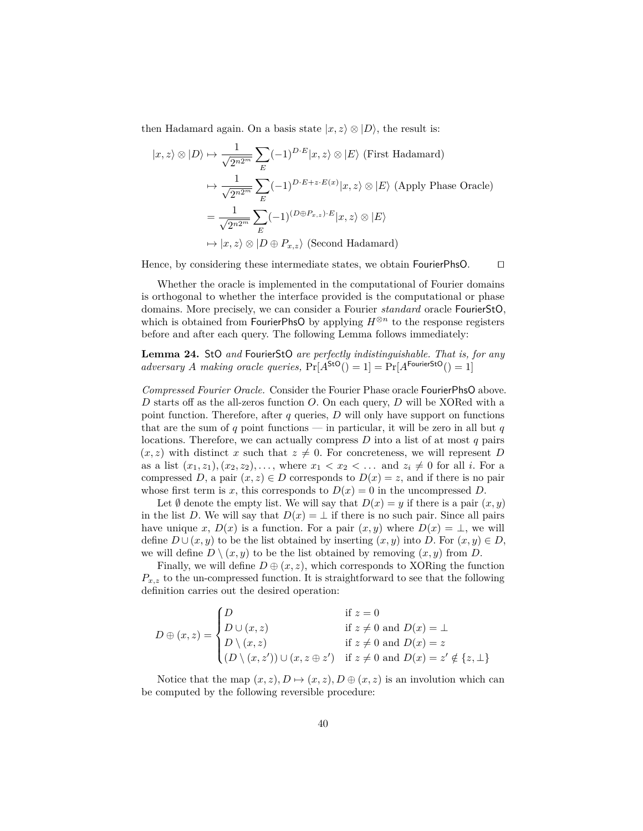then Hadamard again. On a basis state  $|x, z \rangle \otimes |D\rangle$ , the result is:

$$
|x,z\rangle \otimes |D\rangle \mapsto \frac{1}{\sqrt{2^{n2^m}}} \sum_{E} (-1)^{D\cdot E} |x,z\rangle \otimes |E\rangle \text{ (First Hadamard)}
$$

$$
\mapsto \frac{1}{\sqrt{2^{n2^m}}} \sum_{E} (-1)^{D\cdot E + z\cdot E(x)} |x,z\rangle \otimes |E\rangle \text{ (Apply Phase Oracle)}
$$

$$
= \frac{1}{\sqrt{2^{n2^m}}} \sum_{E} (-1)^{(D \oplus P_{x,z})\cdot E} |x,z\rangle \otimes |E\rangle
$$

$$
\mapsto |x,z\rangle \otimes |D \oplus P_{x,z}\rangle \text{ (Second Hadamard)}
$$

Hence, by considering these intermediate states, we obtain FourierPhsO.  $\Box$ 

Whether the oracle is implemented in the computational of Fourier domains is orthogonal to whether the interface provided is the computational or phase domains. More precisely, we can consider a Fourier *standard* oracle FourierStO, which is obtained from FourierPhsO by applying  $H^{\otimes n}$  to the response registers before and after each query. The following Lemma follows immediately:

**Lemma 24.** StO *and* FourierStO *are perfectly indistinguishable. That is, for any adversary A making oracle queries*,  $Pr[A^{StO}(t)] = 1] = Pr[A^{FourierStO}(t)] = 1$ 

*Compressed Fourier Oracle.* Consider the Fourier Phase oracle FourierPhsO above. *D* starts off as the all-zeros function *O*. On each query, *D* will be XORed with a point function. Therefore, after *q* queries, *D* will only have support on functions that are the sum of  $q$  point functions — in particular, it will be zero in all but  $q$ locations. Therefore, we can actually compress *D* into a list of at most *q* pairs  $(x, z)$  with distinct *x* such that  $z \neq 0$ . For concreteness, we will represent *D* as a list  $(x_1, z_1), (x_2, z_2), \ldots$ , where  $x_1 < x_2 < \ldots$  and  $z_i \neq 0$  for all *i*. For a compressed *D*, a pair  $(x, z) \in D$  corresponds to  $D(x) = z$ , and if there is no pair whose first term is *x*, this corresponds to  $D(x) = 0$  in the uncompressed *D*.

Let  $\emptyset$  denote the empty list. We will say that  $D(x) = y$  if there is a pair  $(x, y)$ in the list *D*. We will say that  $D(x) = \perp$  if there is no such pair. Since all pairs have unique *x*,  $D(x)$  is a function. For a pair  $(x, y)$  where  $D(x) = \bot$ , we will define  $D \cup (x, y)$  to be the list obtained by inserting  $(x, y)$  into *D*. For  $(x, y) \in D$ , we will define  $D \setminus (x, y)$  to be the list obtained by removing  $(x, y)$  from *D*.

Finally, we will define  $D \oplus (x, z)$ , which corresponds to XORing the function  $P_{x,z}$  to the un-compressed function. It is straightforward to see that the following definition carries out the desired operation:

$$
D \oplus (x, z) = \begin{cases} D & \text{if } z = 0 \\ D \cup (x, z) & \text{if } z \neq 0 \text{ and } D(x) = \bot \\ D \setminus (x, z) & \text{if } z \neq 0 \text{ and } D(x) = z \\ (D \setminus (x, z')) \cup (x, z \oplus z') & \text{if } z \neq 0 \text{ and } D(x) = z' \notin \{z, \bot\} \end{cases}
$$

Notice that the map  $(x, z), D \mapsto (x, z), D \oplus (x, z)$  is an involution which can be computed by the following reversible procedure: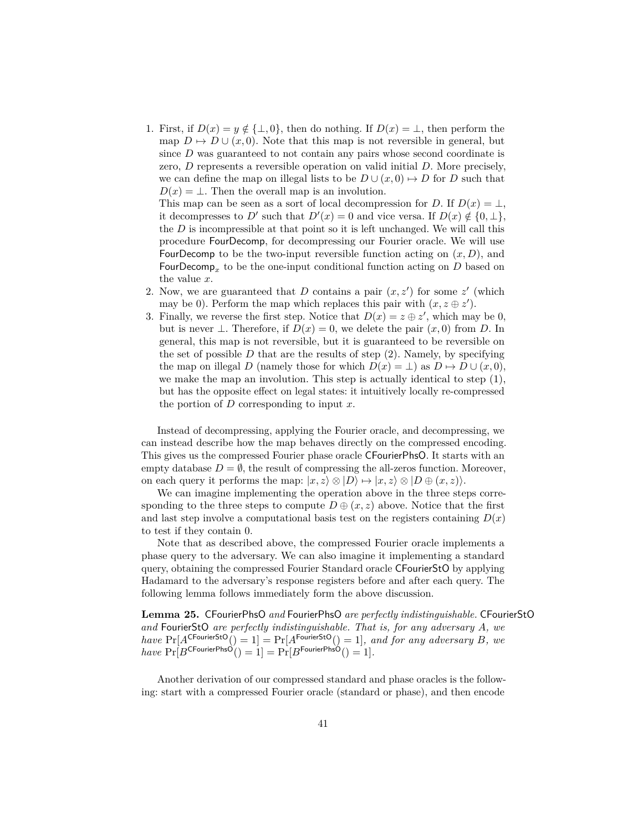1. First, if  $D(x) = y \notin \{\perp, 0\}$ , then do nothing. If  $D(x) = \perp$ , then perform the map  $D \mapsto D \cup (x, 0)$ . Note that this map is not reversible in general, but since *D* was guaranteed to not contain any pairs whose second coordinate is zero, *D* represents a reversible operation on valid initial *D*. More precisely, we can define the map on illegal lists to be  $D \cup (x,0) \mapsto D$  for *D* such that  $D(x) = \perp$ . Then the overall map is an involution.

This map can be seen as a sort of local decompression for *D*. If  $D(x) = \perp$ , it decompresses to *D'* such that  $D'(x) = 0$  and vice versa. If  $D(x) \notin \{0, \perp\},\$ the *D* is incompressible at that point so it is left unchanged. We will call this procedure FourDecomp, for decompressing our Fourier oracle. We will use FourDecomp to be the two-input reversible function acting on  $(x, D)$ , and FourDecomp*<sup>x</sup>* to be the one-input conditional function acting on *D* based on the value *x*.

- 2. Now, we are guaranteed that  $D$  contains a pair  $(x, z')$  for some  $z'$  (which may be 0). Perform the map which replaces this pair with  $(x, z \oplus z')$ .
- 3. Finally, we reverse the first step. Notice that  $D(x) = z \oplus z'$ , which may be 0, but is never  $\perp$ . Therefore, if  $D(x) = 0$ , we delete the pair  $(x, 0)$  from *D*. In general, this map is not reversible, but it is guaranteed to be reversible on the set of possible  $D$  that are the results of step  $(2)$ . Namely, by specifying the map on illegal *D* (namely those for which  $D(x) = \bot$ ) as  $D \mapsto D \cup (x, 0)$ , we make the map an involution. This step is actually identical to step  $(1)$ , but has the opposite effect on legal states: it intuitively locally re-compressed the portion of *D* corresponding to input *x*.

Instead of decompressing, applying the Fourier oracle, and decompressing, we can instead describe how the map behaves directly on the compressed encoding. This gives us the compressed Fourier phase oracle CFourierPhsO. It starts with an empty database  $D = \emptyset$ , the result of compressing the all-zeros function. Moreover, on each query it performs the map:  $|x, z \rangle \otimes |D\rangle \mapsto |x, z \rangle \otimes |D \oplus (x, z)\rangle$ .

We can imagine implementing the operation above in the three steps corresponding to the three steps to compute  $D \oplus (x, z)$  above. Notice that the first and last step involve a computational basis test on the registers containing  $D(x)$ to test if they contain 0.

Note that as described above, the compressed Fourier oracle implements a phase query to the adversary. We can also imagine it implementing a standard query, obtaining the compressed Fourier Standard oracle CFourierStO by applying Hadamard to the adversary's response registers before and after each query. The following lemma follows immediately form the above discussion.

**Lemma 25.** CFourierPhsO *and* FourierPhsO *are perfectly indistinguishable.* CFourierStO *and* FourierStO *are perfectly indistinguishable. That is, for any adversary A, we have*  $\Pr[A^{\text{CFourierStO}}() = 1] = \Pr[A^{\text{FourierStO}}() = 1]$ *, and for any adversary B, we*  $have \Pr[B^{\mathsf{CFourierPhsO}}() = 1] = \Pr[B^{\mathsf{FourierPhsO}}() = 1].$ 

Another derivation of our compressed standard and phase oracles is the following: start with a compressed Fourier oracle (standard or phase), and then encode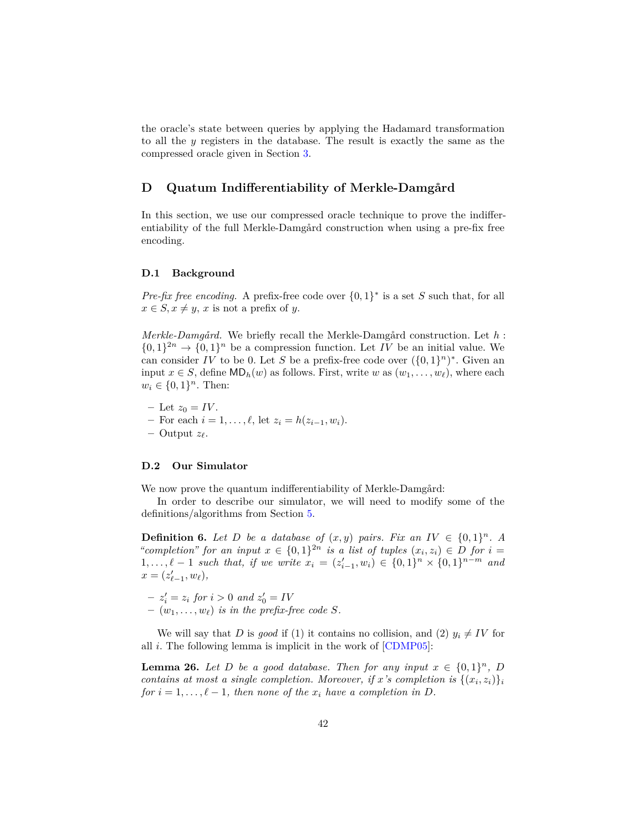the oracle's state between queries by applying the Hadamard transformation to all the *y* registers in the database. The result is exactly the same as the compressed oracle given in Section [3.](#page-10-0)

# <span id="page-41-0"></span>**D Quatum Indifferentiability of Merkle-Damgård**

In this section, we use our compressed oracle technique to prove the indifferentiability of the full Merkle-Damgård construction when using a pre-fix free encoding.

#### **D.1 Background**

*Pre-fix free encoding.* A prefix-free code over  $\{0,1\}^*$  is a set *S* such that, for all  $x \in S, x \neq y$ , *x* is not a prefix of *y*.

*Merkle-Damgård.* We briefly recall the Merkle-Damgård construction. Let *h* :  $\{0,1\}^{2n} \to \{0,1\}^n$  be a compression function. Let *IV* be an initial value. We can consider *IV* to be 0. Let *S* be a prefix-free code over  $({0,1}<sup>n</sup>)^*$ . Given an input  $x \in S$ , define  $MD_h(w)$  as follows. First, write *w* as  $(w_1, \ldots, w_\ell)$ , where each  $w_i \in \{0, 1\}^n$ . Then:

 $-$  Let  $z_0 = IV$ .  $-$  For each  $i = 1, ..., \ell$ , let  $z_i = h(z_{i-1}, w_i)$ .  $-$  Output  $z_{\ell}$ .

# **D.2 Our Simulator**

We now prove the quantum indifferentiability of Merkle-Damgård:

In order to describe our simulator, we will need to modify some of the definitions/algorithms from Section [5.](#page-18-0)

**Definition 6.** Let D be a database of  $(x, y)$  pairs. Fix an  $IV \in \{0, 1\}^n$ . A "*completion" for an input*  $x \in \{0,1\}^{2n}$  *is a list of tuples*  $(x_i, z_i) \in D$  *for*  $i =$  $1, \ldots, \ell - 1$  *such that, if we write*  $x_i = (z'_{i-1}, w_i) \in \{0, 1\}^n \times \{0, 1\}^{n-m}$  *and*  $x = (z'_{\ell-1}, w_{\ell}),$ 

 $z' = z_i$  *for*  $i > 0$  *and*  $z'_0 = IV$  $- (w_1, \ldots, w_\ell)$  *is in the prefix-free code S.* 

We will say that *D* is *good* if (1) it contains no collision, and (2)  $y_i \neq IV$  for all *i*. The following lemma is implicit in the work of [\[CDMP05\]](#page-28-6):

**Lemma 26.** *Let D be a good database. Then for any input*  $x \in \{0,1\}^n$ , *D contains at most a single completion. Moreover, if x's completion is*  $\{(x_i, z_i)\}_i$ *for*  $i = 1, \ldots, \ell - 1$ *, then none of the*  $x_i$  *have a completion in D.*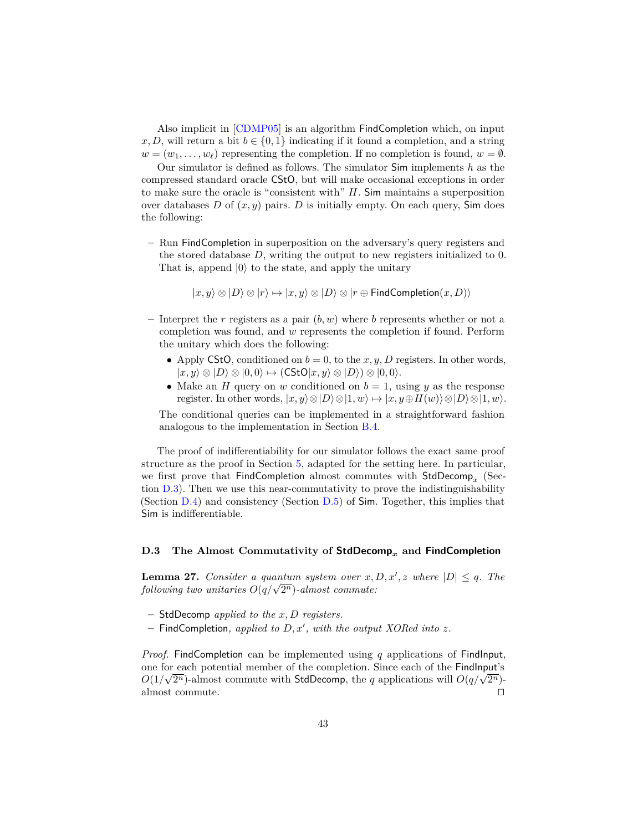Also implicit in [\[CDMP05\]](#page-28-6) is an algorithm FindCompletion which, on input *x, D*, will return a bit  $b \in \{0,1\}$  indicating if it found a completion, and a string  $w = (w_1, \ldots, w_\ell)$  representing the completion. If no completion is found,  $w = \emptyset$ .

Our simulator is defined as follows. The simulator Sim implements *h* as the compressed standard oracle CStO, but will make occasional exceptions in order to make sure the oracle is "consistent with" *H*. Sim maintains a superposition over databases  $D$  of  $(x, y)$  pairs.  $D$  is initially empty. On each query, Sim does the following:

**–** Run FindCompletion in superposition on the adversary's query registers and the stored database *D*, writing the output to new registers initialized to 0. That is, append  $|0\rangle$  to the state, and apply the unitary

$$
|x,y\rangle \otimes |D\rangle \otimes |r\rangle \mapsto |x,y\rangle \otimes |D\rangle \otimes |r \oplus \text{FindCompletion}(x,D)\rangle
$$

- **–** Interpret the *r* registers as a pair (*b, w*) where *b* represents whether or not a completion was found, and *w* represents the completion if found. Perform the unitary which does the following:
	- Apply CStO, conditioned on  $b = 0$ , to the  $x, y, D$  registers. In other words,  $|x, y\rangle \otimes |D\rangle \otimes |0, 0\rangle \mapsto (\mathsf{CStO}|x, y\rangle \otimes |D\rangle) \otimes |0, 0\rangle.$
	- Make an *H* query on *w* conditioned on  $b = 1$ , using *y* as the response register. In other words,  $|x, y\rangle \otimes |D\rangle \otimes |1, w\rangle \mapsto |x, y \oplus H(w)\rangle \otimes |D\rangle \otimes |1, w\rangle.$

The conditional queries can be implemented in a straightforward fashion analogous to the implementation in Section [B.4.](#page-34-0)

The proof of indifferentiability for our simulator follows the exact same proof structure as the proof in Section [5,](#page-18-0) adapted for the setting here. In particular, we first prove that  $\mathsf{FindCompletion}$  almost commutes with  $\mathsf{StdDecomp}_{x}$  (Section [D.3\)](#page-42-0). Then we use this near-commutativity to prove the indistinguishability (Section  $D.4$ ) and consistency (Section  $D.5$ ) of Sim. Together, this implies that Sim is indifferentiable.

#### <span id="page-42-0"></span>**D.3 The Almost Commutativity of StdDecomp***<sup>x</sup>* **and FindCompletion**

<span id="page-42-1"></span>**Lemma 27.** *Consider a quantum system over*  $x, D, x', z$  *where*  $|D| \leq q$ *. The following two unitaries*  $O(q/\sqrt{2^n})$ -almost commute:

- **–** StdDecomp *applied to the x, D registers.*
- $-$  FindCompletion, applied to  $D, x'$ , with the output XORed into  $z$ .

*Proof.* FindCompletion can be implemented using *q* applications of FindInput, one for each potential member of the completion. Since each of the FindInput's  $O(1/\sqrt{2^n})$ -almost commute with StdDecomp, the *q* applications will  $O(q/\sqrt{2^n})$ almost commute.  $\Box$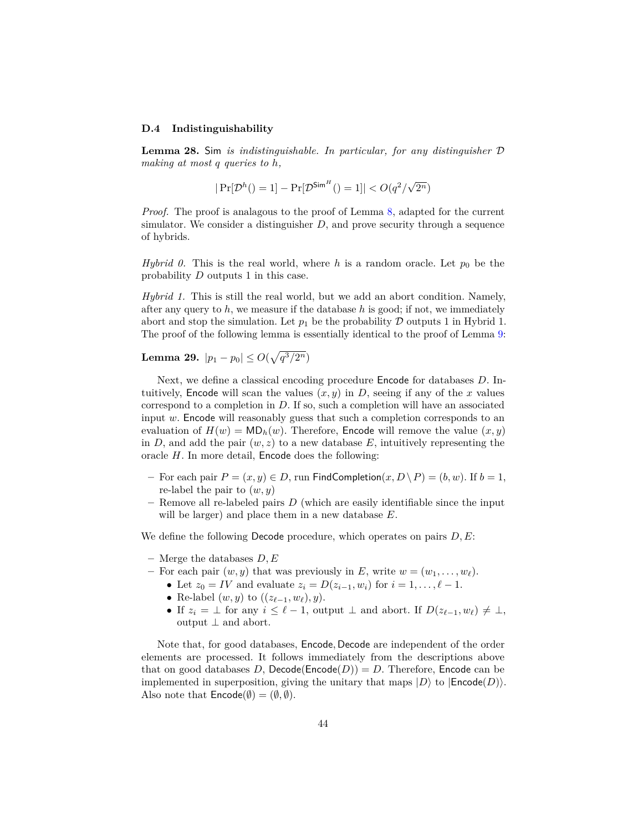#### <span id="page-43-0"></span>**D.4 Indistinguishability**

<span id="page-43-1"></span>**Lemma 28.** Sim *is indistinguishable. In particular, for any distinguisher* D *making at most q queries to h,*

$$
|\Pr[\mathcal{D}^h() = 1] - \Pr[\mathcal{D}^{\mathsf{Sim}^H}( ) = 1]| < O(q^2/\sqrt{2^n})
$$

*Proof.* The proof is analagous to the proof of Lemma [8,](#page-21-1) adapted for the current simulator. We consider a distinguisher *D*, and prove security through a sequence of hybrids.

*Hybrid 0.* This is the real world, where h is a random oracle. Let  $p_0$  be the probability *D* outputs 1 in this case.

*Hybrid 1.* This is still the real world, but we add an abort condition. Namely, after any query to *h*, we measure if the database *h* is good; if not, we immediately abort and stop the simulation. Let  $p_1$  be the probability  $\mathcal D$  outputs 1 in Hybrid 1. The proof of the following lemma is essentially identical to the proof of Lemma [9:](#page-22-0)

 ${\bf Lemma ~29.}~~|p_1-p_0| \leq O(\sqrt{q^3/2^n})$ 

Next, we define a classical encoding procedure Encode for databases *D*. Intuitively, Encode will scan the values  $(x, y)$  in *D*, seeing if any of the *x* values correspond to a completion in *D*. If so, such a completion will have an associated input *w*. Encode will reasonably guess that such a completion corresponds to an evaluation of  $H(w) = \mathsf{MD}_h(w)$ . Therefore, **Encode** will remove the value  $(x, y)$ in *D*, and add the pair  $(w, z)$  to a new database *E*, intuitively representing the oracle *H*. In more detail, Encode does the following:

- **–** For each pair *P* = (*x, y*) ∈ *D*, run FindCompletion(*x, D* \*P*) = (*b, w*). If *b* = 1, re-label the pair to (*w, y*)
- **–** Remove all re-labeled pairs *D* (which are easily identifiable since the input will be larger) and place them in a new database *E*.

We define the following Decode procedure, which operates on pairs *D, E*:

- **–** Merge the databases *D, E*
- $-$  For each pair  $(w, y)$  that was previously in *E*, write  $w = (w_1, \ldots, w_\ell)$ .
	- Let  $z_0 = IV$  and evaluate  $z_i = D(z_{i-1}, w_i)$  for  $i = 1, ..., \ell 1$ .
		- Re-label  $(w, y)$  to  $((z_{\ell-1}, w_{\ell}), y)$ .
	- If  $z_i = \perp$  for any  $i \leq \ell 1$ , output  $\perp$  and abort. If  $D(z_{\ell-1}, w_{\ell}) \neq \perp$ , output  $\perp$  and abort.

Note that, for good databases, Encode*,* Decode are independent of the order elements are processed. It follows immediately from the descriptions above that on good databases *D*, Decode( $\text{Encode}(D)$ ) = *D*. Therefore, Encode can be implemented in superposition, giving the unitary that maps  $|D\rangle$  to  $|\textsf{Encode}(D)\rangle$ . Also note that  $\mathsf{Encode}(\emptyset)=(\emptyset,\emptyset)$ .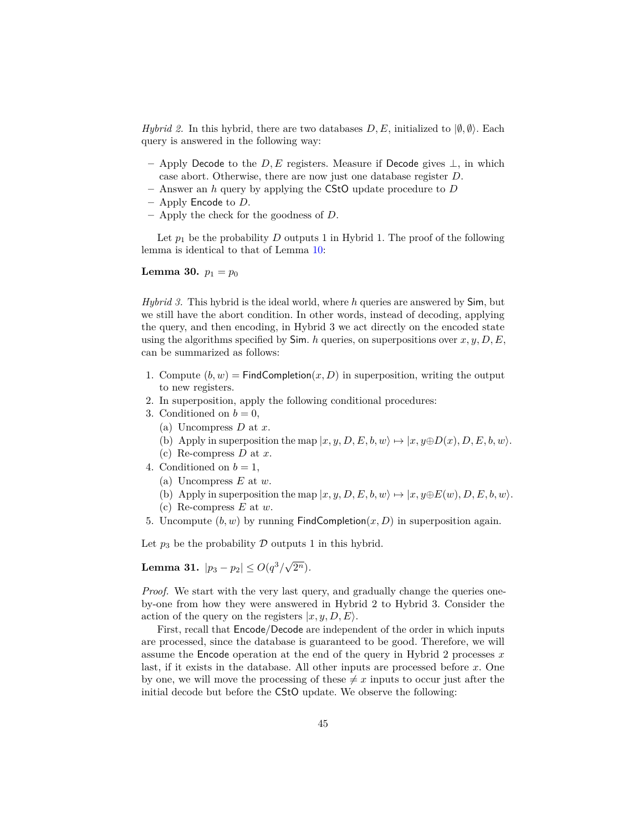*Hybrid 2.* In this hybrid, there are two databases  $D, E$ , initialized to  $(\emptyset, \emptyset)$ . Each query is answered in the following way:

- **–** Apply Decode to the *D, E* registers. Measure if Decode gives ⊥, in which case abort. Otherwise, there are now just one database register *D*.
- **–** Answer an *h* query by applying the CStO update procedure to *D*
- **–** Apply Encode to *D*.
- **–** Apply the check for the goodness of *D*.

Let  $p_1$  be the probability *D* outputs 1 in Hybrid 1. The proof of the following lemma is identical to that of Lemma [10:](#page-22-1)

## **Lemma 30.**  $p_1 = p_0$

*Hybrid 3.* This hybrid is the ideal world, where *h* queries are answered by Sim, but we still have the abort condition. In other words, instead of decoding, applying the query, and then encoding, in Hybrid 3 we act directly on the encoded state using the algorithms specified by Sim. *h* queries, on superpositions over *x, y, D, E*, can be summarized as follows:

- 1. Compute  $(b, w) = \mathsf{FindCompletion}(x, D)$  in superposition, writing the output to new registers.
- 2. In superposition, apply the following conditional procedures:
- 3. Conditioned on  $b = 0$ ,
	- (a) Uncompress *D* at *x*.
	- (b) Apply in superposition the map  $|x, y, D, E, b, w \rangle \mapsto |x, y \oplus D(x), D, E, b, w \rangle$ .
	- (c) Re-compress *D* at *x*.
- 4. Conditioned on  $b = 1$ ,
	- (a) Uncompress *E* at *w*.
	- (b) Apply in superposition the map  $|x, y, D, E, b, w \rangle \mapsto |x, y \oplus E(w), D, E, b, w \rangle$ .
	- (c) Re-compress *E* at *w*.
- 5. Uncompute  $(b, w)$  by running FindCompletion $(x, D)$  in superposition again.

Let  $p_3$  be the probability  $\mathcal D$  outputs 1 in this hybrid.

**Lemma 31.**  $|p_3 - p_2|$  ≤  $O(q^3/\sqrt{2})$  $\overline{2^n}).$ 

*Proof.* We start with the very last query, and gradually change the queries oneby-one from how they were answered in Hybrid 2 to Hybrid 3. Consider the action of the query on the registers  $|x, y, D, E\rangle$ .

First, recall that Encode*/*Decode are independent of the order in which inputs are processed, since the database is guaranteed to be good. Therefore, we will assume the Encode operation at the end of the query in Hybrid 2 processes *x* last, if it exists in the database. All other inputs are processed before *x*. One by one, we will move the processing of these  $\neq x$  inputs to occur just after the initial decode but before the CStO update. We observe the following: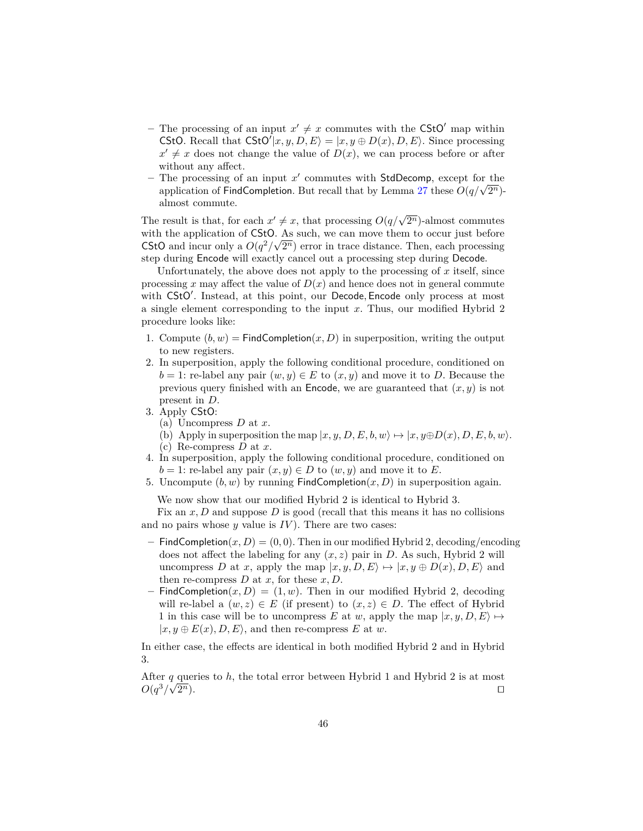- The processing of an input  $x' \neq x$  commutes with the CStO<sup>'</sup> map within CStO. Recall that  $CStO'|x, y, D, E\rangle = |x, y \oplus D(x), D, E\rangle$ . Since processing  $x' \neq x$  does not change the value of  $D(x)$ , we can process before or after without any affect.
- **–** The processing of an input *x* 0 commutes with StdDecomp, except for the application of FindCompletion. But recall that by Lemma [27](#page-42-1) these  $O(q/\sqrt{2^n})$ almost commute.

The result is that, for each  $x' \neq x$ , that processing  $O(q/\sqrt{2^n})$ -almost commutes with the application of CStO. As such, we can move them to occur just before CStO and incur only a  $O(q^2/\sqrt{2^n})$  error in trace distance. Then, each processing step during Encode will exactly cancel out a processing step during Decode.

Unfortunately, the above does not apply to the processing of *x* itself, since processing  $x$  may affect the value of  $D(x)$  and hence does not in general commute with CStO'. Instead, at this point, our Decode, Encode only process at most a single element corresponding to the input *x*. Thus, our modified Hybrid 2 procedure looks like:

- 1. Compute  $(b, w) = \text{FindCompletion}(x, D)$  in superposition, writing the output to new registers.
- 2. In superposition, apply the following conditional procedure, conditioned on  $b = 1$ : re-label any pair  $(w, y) \in E$  to  $(x, y)$  and move it to *D*. Because the previous query finished with an **Encode**, we are guaranteed that  $(x, y)$  is not present in *D*.
- 3. Apply CStO:
	- (a) Uncompress *D* at *x*.
	- (b) Apply in superposition the map  $|x, y, D, E, b, w \rangle \mapsto |x, y \oplus D(x), D, E, b, w \rangle$ .
	- (c) Re-compress *D* at *x*.
- 4. In superposition, apply the following conditional procedure, conditioned on  $b = 1$ : re-label any pair  $(x, y) \in D$  to  $(w, y)$  and move it to *E*.
- 5. Uncompute  $(b, w)$  by running **FindCompletion** $(x, D)$  in superposition again.

We now show that our modified Hybrid 2 is identical to Hybrid 3.

Fix an *x*, D and suppose D is good (recall that this means it has no collisions and no pairs whose  $y$  value is  $IV$ ). There are two cases:

- $-$  FindCompletion $(x, D) = (0, 0)$ . Then in our modified Hybrid 2, decoding/encoding does not affect the labeling for any (*x, z*) pair in *D*. As such, Hybrid 2 will uncompress *D* at *x*, apply the map  $|x, y, D, E\rangle \mapsto |x, y \oplus D(x), D, E\rangle$  and then re-compress *D* at *x*, for these *x, D*.
- **–** FindCompletion(*x, D*) = (1*, w*). Then in our modified Hybrid 2, decoding will re-label a  $(w, z) \in E$  (if present) to  $(x, z) \in D$ . The effect of Hybrid 1 in this case will be to uncompress *E* at *w*, apply the map  $|x, y, D, E\rangle \mapsto$  $|x, y \oplus E(x), D, E\rangle$ , and then re-compress *E* at *w*.

In either case, the effects are identical in both modified Hybrid 2 and in Hybrid 3.

After *q* queries to *h*, the total error between Hybrid 1 and Hybrid 2 is at most  $O(q^3/\sqrt{2})$  $\overline{n}$ ).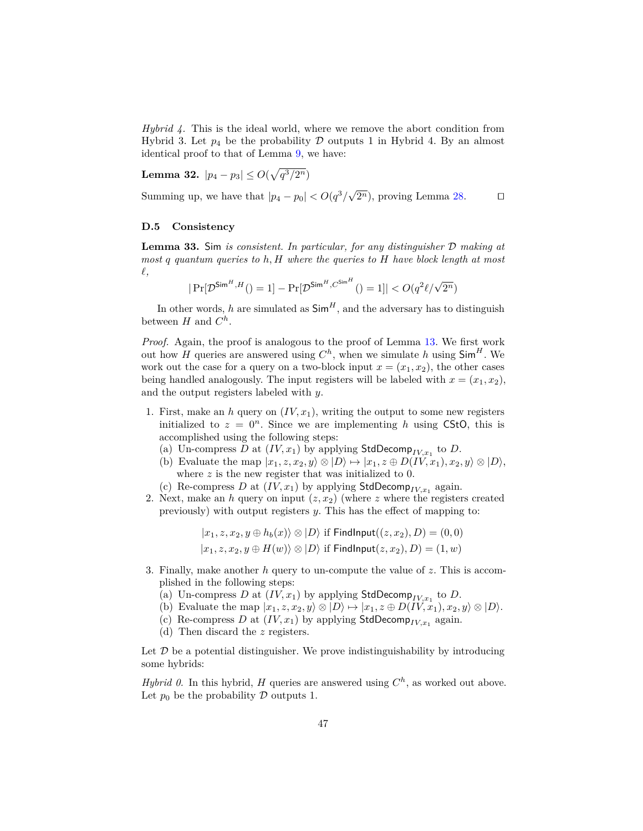*Hybrid 4.* This is the ideal world, where we remove the abort condition from Hybrid 3. Let  $p_4$  be the probability  $\mathcal D$  outputs 1 in Hybrid 4. By an almost identical proof to that of Lemma [9,](#page-22-0) we have:

 ${\bf Lemma 32.}~~|p_4-p_3|\leq O(\sqrt{q^3/2^n})$ 

Summing up, we have that  $|p_4 - p_0| < O(q^3/\sqrt{2})$  $\overline{2^n}$ , proving Lemma [28.](#page-43-1)  $\Box$ 

#### <span id="page-46-0"></span>**D.5 Consistency**

<span id="page-46-6"></span>**Lemma 33.** Sim *is consistent. In particular, for any distinguisher* D *making at most q quantum queries to h, H where the queries to H have block length at most `,*

$$
|\Pr[\boldsymbol{\mathcal{D}}^{\mathsf{Sim}^H, H}() = 1] - \Pr[\boldsymbol{\mathcal{D}}^{\mathsf{Sim}^H, \boldsymbol{C}^{\mathsf{Sim}^H}}() = 1]| < O(q^2\ell/\sqrt{2^n})
$$

In other words, *h* are simulated as  $\mathsf{Sim}^H$ , and the adversary has to distinguish between  $H$  and  $C^h$ .

*Proof.* Again, the proof is analogous to the proof of Lemma [13.](#page-24-6) We first work out how *H* queries are answered using  $C<sup>h</sup>$ , when we simulate *h* using  $\mathsf{Sim}^H$ . We work out the case for a query on a two-block input  $x = (x_1, x_2)$ , the other cases being handled analogously. The input registers will be labeled with  $x = (x_1, x_2)$ , and the output registers labeled with *y*.

- <span id="page-46-4"></span>1. First, make an *h* query on  $(IV, x_1)$ , writing the output to some new registers initialized to  $z = 0<sup>n</sup>$ . Since we are implementing *h* using CStO, this is accomplished using the following steps:
	- (a) Un-compress *D* at  $(IV, x_1)$  by applying StdDecomp<sub>*IV*, $x_1$ </sub> to *D*.
	- (b) Evaluate the map  $|x_1, z, x_2, y \rangle \otimes |D\rangle \mapsto |x_1, z \oplus D(IV, x_1), x_2, y \rangle \otimes |D\rangle$ , where *z* is the new register that was initialized to 0.
	- (c) Re-compress *D* at  $(IV, x_1)$  by applying StdDecomp<sub>IV, $x_1$ </sub> again.
- <span id="page-46-3"></span><span id="page-46-1"></span>2. Next, make an  $h$  query on input  $(z, x_2)$  (where  $z$  where the registers created previously) with output registers *y*. This has the effect of mapping to:

$$
|x_1, z, x_2, y \oplus h_b(x) \rangle \otimes |D\rangle \text{ if FindInput}((z, x_2), D) = (0, 0)
$$
  

$$
|x_1, z, x_2, y \oplus H(w) \rangle \otimes |D\rangle \text{ if FindInput}(z, x_2), D) = (1, w)
$$

- <span id="page-46-5"></span><span id="page-46-2"></span>3. Finally, make another *h* query to un-compute the value of *z*. This is accomplished in the following steps:
	- (a) Un-compress *D* at  $(IV, x_1)$  by applying StdDecomp<sub>*IV*, $x_1$ </sub> to *D*.
	- (b) Evaluate the map  $|x_1, z, x_2, y \rangle \otimes |D\rangle \mapsto |x_1, z \oplus D(IV, x_1), x_2, y \rangle \otimes |D\rangle.$
	- (c) Re-compress *D* at  $(IV, x_1)$  by applying StdDecomp<sub>*IV*, $x_1$ </sub> again.
	- (d) Then discard the *z* registers.

Let  $D$  be a potential distinguisher. We prove indistinguishability by introducing some hybrids:

*Hybrid 0.* In this hybrid, *H* queries are answered using  $C<sup>h</sup>$ , as worked out above. Let  $p_0$  be the probability  $\mathcal D$  outputs 1.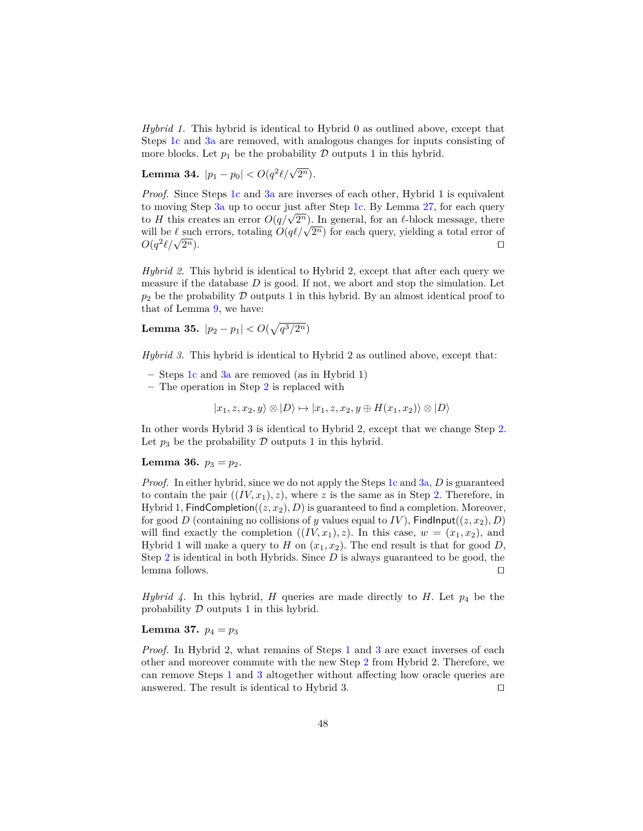*Hybrid 1.* This hybrid is identical to Hybrid 0 as outlined above, except that Steps [1c](#page-46-1) and [3a](#page-46-2) are removed, with analogous changes for inputs consisting of more blocks. Let  $p_1$  be the probability  $D$  outputs 1 in this hybrid.

Lemma 34.  $|p_1 - p_0| < O(q^2 \ell / \sqrt{2^n})$ *.* 

*Proof.* Since Steps [1c](#page-46-1) and [3a](#page-46-2) are inverses of each other, Hybrid 1 is equivalent to moving Step [3a](#page-46-2) up to occur just after Step [1c.](#page-46-1) By Lemma [27,](#page-42-1) for each query to moving step sa up to occur just after step 1c. By Lemma 2*t*, for each query to *H* this creates an error  $O(q/\sqrt{2^n})$ . In general, for an *l*-block message, there to *H* this creates an error  $O(q/\sqrt{2^n})$ . In general, for an  $\ell$ -block message, there will be  $\ell$  such errors, totaling  $O(q\ell/\sqrt{2^n})$  for each query, yielding a total error of will be  $\ell$  s<br> $O(q^2 \ell/\sqrt{2})$  $\overline{n}$ ).

*Hybrid 2.* This hybrid is identical to Hybrid 2, except that after each query we measure if the database *D* is good. If not, we abort and stop the simulation. Let  $p_2$  be the probability D outputs 1 in this hybrid. By an almost identical proof to that of Lemma [9,](#page-22-0) we have:

 ${\bf Lemma~35.}~~|p_2-p_1|< O(\sqrt{q^3/2^n})$ 

*Hybrid 3.* This hybrid is identical to Hybrid 2 as outlined above, except that:

- **–** Steps [1c](#page-46-1) and [3a](#page-46-2) are removed (as in Hybrid 1)
- **–** The operation in Step [2](#page-46-3) is replaced with

$$
|x_1, z, x_2, y\rangle \otimes |D\rangle \mapsto |x_1, z, x_2, y \oplus H(x_1, x_2)\rangle \otimes |D\rangle
$$

In other words Hybrid 3 is identical to Hybrid 2, except that we change Step [2.](#page-46-3) Let  $p_3$  be the probability  $\mathcal D$  outputs 1 in this hybrid.

# **Lemma 36.**  $p_3 = p_2$ .

*Proof.* In either hybrid, since we do not apply the Steps [1c](#page-46-1) and [3a,](#page-46-2) D is guaranteed to contain the pair  $((IV, x_1), z)$ , where *z* is the same as in Step [2.](#page-46-3) Therefore, in Hybrid 1, FindCompletion $((z, x_2), D)$  is guaranteed to find a completion. Moreover, for good *D* (containing no collisions of *y* values equal to *IV*), FindInput( $(z, x_2)$ , *D*) will find exactly the completion  $((IV, x_1), z)$ . In this case,  $w = (x_1, x_2)$ , and Hybrid 1 will make a query to *H* on  $(x_1, x_2)$ . The end result is that for good *D*, Step [2](#page-46-3) is identical in both Hybrids. Since *D* is always guaranteed to be good, the lemma follows.  $\Box$ 

*Hybrid 4.* In this hybrid, *H* queries are made directly to *H*. Let *p*<sup>4</sup> be the probability  $D$  outputs 1 in this hybrid.

### **Lemma 37.**  $p_4 = p_3$

*Proof.* In Hybrid 2, what remains of Steps [1](#page-46-4) and [3](#page-46-5) are exact inverses of each other and moreover commute with the new Step [2](#page-46-3) from Hybrid 2. Therefore, we can remove Steps [1](#page-46-4) and [3](#page-46-5) altogether without affecting how oracle queries are answered. The result is identical to Hybrid 3.  $\Box$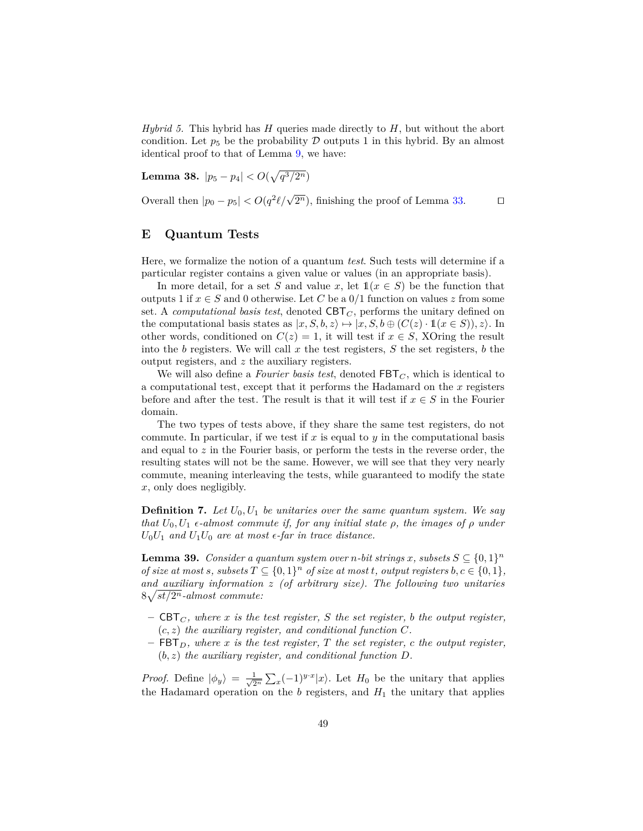*Hybrid 5.* This hybrid has *H* queries made directly to *H*, but without the abort condition. Let  $p_5$  be the probability D outputs 1 in this hybrid. By an almost identical proof to that of Lemma [9,](#page-22-0) we have:

 ${\bf Lemma~38.}~~|p_5-p_4|< O(\sqrt{q^3/2^n})$ 

Overall then  $|p_0 - p_5| < O(q^2 \ell / \sqrt{2^n})$ , finishing the proof of Lemma [33.](#page-46-6) □

# <span id="page-48-0"></span>**E Quantum Tests**

Here, we formalize the notion of a quantum *test*. Such tests will determine if a particular register contains a given value or values (in an appropriate basis).

In more detail, for a set *S* and value *x*, let  $\mathbb{1}(x \in S)$  be the function that outputs 1 if  $x \in S$  and 0 otherwise. Let C be a 0/1 function on values z from some set. A *computational basis test*, denoted CBT*<sup>C</sup>* , performs the unitary defined on the computational basis states as  $|x, S, b, z\rangle \mapsto |x, S, b \oplus (C(z) \cdot \mathbb{1}(x \in S)), z\rangle$ . In other words, conditioned on  $C(z) = 1$ , it will test if  $x \in S$ , XOring the result into the *b* registers. We will call *x* the test registers, *S* the set registers, *b* the output registers, and *z* the auxiliary registers.

We will also define a *Fourier basis test*, denoted  $FBT_C$ , which is identical to a computational test, except that it performs the Hadamard on the *x* registers before and after the test. The result is that it will test if  $x \in S$  in the Fourier domain.

The two types of tests above, if they share the same test registers, do not commute. In particular, if we test if  $x$  is equal to  $y$  in the computational basis and equal to *z* in the Fourier basis, or perform the tests in the reverse order, the resulting states will not be the same. However, we will see that they very nearly commute, meaning interleaving the tests, while guaranteed to modify the state *x*, only does negligibly.

**Definition 7.** *Let U*0*, U*<sup>1</sup> *be unitaries over the same quantum system. We say that*  $U_0, U_1$   $\epsilon$ *-almost commute if, for any initial state*  $\rho$ *, the images of*  $\rho$  *under*  $U_0U_1$  *and*  $U_1U_0$  *are at most*  $\epsilon$ -far *in trace distance*.

<span id="page-48-1"></span>**Lemma 39.** *Consider a quantum system over <i>n*-bit strings *x*, subsets  $S \subseteq \{0,1\}^n$ *of size at most s, subsets*  $T \subseteq \{0,1\}^n$  *of size at most t, output registers*  $b, c \in \{0,1\}$ *, and auxiliary information z (of arbitrary size). The following two unitaries*  $8\sqrt{st/2^n}$ *-almost commute:* 

- **–** CBT*<sup>C</sup> , where x is the test register, S the set register, b the output register,* (*c, z*) *the auxiliary register, and conditional function C.*
- **–** FBT*D, where x is the test register, T the set register, c the output register,* (*b, z*) *the auxiliary register, and conditional function D.*

*Proof.* Define  $|\phi_y\rangle = \frac{1}{\sqrt{2}}$  $\frac{1}{2^n} \sum_{x} (-1)^{y \cdot x} |x\rangle$ . Let  $H_0$  be the unitary that applies the Hadamard operation on the  $b$  registers, and  $H_1$  the unitary that applies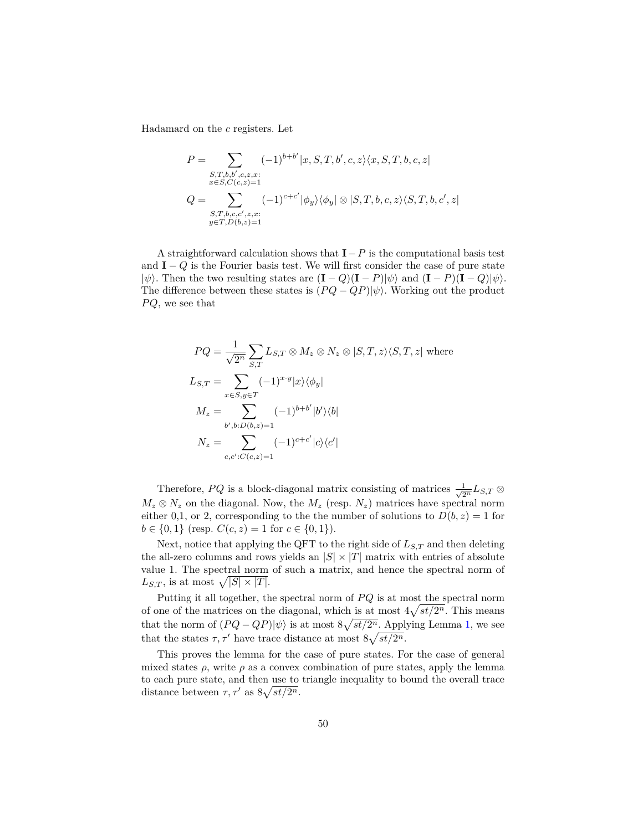Hadamard on the *c* registers. Let

$$
P = \sum_{\substack{S,T,b,b',c,z,x:\\x \in S, C(c,z) = 1}} (-1)^{b+b'} |x, S, T, b', c, z\rangle \langle x, S, T, b, c, z|
$$
  

$$
Q = \sum_{\substack{S,T,b,c,c',z,x:\\y \in T, D(b,z) = 1}} (-1)^{c+c'} |\phi_y\rangle \langle \phi_y| \otimes |S, T, b, c, z\rangle \langle S, T, b, c', z|
$$

A straightforward calculation shows that **I**−*P* is the computational basis test and  $I - Q$  is the Fourier basis test. We will first consider the case of pure state  $|\psi\rangle$ . Then the two resulting states are  $(\mathbf{I} - Q)(\mathbf{I} - P)|\psi\rangle$  and  $(\mathbf{I} - P)(\mathbf{I} - Q)|\psi\rangle$ . The difference between these states is  $(PQ - QP)|\psi\rangle$ . Working out the product *PQ*, we see that

$$
PQ = \frac{1}{\sqrt{2^n}} \sum_{S,T} L_{S,T} \otimes M_z \otimes N_z \otimes |S,T,z\rangle\langle S,T,z| \text{ where}
$$
  
\n
$$
L_{S,T} = \sum_{x \in S, y \in T} (-1)^{x \cdot y} |x\rangle\langle\phi_y|
$$
  
\n
$$
M_z = \sum_{b',b:D(b,z)=1} (-1)^{b+b'} |b'\rangle\langle b|
$$
  
\n
$$
N_z = \sum_{c,c':C(c,z)=1} (-1)^{c+c'} |c\rangle\langle c'|
$$

Therefore,  $PQ$  is a block-diagonal matrix consisting of matrices  $\frac{1}{\sqrt{2^n}}L_{S,T}\otimes$  $M_z \otimes N_z$  on the diagonal. Now, the  $M_z$  (resp.  $N_z$ ) matrices have spectral norm either 0,1, or 2, corresponding to the the number of solutions to  $D(b, z) = 1$  for *b* ∈ {0, 1} (resp.  $C(c, z) = 1$  for  $c \in \{0, 1\}$ ).

Next, notice that applying the QFT to the right side of *LS,T* and then deleting the all-zero columns and rows yields an  $|S| \times |T|$  matrix with entries of absolute value 1. The spectral norm of such a matrix, and hence the spectral norm of  $L_{S,T}$ , is at most  $\sqrt{|S| \times |T|}$ .

Putting it all together, the spectral norm of  $PQ$  is at most the spectral norm of one of the matrices on the diagonal, which is at most  $4\sqrt{st/2^n}$ . This means that the norm of  $(PQ - QP)|\psi\rangle$  is at most  $8\sqrt{st/2^n}$ . Applying Lemma [1,](#page-10-1) we see that the states  $\tau$ ,  $\tau'$  have trace distance at most  $8\sqrt{st/2^n}$ .

This proves the lemma for the case of pure states. For the case of general mixed states  $\rho$ , write  $\rho$  as a convex combination of pure states, apply the lemma to each pure state, and then use to triangle inequality to bound the overall trace distance between  $\tau, \tau'$  as  $8\sqrt{st/2^n}$ .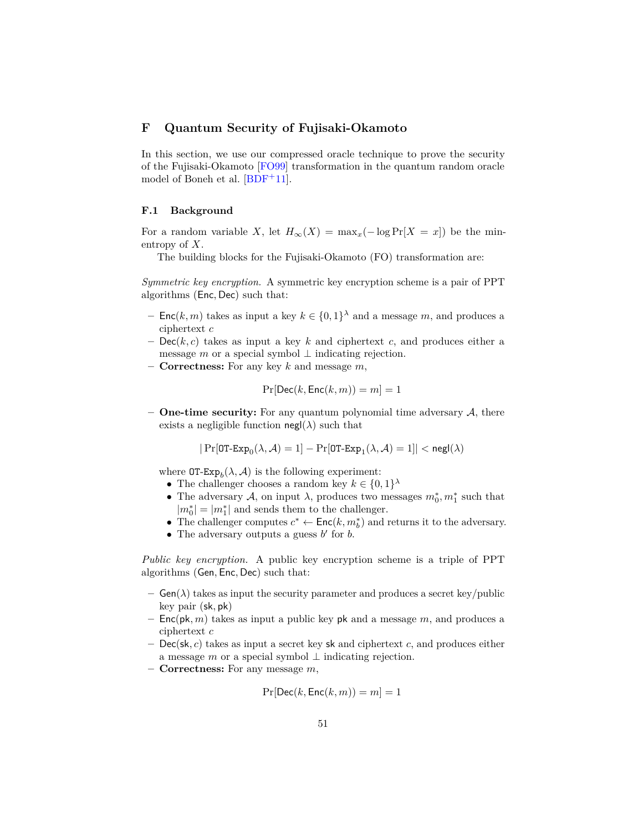# <span id="page-50-0"></span>**F Quantum Security of Fujisaki-Okamoto**

In this section, we use our compressed oracle technique to prove the security of the Fujisaki-Okamoto [\[FO99\]](#page-28-8) transformation in the quantum random oracle model of Boneh et al.  $[BDF+11]$  $[BDF+11]$ .

### **F.1 Background**

For a random variable *X*, let  $H_{\infty}(X) = \max_x(-\log \Pr[X = x])$  be the minentropy of *X*.

The building blocks for the Fujisaki-Okamoto (FO) transformation are:

*Symmetric key encryption.* A symmetric key encryption scheme is a pair of PPT algorithms (Enc*,* Dec) such that:

- **<b>Enc**(*k, m*) takes as input a key *k* ∈ {0, 1}<sup> $λ$ </sup> and a message *m*, and produces a ciphertext *c*
- **–** Dec(*k, c*) takes as input a key *k* and ciphertext *c*, and produces either a message *m* or a special symbol  $\perp$  indicating rejection.
- **– Correctness:** For any key *k* and message *m*,

$$
Pr[Dec(k, Enc(k, m)) = m] = 1
$$

**– One-time security:** For any quantum polynomial time adversary A, there exists a negligible function  $\operatorname{negl}(\lambda)$  such that

$$
|\Pr[\texttt{OT-Exp}_0(\lambda,\mathcal{A})=1]-\Pr[\texttt{OT-Exp}_1(\lambda,\mathcal{A})=1]|<\mathsf{negl}(\lambda)
$$

where  $\texttt{OT-Exp}_b(\lambda, \mathcal{A})$  is the following experiment:

- The challenger chooses a random key  $k \in \{0,1\}^{\lambda}$
- The adversary  $A$ , on input  $\lambda$ , produces two messages  $m_0^*, m_1^*$  such that  $\left|m_{0}^{*}\right|=\left|m_{1}^{*}\right|$  and sends them to the challenger.
- The challenger computes  $c^* \leftarrow \text{Enc}(k, m_b^*)$  and returns it to the adversary.
- The adversary outputs a guess  $b'$  for  $b$ .

*Public key encryption.* A public key encryption scheme is a triple of PPT algorithms (Gen*,* Enc*,* Dec) such that:

- **–** Gen( $\lambda$ ) takes as input the security parameter and produces a secret key/public key pair (sk*,* pk)
- **–** Enc(pk*, m*) takes as input a public key pk and a message *m*, and produces a ciphertext *c*
- **–** Dec(sk*, c*) takes as input a secret key sk and ciphertext *c*, and produces either a message *m* or a special symbol  $\perp$  indicating rejection.
- **– Correctness:** For any message *m*,

$$
\Pr[\mathsf{Dec}(k,\mathsf{Enc}(k,m)) = m] = 1
$$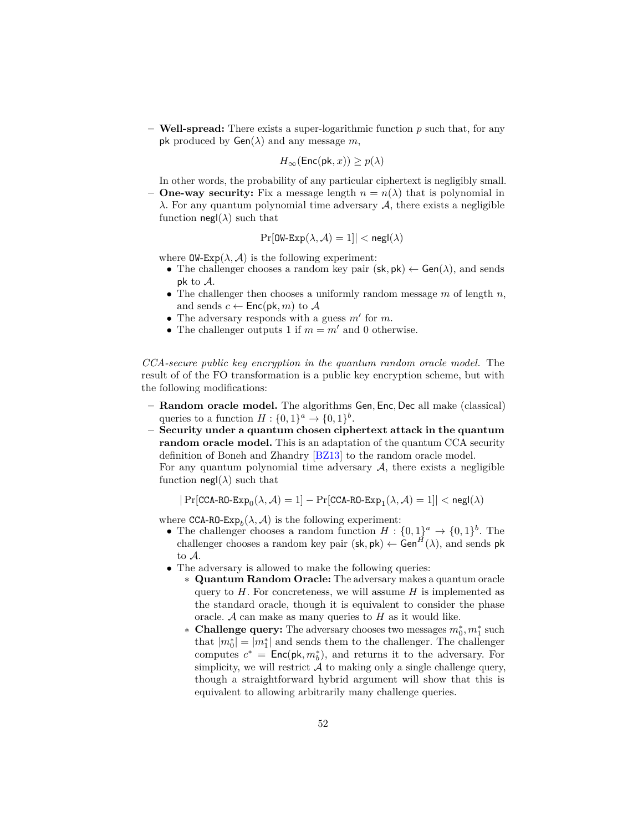**– Well-spread:** There exists a super-logarithmic function *p* such that, for any pk produced by  $Gen(\lambda)$  and any message m,

$$
H_{\infty}(\mathsf{Enc}(\mathsf{pk}, x)) \ge p(\lambda)
$$

In other words, the probability of any particular ciphertext is negligibly small.

**– One-way security:** Fix a message length *n* = *n*(*λ*) that is polynomial in  $λ$ . For any quantum polynomial time adversary  $A$ , there exists a negligible function  $negl(\lambda)$  such that

$$
\Pr[\mathtt{OW-Exp}(\lambda, \mathcal{A}) = 1]| < \mathsf{negl}(\lambda)
$$

where  $\text{OW-Exp}(\lambda, \mathcal{A})$  is the following experiment:

- The challenger chooses a random key pair  $(\mathsf{sk}, \mathsf{pk}) \leftarrow \mathsf{Gen}(\lambda)$ , and sends pk to A.
- The challenger then chooses a uniformly random message *m* of length *n*, and sends  $c \leftarrow \textsf{Enc}(\textsf{pk}, m)$  to A
- The adversary responds with a guess  $m'$  for  $m$ .
- The challenger outputs 1 if  $m = m'$  and 0 otherwise.

*CCA-secure public key encryption in the quantum random oracle model.* The result of of the FO transformation is a public key encryption scheme, but with the following modifications:

- **– Random oracle model.** The algorithms Gen*,* Enc*,* Dec all make (classical) queries to a function  $H: \{0,1\}^a \to \{0,1\}^b$ .
- **– Security under a quantum chosen ciphertext attack in the quantum random oracle model.** This is an adaptation of the quantum CCA security definition of Boneh and Zhandry [\[BZ13\]](#page-27-6) to the random oracle model.

For any quantum polynomial time adversary  $A$ , there exists a negligible function  $\mathsf{negl}(\lambda)$  such that

$$
|\Pr[\text{CCA-RO-Exp}_0(\lambda,\mathcal{A})=1]-\Pr[\text{CCA-RO-Exp}_1(\lambda,\mathcal{A})=1]|<\mathsf{negl}(\lambda)
$$

where  $CCA-RO-Exp_b(\lambda, \mathcal{A})$  is the following experiment:

- The challenger chooses a random function  $H: \{0,1\}^a \to \{0,1\}^b$ . The challenger chooses a random key pair  $(\mathsf{sk}, \mathsf{pk}) \leftarrow \widehat{\mathsf{Gen}}^H(\lambda)$ , and sends pk to A.
- The adversary is allowed to make the following queries:
	- ∗ **Quantum Random Oracle:** The adversary makes a quantum oracle query to *H*. For concreteness, we will assume *H* is implemented as the standard oracle, though it is equivalent to consider the phase oracle. A can make as many queries to *H* as it would like.
	- **∗ Challenge query:** The adversary chooses two messages  $m_0^*, m_1^*$  such that  $|m_0^*| = |m_1^*|$  and sends them to the challenger. The challenger computes  $c^* = \text{Enc}(\text{pk}, m_b^*)$ , and returns it to the adversary. For simplicity, we will restrict  $\mathcal A$  to making only a single challenge query, though a straightforward hybrid argument will show that this is equivalent to allowing arbitrarily many challenge queries.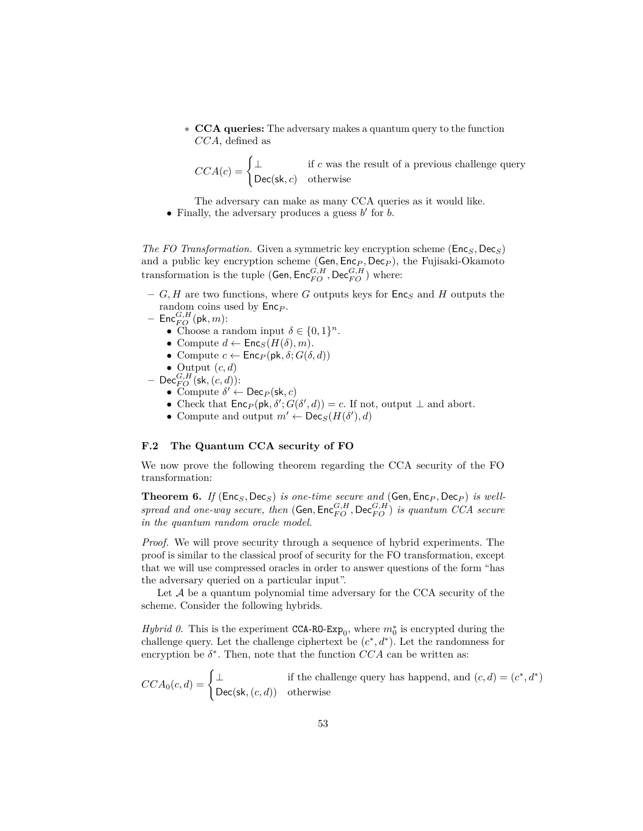∗ **CCA queries:** The adversary makes a quantum query to the function *CCA*, defined as

$$
CCA(c) = \begin{cases} \bot & \text{if } c \text{ was the result of a previous challenge query} \\ \mathsf{Dec}(\mathsf{sk}, c) & \text{otherwise} \end{cases}
$$

The adversary can make as many CCA queries as it would like.

• Finally, the adversary produces a guess  $b'$  for  $b$ .

*The FO Transformation.* Given a symmetric key encryption scheme ( $Enc_S, Dec_S$ ) and a public key encryption scheme (Gen*,* Enc*<sup>P</sup> ,* Dec*<sup>P</sup>* ), the Fujisaki-Okamoto  $\text{transformation is the tuple } (\mathsf{Gen}, \mathsf{Enc}_{FO}^{G,H}, \mathsf{Dec}_{FO}^{G,H}) \text{ where: }$ 

- $-G, H$  are two functions, where *G* outputs keys for  $\mathsf{Enc}_S$  and *H* outputs the random coins used by Enc*<sup>P</sup>* .
- $-$  Enc $_{FO}^{G,H}$ (pk,  $m$ ):
	- Choose a random input  $\delta \in \{0,1\}^n$ .
	- Compute  $d \leftarrow \mathsf{Enc}_S(H(\delta), m)$ .
	- Compute  $c \leftarrow \mathsf{Enc}_P(\mathsf{pk}, \delta; G(\delta, d))$
	- Output  $(c, d)$
- $-$  Dec $_{FO}^{G,H}(\mathsf{sk}, (c, d))$ :
	- Compute  $\delta' \leftarrow \mathsf{Dec}_P(\mathsf{sk}, c)$
	- Check that  $\mathsf{Enc}_P(\mathsf{pk}, \delta'; G(\delta', d)) = c$ . If not, output  $\perp$  and abort.
	- Compute and output  $m' \leftarrow \mathsf{Dec}_S(H(\delta'), d)$

### **F.2 The Quantum CCA security of FO**

We now prove the following theorem regarding the CCA security of the FO transformation:

**Theorem 6.** *If* (Enc*S,* Dec*S*) *is one-time secure and* (Gen*,* Enc*<sup>P</sup> ,* Dec*<sup>P</sup>* ) *is well* $spread$  and one-way secure, then  $(Gen, Enc_{FO}^{G,H}, Dec_{FO}^{G,H})$  *is quantum CCA secure in the quantum random oracle model.*

*Proof.* We will prove security through a sequence of hybrid experiments. The proof is similar to the classical proof of security for the FO transformation, except that we will use compressed oracles in order to answer questions of the form "has the adversary queried on a particular input".

Let  $A$  be a quantum polynomial time adversary for the CCA security of the scheme. Consider the following hybrids.

*Hybrid 0*. This is the experiment CCA-RO-Exp<sub>0</sub>, where  $m_0^*$  is encrypted during the challenge query. Let the challenge ciphertext be  $(c^*, d^*)$ . Let the randomness for encryption be  $\delta^*$ . Then, note that the function  $CCA$  can be written as:

$$
CCA_0(c,d) = \begin{cases} \bot & \text{if the challenge query has happened, and } (c,d) = (c^*, d^*)\\ \text{Dec}(\mathsf{sk}, (c,d)) & \text{otherwise} \end{cases}
$$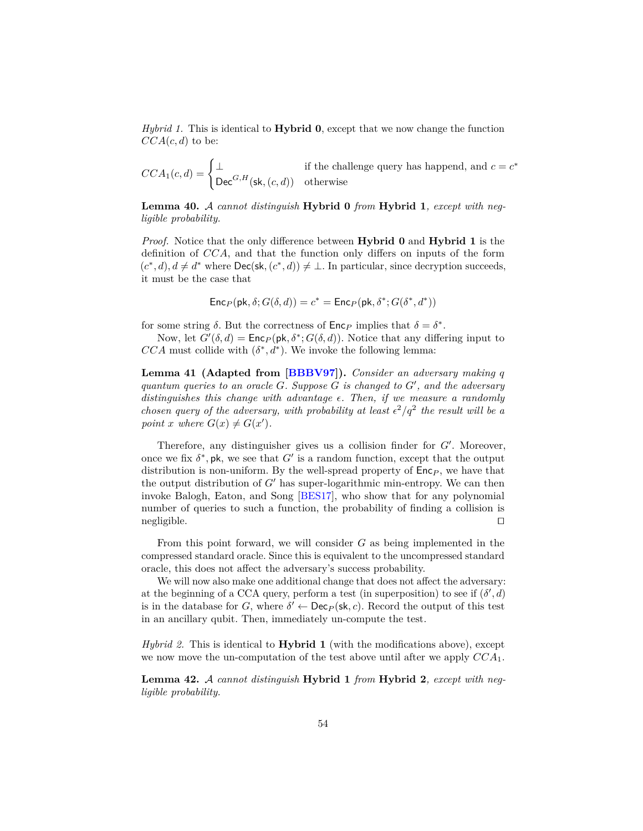*Hybrid 1.* This is identical to **Hybrid 0**, except that we now change the function *CCA*(*c, d*) to be:

$$
CCA_1(c,d) = \begin{cases} \bot & \text{if the challenge query has happened, and } c = c^* \\ \mathsf{Dec}^{G,H}(\mathsf{sk}, (c,d)) & \text{otherwise} \end{cases}
$$

**Lemma 40.** A *cannot distinguish* **Hybrid 0** *from* **Hybrid 1***, except with negligible probability.*

*Proof.* Notice that the only difference between **Hybrid 0** and **Hybrid 1** is the definition of *CCA*, and that the function only differs on inputs of the form  $(c^*, d), d \neq d^*$  where  $\mathsf{Dec}(\mathsf{sk}, (c^*, d)) \neq \bot$ . In particular, since decryption succeeds, it must be the case that

$$
\mathsf{Enc}_P(\mathsf{pk}, \delta; G(\delta, d)) = c^* = \mathsf{Enc}_P(\mathsf{pk}, \delta^*; G(\delta^*, d^*))
$$

for some string  $\delta$ . But the correctness of  $\mathsf{Enc}_P$  implies that  $\delta = \delta^*$ .

Now, let  $G'(\delta, d) = \text{Enc}_P(\text{pk}, \delta^*; G(\delta, d))$ . Notice that any differing input to *CCA* must collide with  $(\delta^*, d^*)$ . We invoke the following lemma:

**Lemma 41 (Adapted from [\[BBBV97\]](#page-27-7)).** *Consider an adversary making q quantum queries to an oracle G. Suppose G is changed to G*<sup>0</sup> *, and the adversary distinguishes this change with advantage . Then, if we measure a randomly chosen query of the adversary, with probability at least*  $\epsilon^2/q^2$  *the result will be a point x where*  $G(x) \neq G(x')$ *.* 

Therefore, any distinguisher gives us a collision finder for  $G'$ . Moreover, once we fix  $\delta^*$ , pk, we see that  $G'$  is a random function, except that the output distribution is non-uniform. By the well-spread property of Enc*<sup>P</sup>* , we have that the output distribution of  $G<sup>0</sup>$  has super-logarithmic min-entropy. We can then invoke Balogh, Eaton, and Song [\[BES17\]](#page-27-9), who show that for any polynomial number of queries to such a function, the probability of finding a collision is negligible.  $\square$ 

From this point forward, we will consider *G* as being implemented in the compressed standard oracle. Since this is equivalent to the uncompressed standard oracle, this does not affect the adversary's success probability.

We will now also make one additional change that does not affect the adversary: at the beginning of a CCA query, perform a test (in superposition) to see if  $(\delta', d)$ is in the database for *G*, where  $\delta' \leftarrow \mathsf{Dec}_P(\mathsf{sk}, c)$ . Record the output of this test in an ancillary qubit. Then, immediately un-compute the test.

*Hybrid 2.* This is identical to **Hybrid 1** (with the modifications above), except we now move the un-computation of the test above until after we apply *CCA*1.

**Lemma 42.** A *cannot distinguish* **Hybrid 1** *from* **Hybrid 2***, except with negligible probability.*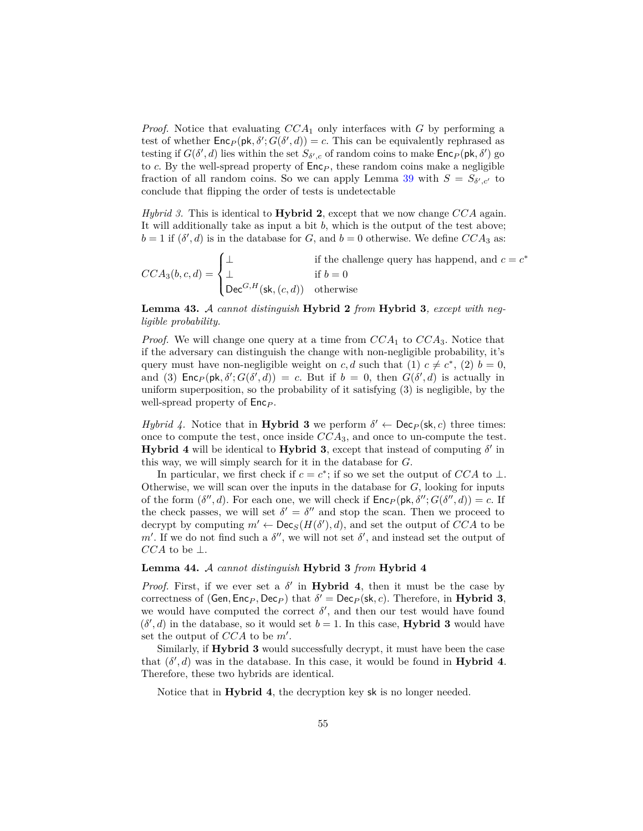*Proof.* Notice that evaluating *CCA*<sup>1</sup> only interfaces with *G* by performing a test of whether  $Enc_P(\mathsf{pk}, \delta'; G(\delta', d)) = c$ . This can be equivalently rephrased as testing if  $G(\delta', d)$  lies within the set  $S_{\delta', c}$  of random coins to make  $\mathsf{Enc}_P(\mathsf{pk}, \delta')$  go to  $c$ . By the well-spread property of  $\mathsf{Enc}_P$ , these random coins make a negligible fraction of all random coins. So we can apply Lemma [39](#page-48-1) with  $S = S_{\delta', c'}$  to conclude that flipping the order of tests is undetectable

*Hybrid 3.* This is identical to **Hybrid 2**, except that we now change *CCA* again. It will additionally take as input a bit *b*, which is the output of the test above;  $b = 1$  if  $(\delta', d)$  is in the database for *G*, and  $b = 0$  otherwise. We define  $CCA_3$  as:

$$
CCA_3(b, c, d) = \begin{cases} \bot & \text{if the challenge query has happened, and } c = c^* \\ \bot & \text{if } b = 0 \\ \mathsf{Dec}^{G, H}(\mathsf{sk}, (c, d)) & \text{otherwise} \end{cases}
$$

**Lemma 43.** A *cannot distinguish* **Hybrid 2** *from* **Hybrid 3***, except with negligible probability.*

*Proof.* We will change one query at a time from  $CCA_1$  to  $CCA_3$ . Notice that if the adversary can distinguish the change with non-negligible probability, it's query must have non-negligible weight on *c*, *d* such that (1)  $c \neq c^*$ , (2)  $b = 0$ , and (3)  $\mathsf{Enc}_P(\mathsf{pk}, \delta'; G(\delta', d)) = c$ . But if  $b = 0$ , then  $G(\delta', d)$  is actually in uniform superposition, so the probability of it satisfying (3) is negligible, by the well-spread property of Enc*<sup>P</sup>* .

*Hybrid 4.* Notice that in **Hybrid 3** we perform  $\delta' \leftarrow \mathsf{Dec}_P(\mathsf{sk}, c)$  three times: once to compute the test, once inside *CCA*3, and once to un-compute the test. **Hybrid 4** will be identical to **Hybrid 3**, except that instead of computing  $\delta'$  in this way, we will simply search for it in the database for *G*.

In particular, we first check if  $c = c^*$ ; if so we set the output of *CCA* to  $\perp$ . Otherwise, we will scan over the inputs in the database for *G*, looking for inputs of the form  $(\delta'', d)$ . For each one, we will check if  $\mathsf{Enc}_P(\mathsf{pk}, \delta''; G(\delta'', d)) = c$ . If the check passes, we will set  $\delta' = \delta''$  and stop the scan. Then we proceed to decrypt by computing  $m' \leftarrow \mathsf{Dec}_S(H(\delta'), d)$ , and set the output of *CCA* to be  $m'$ . If we do not find such a  $\delta''$ , we will not set  $\delta'$ , and instead set the output of *CCA* to be ⊥.

### **Lemma 44.** A *cannot distinguish* **Hybrid 3** *from* **Hybrid 4**

*Proof.* First, if we ever set a  $\delta'$  in **Hybrid 4**, then it must be the case by correctness of (Gen, Enc<sub>*P*</sub>, Dec<sub>*P*</sub>) that  $\delta' = \text{Dec}_P(\textsf{sk}, c)$ . Therefore, in **Hybrid 3**, we would have computed the correct  $\delta'$ , and then our test would have found  $(\delta', d)$  in the database, so it would set  $b = 1$ . In this case, **Hybrid 3** would have set the output of  $CCA$  to be  $m'$ .

Similarly, if **Hybrid 3** would successfully decrypt, it must have been the case that  $(\delta', d)$  was in the database. In this case, it would be found in **Hybrid 4**. Therefore, these two hybrids are identical.

Notice that in **Hybrid 4**, the decryption key sk is no longer needed.